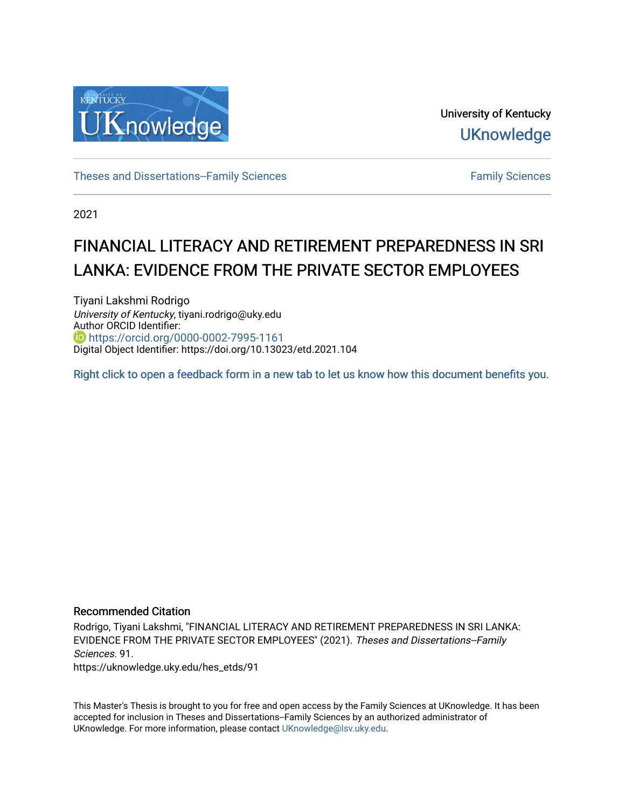

University of Kentucky **UKnowledge** 

[Theses and Dissertations--Family Sciences](https://uknowledge.uky.edu/hes_etds) [Family Sciences](https://uknowledge.uky.edu/hes) Family Sciences

2021

# FINANCIAL LITERACY AND RETIREMENT PREPAREDNESS IN SRI LANKA: EVIDENCE FROM THE PRIVATE SECTOR EMPLOYEES

Tiyani Lakshmi Rodrigo University of Kentucky, tiyani.rodrigo@uky.edu Author ORCID Identifier: <https://orcid.org/0000-0002-7995-1161> Digital Object Identifier: https://doi.org/10.13023/etd.2021.104

[Right click to open a feedback form in a new tab to let us know how this document benefits you.](https://uky.az1.qualtrics.com/jfe/form/SV_9mq8fx2GnONRfz7)

# Recommended Citation

Rodrigo, Tiyani Lakshmi, "FINANCIAL LITERACY AND RETIREMENT PREPAREDNESS IN SRI LANKA: EVIDENCE FROM THE PRIVATE SECTOR EMPLOYEES" (2021). Theses and Dissertations--Family Sciences. 91. https://uknowledge.uky.edu/hes\_etds/91

This Master's Thesis is brought to you for free and open access by the Family Sciences at UKnowledge. It has been accepted for inclusion in Theses and Dissertations--Family Sciences by an authorized administrator of UKnowledge. For more information, please contact [UKnowledge@lsv.uky.edu](mailto:UKnowledge@lsv.uky.edu).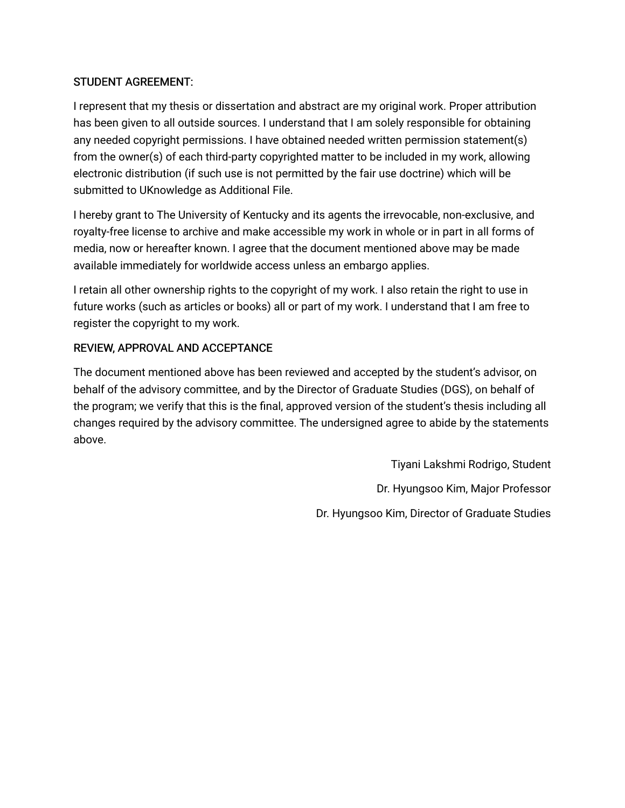# STUDENT AGREEMENT:

I represent that my thesis or dissertation and abstract are my original work. Proper attribution has been given to all outside sources. I understand that I am solely responsible for obtaining any needed copyright permissions. I have obtained needed written permission statement(s) from the owner(s) of each third-party copyrighted matter to be included in my work, allowing electronic distribution (if such use is not permitted by the fair use doctrine) which will be submitted to UKnowledge as Additional File.

I hereby grant to The University of Kentucky and its agents the irrevocable, non-exclusive, and royalty-free license to archive and make accessible my work in whole or in part in all forms of media, now or hereafter known. I agree that the document mentioned above may be made available immediately for worldwide access unless an embargo applies.

I retain all other ownership rights to the copyright of my work. I also retain the right to use in future works (such as articles or books) all or part of my work. I understand that I am free to register the copyright to my work.

# REVIEW, APPROVAL AND ACCEPTANCE

The document mentioned above has been reviewed and accepted by the student's advisor, on behalf of the advisory committee, and by the Director of Graduate Studies (DGS), on behalf of the program; we verify that this is the final, approved version of the student's thesis including all changes required by the advisory committee. The undersigned agree to abide by the statements above.

> Tiyani Lakshmi Rodrigo, Student Dr. Hyungsoo Kim, Major Professor Dr. Hyungsoo Kim, Director of Graduate Studies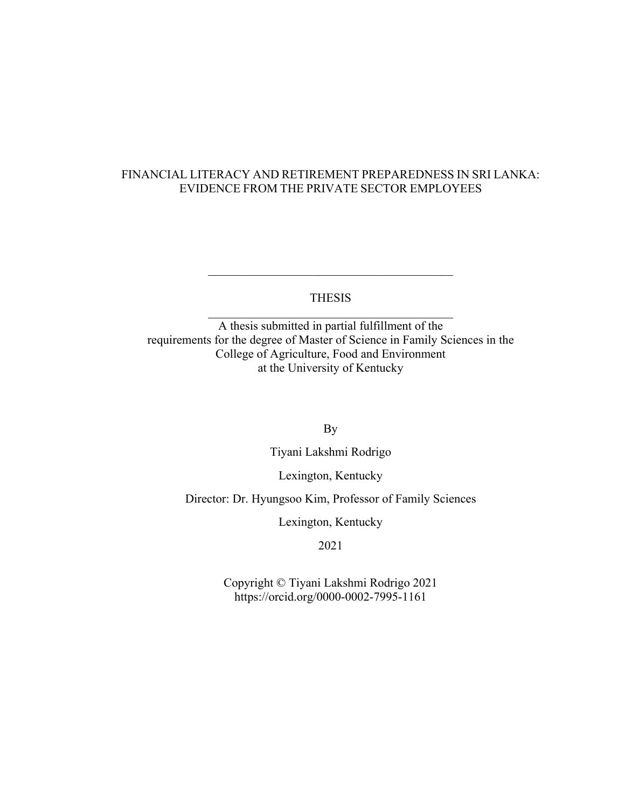# FINANCIAL LITERACY AND RETIREMENT PREPAREDNESS IN SRI LANKA: EVIDENCE FROM THE PRIVATE SECTOR EMPLOYEES

THESIS

 $\overline{\phantom{a}}$  , which is a set of the set of the set of the set of the set of the set of the set of the set of the set of the set of the set of the set of the set of the set of the set of the set of the set of the set of th

A thesis submitted in partial fulfillment of the requirements for the degree of Master of Science in Family Sciences in the College of Agriculture, Food and Environment at the University of Kentucky

By

Tiyani Lakshmi Rodrigo

Lexington, Kentucky

Director: Dr. Hyungsoo Kim, Professor of Family Sciences

Lexington, Kentucky

2021

Copyright © Tiyani Lakshmi Rodrigo 2021 https://orcid.org/0000-0002-7995-1161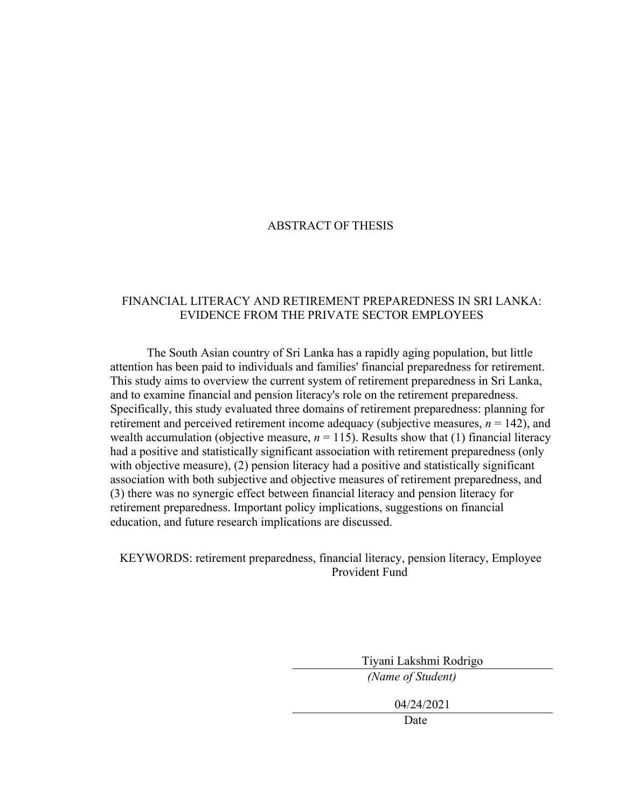# ABSTRACT OF THESIS

# FINANCIAL LITERACY AND RETIREMENT PREPAREDNESS IN SRI LANKA: EVIDENCE FROM THE PRIVATE SECTOR EMPLOYEES

The South Asian country of Sri Lanka has a rapidly aging population, but little attention has been paid to individuals and families' financial preparedness for retirement. This study aims to overview the current system of retirement preparedness in Sri Lanka, and to examine financial and pension literacy's role on the retirement preparedness. Specifically, this study evaluated three domains of retirement preparedness: planning for retirement and perceived retirement income adequacy (subjective measures,  $n = 142$ ), and wealth accumulation (objective measure,  $n = 115$ ). Results show that (1) financial literacy had a positive and statistically significant association with retirement preparedness (only with objective measure), (2) pension literacy had a positive and statistically significant association with both subjective and objective measures of retirement preparedness, and (3) there was no synergic effect between financial literacy and pension literacy for retirement preparedness. Important policy implications, suggestions on financial education, and future research implications are discussed.

KEYWORDS: retirement preparedness, financial literacy, pension literacy, Employee Provident Fund

Tiyani Lakshmi Rodrigo

*(Name of Student)*

04/24/2021

Date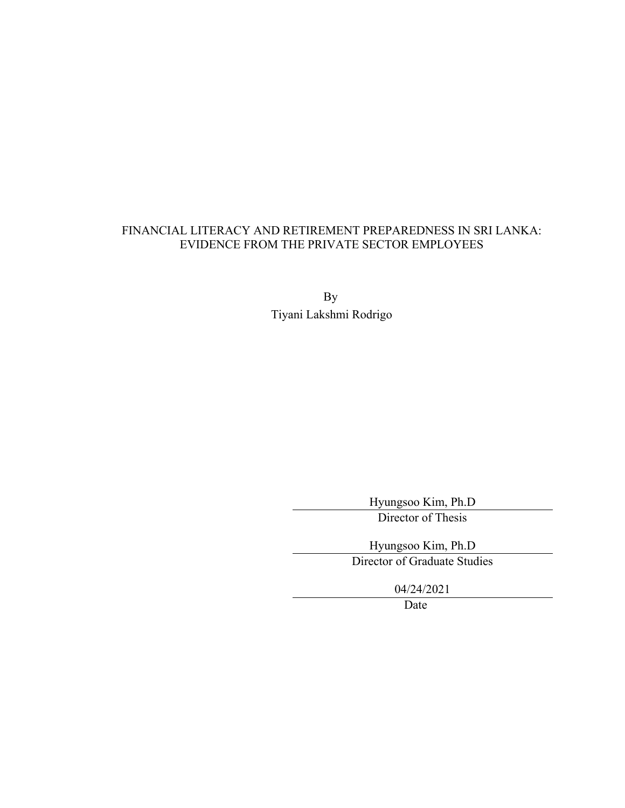# FINANCIAL LITERACY AND RETIREMENT PREPAREDNESS IN SRI LANKA: EVIDENCE FROM THE PRIVATE SECTOR EMPLOYEES

By Tiyani Lakshmi Rodrigo

Hyungsoo Kim, Ph.D

Director of Thesis

Hyungsoo Kim, Ph.D

Director of Graduate Studies

04/24/2021

Date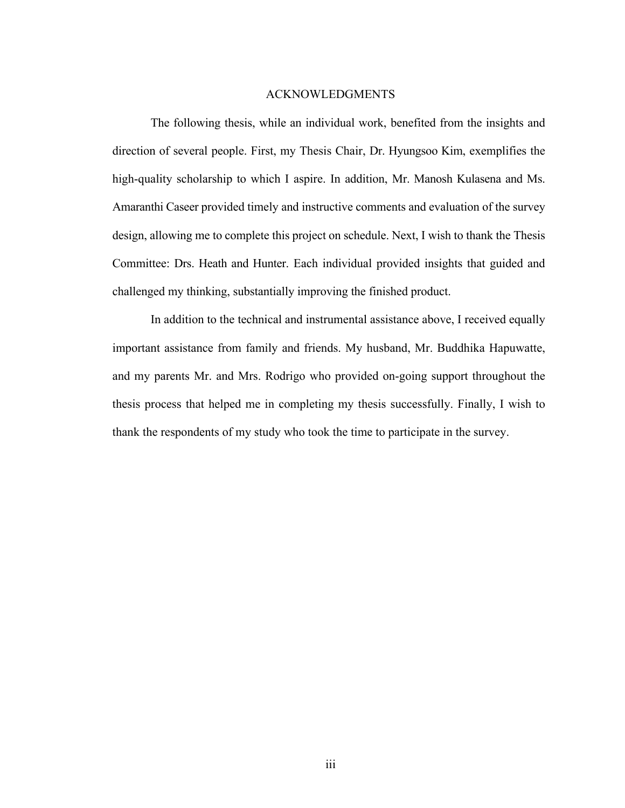#### ACKNOWLEDGMENTS

<span id="page-5-0"></span>The following thesis, while an individual work, benefited from the insights and direction of several people. First, my Thesis Chair, Dr. Hyungsoo Kim, exemplifies the high-quality scholarship to which I aspire. In addition, Mr. Manosh Kulasena and Ms. Amaranthi Caseer provided timely and instructive comments and evaluation of the survey design, allowing me to complete this project on schedule. Next, I wish to thank the Thesis Committee: Drs. Heath and Hunter. Each individual provided insights that guided and challenged my thinking, substantially improving the finished product.

In addition to the technical and instrumental assistance above, I received equally important assistance from family and friends. My husband, Mr. Buddhika Hapuwatte, and my parents Mr. and Mrs. Rodrigo who provided on-going support throughout the thesis process that helped me in completing my thesis successfully. Finally, I wish to thank the respondents of my study who took the time to participate in the survey.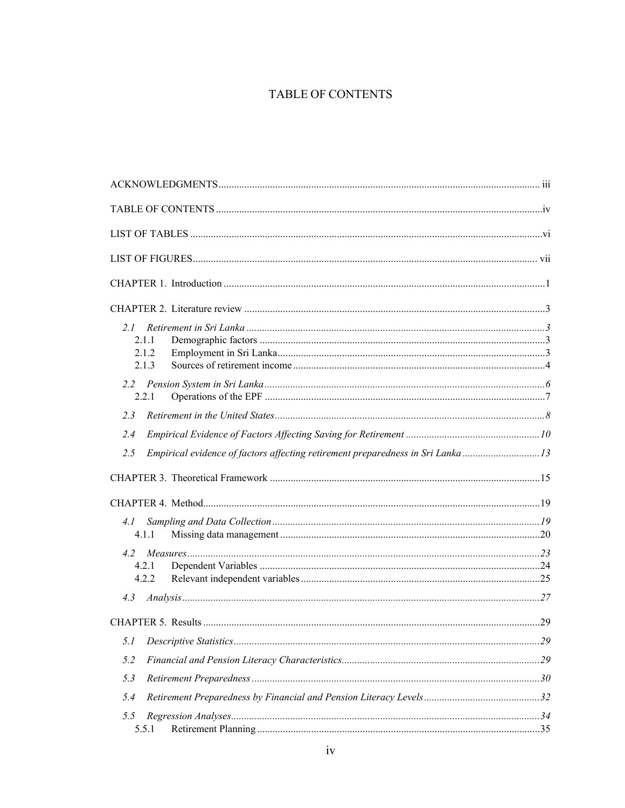# TABLE OF CONTENTS

<span id="page-6-0"></span>

| 2.1                                                                                    |  |
|----------------------------------------------------------------------------------------|--|
| 2.1.1                                                                                  |  |
| 2.1.2                                                                                  |  |
| 2.1.3                                                                                  |  |
| $2.2^{\circ}$                                                                          |  |
| 2.2.1                                                                                  |  |
| 2.3                                                                                    |  |
| 2.4                                                                                    |  |
| Empirical evidence of factors affecting retirement preparedness in Sri Lanka 13<br>2.5 |  |
|                                                                                        |  |
|                                                                                        |  |
| 4.1                                                                                    |  |
| 4.1.1                                                                                  |  |
| 4.2                                                                                    |  |
| 4.2.1                                                                                  |  |
| 4.2.2                                                                                  |  |
| 4.3                                                                                    |  |
|                                                                                        |  |
| 5.1                                                                                    |  |
| 5.2                                                                                    |  |
| 5.3                                                                                    |  |
| 5.4                                                                                    |  |
| 5.5                                                                                    |  |
| 5.5.1                                                                                  |  |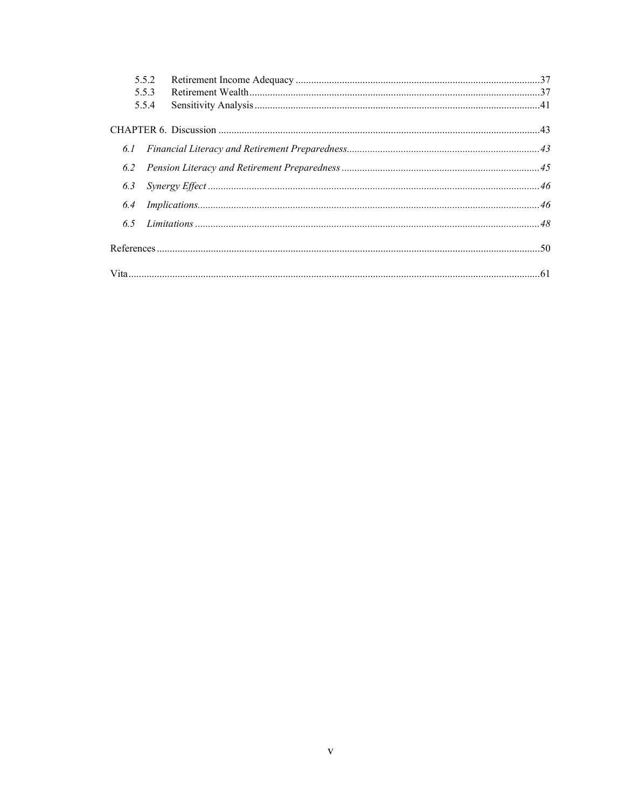|     | 5.5.2 |  |
|-----|-------|--|
|     | 5.5.3 |  |
|     | 5.5.4 |  |
|     |       |  |
|     |       |  |
| 6.2 |       |  |
| 6.3 |       |  |
| 6.4 |       |  |
| 6.5 |       |  |
|     |       |  |
|     |       |  |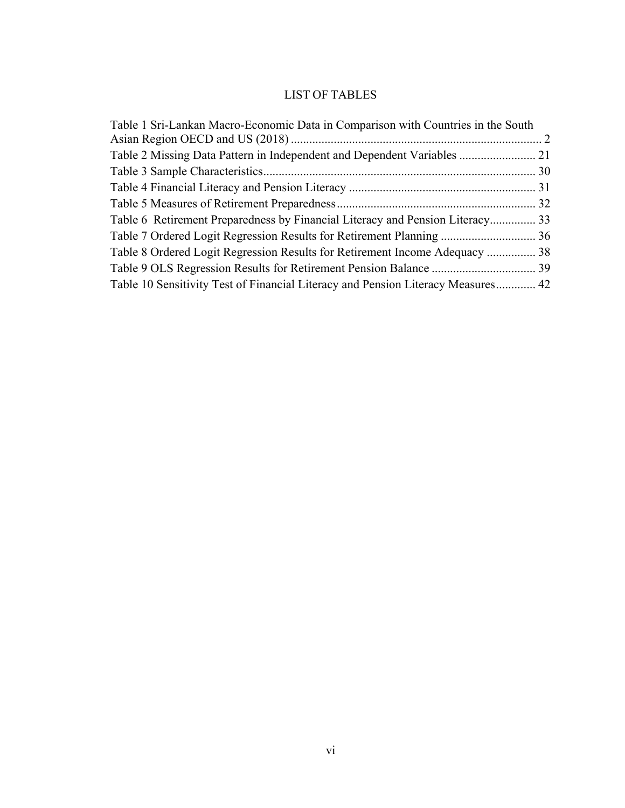# LIST OF TABLES

<span id="page-8-0"></span>

| Table 1 Sri-Lankan Macro-Economic Data in Comparison with Countries in the South |  |
|----------------------------------------------------------------------------------|--|
|                                                                                  |  |
| Table 2 Missing Data Pattern in Independent and Dependent Variables  21          |  |
|                                                                                  |  |
|                                                                                  |  |
|                                                                                  |  |
| Table 6 Retirement Preparedness by Financial Literacy and Pension Literacy 33    |  |
|                                                                                  |  |
| Table 8 Ordered Logit Regression Results for Retirement Income Adequacy  38      |  |
|                                                                                  |  |
| Table 10 Sensitivity Test of Financial Literacy and Pension Literacy Measures 42 |  |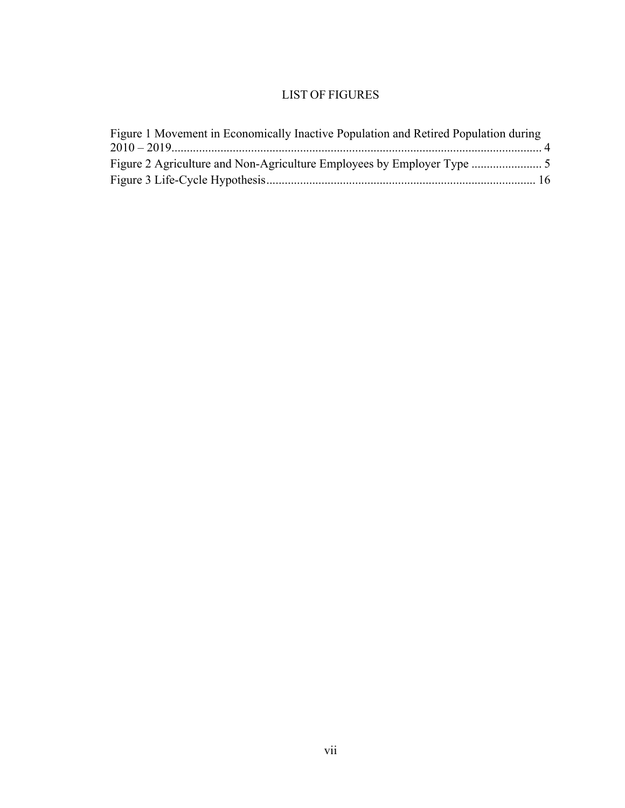# LIST OF FIGURES

<span id="page-9-0"></span>

| Figure 1 Movement in Economically Inactive Population and Retired Population during |  |
|-------------------------------------------------------------------------------------|--|
|                                                                                     |  |
|                                                                                     |  |
|                                                                                     |  |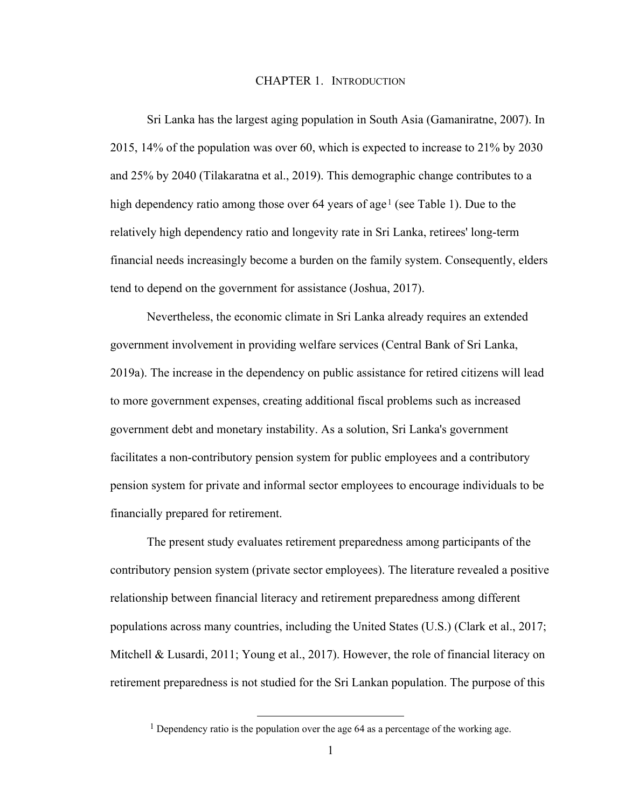## <span id="page-10-0"></span>CHAPTER 1. INTRODUCTION

Sri Lanka has the largest aging population in South Asia (Gamaniratne, 2007). In 2015, 14% of the population was over 60, which is expected to increase to 21% by 2030 and 25% by 2040 (Tilakaratna et al., 2019). This demographic change contributes to a high dependency ratio among those over 64 years of age<sup>[1](#page-10-1)</sup> (see Table 1). Due to the relatively high dependency ratio and longevity rate in Sri Lanka, retirees' long-term financial needs increasingly become a burden on the family system. Consequently, elders tend to depend on the government for assistance (Joshua, 2017).

Nevertheless, the economic climate in Sri Lanka already requires an extended government involvement in providing welfare services (Central Bank of Sri Lanka, 2019a). The increase in the dependency on public assistance for retired citizens will lead to more government expenses, creating additional fiscal problems such as increased government debt and monetary instability. As a solution, Sri Lanka's government facilitates a non-contributory pension system for public employees and a contributory pension system for private and informal sector employees to encourage individuals to be financially prepared for retirement.

The present study evaluates retirement preparedness among participants of the contributory pension system (private sector employees). The literature revealed a positive relationship between financial literacy and retirement preparedness among different populations across many countries, including the United States (U.S.) (Clark et al., 2017; Mitchell & Lusardi, 2011; Young et al., 2017). However, the role of financial literacy on retirement preparedness is not studied for the Sri Lankan population. The purpose of this

<span id="page-10-1"></span><sup>&</sup>lt;sup>1</sup> Dependency ratio is the population over the age  $64$  as a percentage of the working age.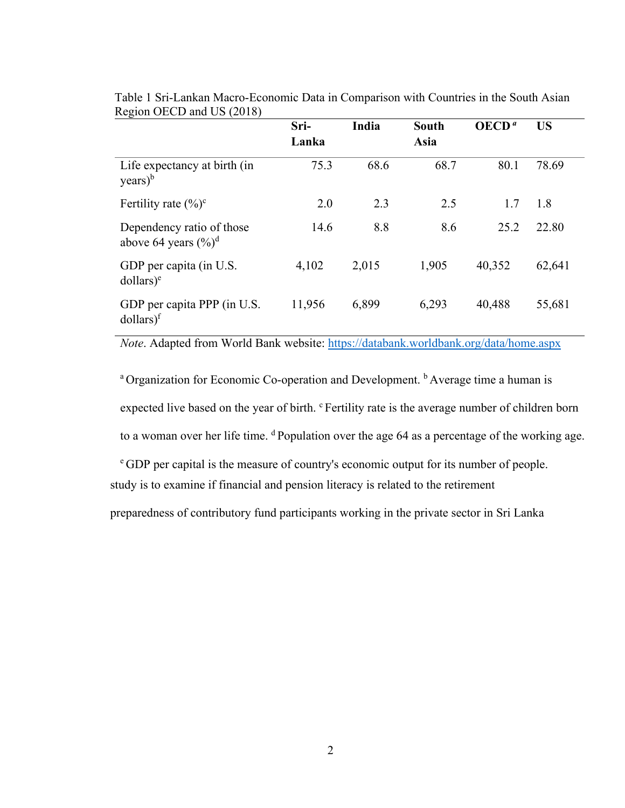|                                                               | Sri-<br>Lanka | India | <b>South</b><br>Asia | OECD <sup>a</sup> | <b>US</b> |
|---------------------------------------------------------------|---------------|-------|----------------------|-------------------|-----------|
| Life expectancy at birth (in<br>$\text{years}$ <sup>b</sup>   | 75.3          | 68.6  | 68.7                 | 80.1              | 78.69     |
| Fertility rate $(\%)^c$                                       | 2.0           | 2.3   | 2.5                  | 1.7               | 1.8       |
| Dependency ratio of those<br>above 64 years $(\frac{6}{6})^d$ | 14.6          | 8.8   | 8.6                  | 25.2              | 22.80     |
| GDP per capita (in U.S.<br>dollars) <sup>e</sup>              | 4,102         | 2,015 | 1,905                | 40,352            | 62,641    |
| GDP per capita PPP (in U.S.<br>$dollars)$ <sup>f</sup>        | 11,956        | 6,899 | 6,293                | 40,488            | 55,681    |

Table 1 Sri-Lankan Macro-Economic Data in Comparison with Countries in the South Asian Region OECD and US (2018)

*Note*. Adapted from World Bank website:<https://databank.worldbank.org/data/home.aspx>

<sup>a</sup> Organization for Economic Co-operation and Development. <sup>b</sup> Average time a human is expected live based on the year of birth. <sup>c</sup> Fertility rate is the average number of children born to a woman over her life time. <sup>d</sup> Population over the age 64 as a percentage of the working age.

study is to examine if financial and pension literacy is related to the retirement e GDP per capital is the measure of country's economic output for its number of people.

preparedness of contributory fund participants working in the private sector in Sri Lanka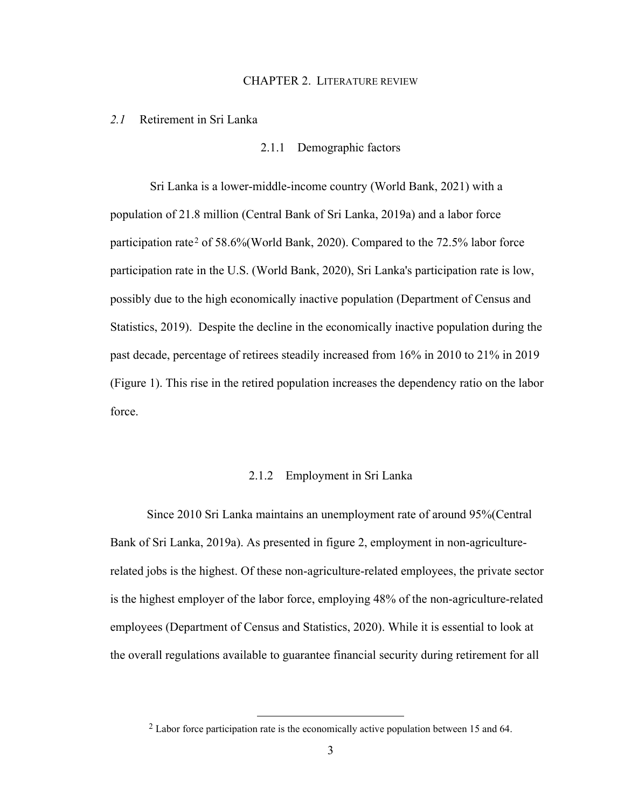#### CHAPTER 2. LITERATURE REVIEW

#### <span id="page-12-2"></span><span id="page-12-1"></span><span id="page-12-0"></span>*2.1* Retirement in Sri Lanka

2.1.1 Demographic factors

Sri Lanka is a lower-middle-income country (World Bank, 2021) with a population of 21.8 million (Central Bank of Sri Lanka, 2019a) and a labor force participation rate<sup>[2](#page-12-4)</sup> of 58.6% (World Bank, 2020). Compared to the 72.5% labor force participation rate in the U.S. (World Bank, 2020), Sri Lanka's participation rate is low, possibly due to the high economically inactive population (Department of Census and Statistics, 2019). Despite the decline in the economically inactive population during the past decade, percentage of retirees steadily increased from 16% in 2010 to 21% in 2019 (Figure 1). This rise in the retired population increases the dependency ratio on the labor force.

## 2.1.2 Employment in Sri Lanka

<span id="page-12-3"></span>Since 2010 Sri Lanka maintains an unemployment rate of around 95%(Central Bank of Sri Lanka, 2019a). As presented in figure 2, employment in non-agriculturerelated jobs is the highest. Of these non-agriculture-related employees, the private sector is the highest employer of the labor force, employing 48% of the non-agriculture-related employees (Department of Census and Statistics, 2020). While it is essential to look at the overall regulations available to guarantee financial security during retirement for all

<span id="page-12-4"></span><sup>2</sup> Labor force participation rate is the economically active population between 15 and 64.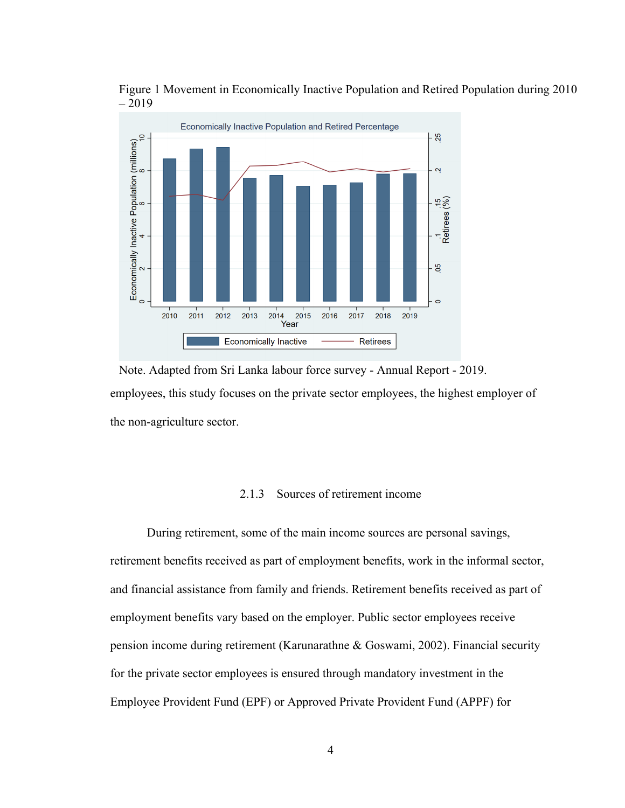



employees, this study focuses on the private sector employees, the highest employer of the non-agriculture sector. Note. Adapted from Sri Lanka labour force survey - Annual Report - 2019.

# 2.1.3 Sources of retirement income

<span id="page-13-0"></span>During retirement, some of the main income sources are personal savings, retirement benefits received as part of employment benefits, work in the informal sector, and financial assistance from family and friends. Retirement benefits received as part of employment benefits vary based on the employer. Public sector employees receive pension income during retirement (Karunarathne & Goswami, 2002). Financial security for the private sector employees is ensured through mandatory investment in the Employee Provident Fund (EPF) or Approved Private Provident Fund (APPF) for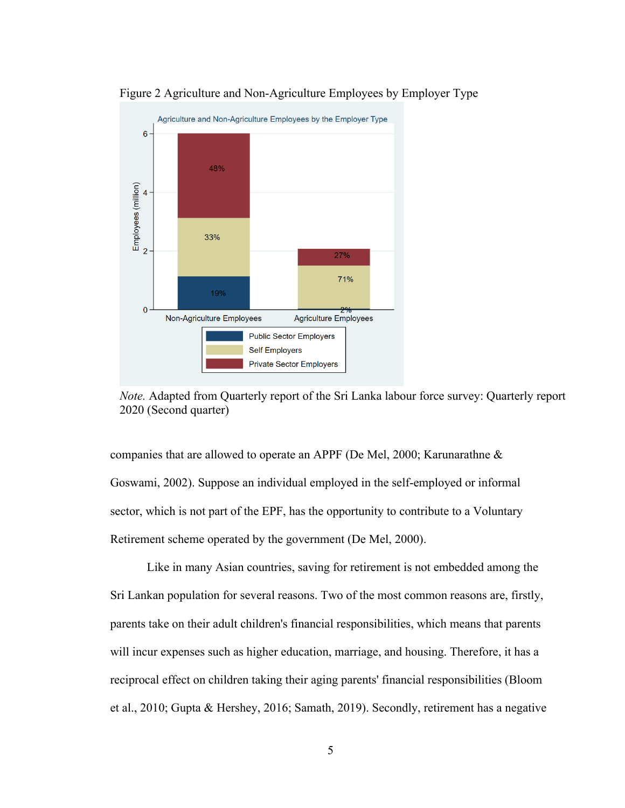

Figure 2 Agriculture and Non-Agriculture Employees by Employer Type

*Note.* Adapted from Quarterly report of the Sri Lanka labour force survey: Quarterly report 2020 (Second quarter)

companies that are allowed to operate an APPF (De Mel, 2000; Karunarathne & Goswami, 2002). Suppose an individual employed in the self-employed or informal sector, which is not part of the EPF, has the opportunity to contribute to a Voluntary Retirement scheme operated by the government (De Mel, 2000).

Like in many Asian countries, saving for retirement is not embedded among the Sri Lankan population for several reasons. Two of the most common reasons are, firstly, parents take on their adult children's financial responsibilities, which means that parents will incur expenses such as higher education, marriage, and housing. Therefore, it has a reciprocal effect on children taking their aging parents' financial responsibilities (Bloom et al., 2010; Gupta & Hershey, 2016; Samath, 2019). Secondly, retirement has a negative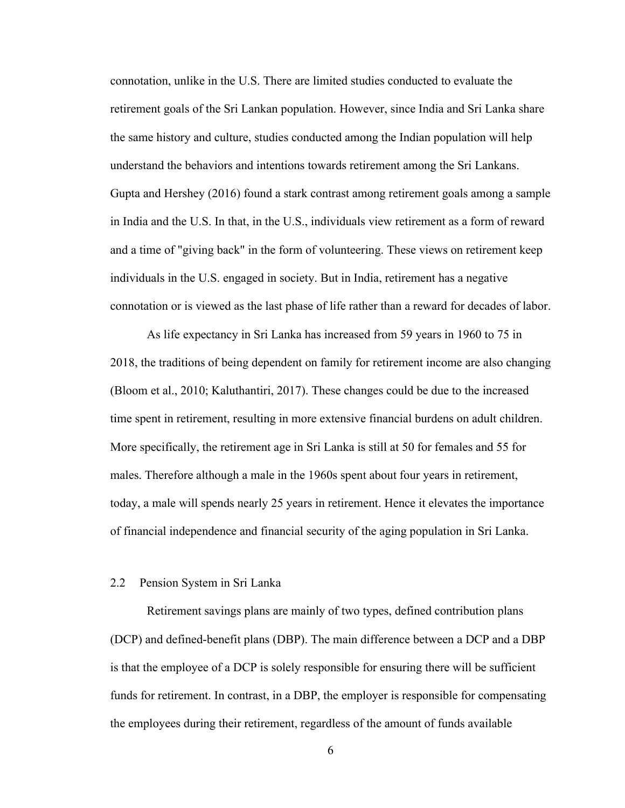connotation, unlike in the U.S. There are limited studies conducted to evaluate the retirement goals of the Sri Lankan population. However, since India and Sri Lanka share the same history and culture, studies conducted among the Indian population will help understand the behaviors and intentions towards retirement among the Sri Lankans. Gupta and Hershey (2016) found a stark contrast among retirement goals among a sample in India and the U.S. In that, in the U.S., individuals view retirement as a form of reward and a time of "giving back" in the form of volunteering. These views on retirement keep individuals in the U.S. engaged in society. But in India, retirement has a negative connotation or is viewed as the last phase of life rather than a reward for decades of labor.

As life expectancy in Sri Lanka has increased from 59 years in 1960 to 75 in 2018, the traditions of being dependent on family for retirement income are also changing (Bloom et al., 2010; Kaluthantiri, 2017). These changes could be due to the increased time spent in retirement, resulting in more extensive financial burdens on adult children. More specifically, the retirement age in Sri Lanka is still at 50 for females and 55 for males. Therefore although a male in the 1960s spent about four years in retirement, today, a male will spends nearly 25 years in retirement. Hence it elevates the importance of financial independence and financial security of the aging population in Sri Lanka.

# <span id="page-15-0"></span>2.2 Pension System in Sri Lanka

Retirement savings plans are mainly of two types, defined contribution plans (DCP) and defined-benefit plans (DBP). The main difference between a DCP and a DBP is that the employee of a DCP is solely responsible for ensuring there will be sufficient funds for retirement. In contrast, in a DBP, the employer is responsible for compensating the employees during their retirement, regardless of the amount of funds available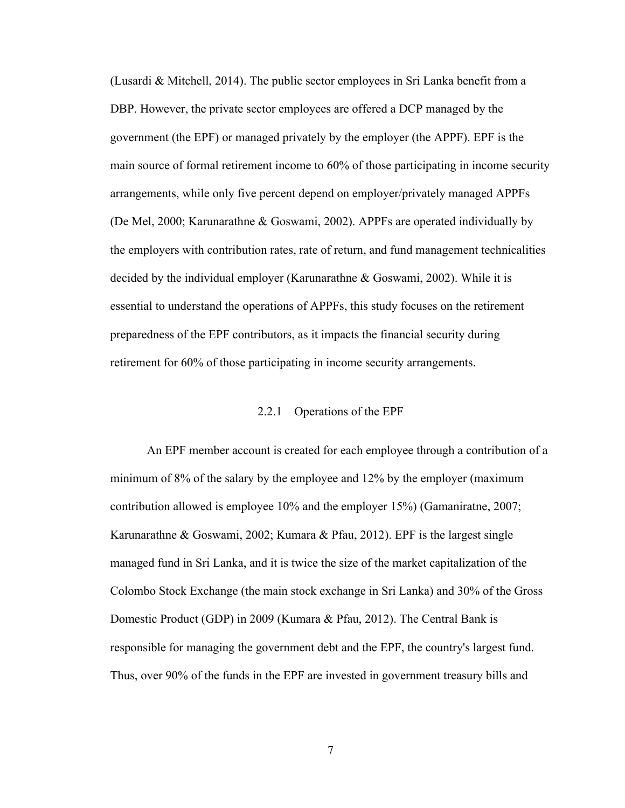(Lusardi & Mitchell, 2014). The public sector employees in Sri Lanka benefit from a DBP. However, the private sector employees are offered a DCP managed by the government (the EPF) or managed privately by the employer (the APPF). EPF is the main source of formal retirement income to 60% of those participating in income security arrangements, while only five percent depend on employer/privately managed APPFs (De Mel, 2000; Karunarathne & Goswami, 2002). APPFs are operated individually by the employers with contribution rates, rate of return, and fund management technicalities decided by the individual employer (Karunarathne & Goswami, 2002). While it is essential to understand the operations of APPFs, this study focuses on the retirement preparedness of the EPF contributors, as it impacts the financial security during retirement for 60% of those participating in income security arrangements.

## 2.2.1 Operations of the EPF

<span id="page-16-0"></span>An EPF member account is created for each employee through a contribution of a minimum of 8% of the salary by the employee and 12% by the employer (maximum contribution allowed is employee 10% and the employer 15%) (Gamaniratne, 2007; Karunarathne & Goswami, 2002; Kumara & Pfau, 2012). EPF is the largest single managed fund in Sri Lanka, and it is twice the size of the market capitalization of the Colombo Stock Exchange (the main stock exchange in Sri Lanka) and 30% of the Gross Domestic Product (GDP) in 2009 (Kumara & Pfau, 2012). The Central Bank is responsible for managing the government debt and the EPF, the country's largest fund. Thus, over 90% of the funds in the EPF are invested in government treasury bills and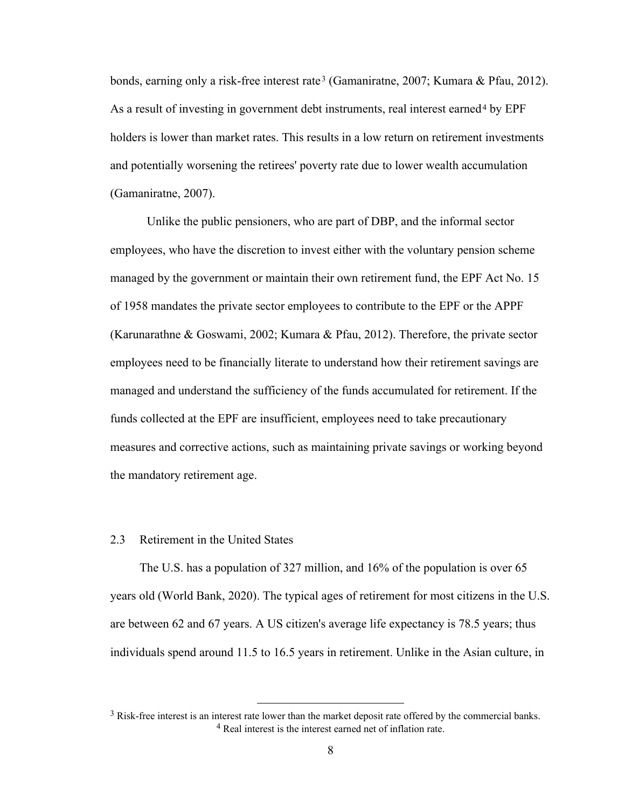bonds, earning only a risk-free interest rate<sup>[3](#page-17-1)</sup> (Gamaniratne, 2007; Kumara & Pfau, 2012). As a result of investing in government debt instruments, real interest earned[4](#page-17-2) by EPF holders is lower than market rates. This results in a low return on retirement investments and potentially worsening the retirees' poverty rate due to lower wealth accumulation (Gamaniratne, 2007).

Unlike the public pensioners, who are part of DBP, and the informal sector employees, who have the discretion to invest either with the voluntary pension scheme managed by the government or maintain their own retirement fund, the EPF Act No. 15 of 1958 mandates the private sector employees to contribute to the EPF or the APPF (Karunarathne & Goswami, 2002; Kumara & Pfau, 2012). Therefore, the private sector employees need to be financially literate to understand how their retirement savings are managed and understand the sufficiency of the funds accumulated for retirement. If the funds collected at the EPF are insufficient, employees need to take precautionary measures and corrective actions, such as maintaining private savings or working beyond the mandatory retirement age.

## <span id="page-17-0"></span>2.3 Retirement in the United States

The U.S. has a population of 327 million, and 16% of the population is over 65 years old (World Bank, 2020). The typical ages of retirement for most citizens in the U.S. are between 62 and 67 years. A US citizen's average life expectancy is 78.5 years; thus individuals spend around 11.5 to 16.5 years in retirement. Unlike in the Asian culture, in

<span id="page-17-2"></span><span id="page-17-1"></span><sup>&</sup>lt;sup>3</sup> Risk-free interest is an interest rate lower than the market deposit rate offered by the commercial banks. <sup>4</sup> Real interest is the interest earned net of inflation rate.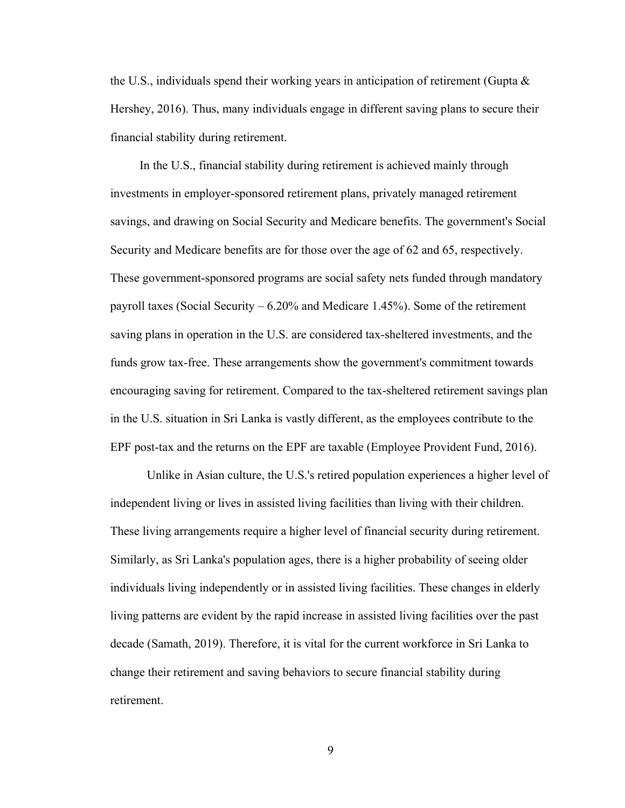the U.S., individuals spend their working years in anticipation of retirement (Gupta  $\&$ Hershey, 2016). Thus, many individuals engage in different saving plans to secure their financial stability during retirement.

In the U.S., financial stability during retirement is achieved mainly through investments in employer-sponsored retirement plans, privately managed retirement savings, and drawing on Social Security and Medicare benefits. The government's Social Security and Medicare benefits are for those over the age of 62 and 65, respectively. These government-sponsored programs are social safety nets funded through mandatory payroll taxes (Social Security – 6.20% and Medicare 1.45%). Some of the retirement saving plans in operation in the U.S. are considered tax-sheltered investments, and the funds grow tax-free. These arrangements show the government's commitment towards encouraging saving for retirement. Compared to the tax-sheltered retirement savings plan in the U.S. situation in Sri Lanka is vastly different, as the employees contribute to the EPF post-tax and the returns on the EPF are taxable (Employee Provident Fund, 2016).

Unlike in Asian culture, the U.S.'s retired population experiences a higher level of independent living or lives in assisted living facilities than living with their children. These living arrangements require a higher level of financial security during retirement. Similarly, as Sri Lanka's population ages, there is a higher probability of seeing older individuals living independently or in assisted living facilities. These changes in elderly living patterns are evident by the rapid increase in assisted living facilities over the past decade (Samath, 2019). Therefore, it is vital for the current workforce in Sri Lanka to change their retirement and saving behaviors to secure financial stability during retirement.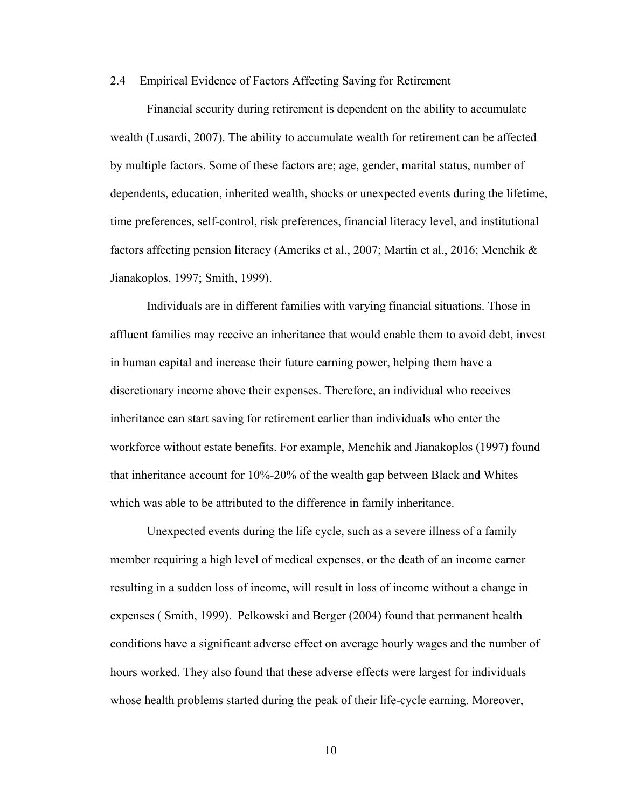#### <span id="page-19-0"></span>2.4 Empirical Evidence of Factors Affecting Saving for Retirement

Financial security during retirement is dependent on the ability to accumulate wealth (Lusardi, 2007). The ability to accumulate wealth for retirement can be affected by multiple factors. Some of these factors are; age, gender, marital status, number of dependents, education, inherited wealth, shocks or unexpected events during the lifetime, time preferences, self-control, risk preferences, financial literacy level, and institutional factors affecting pension literacy (Ameriks et al., 2007; Martin et al., 2016; Menchik & Jianakoplos, 1997; Smith, 1999).

Individuals are in different families with varying financial situations. Those in affluent families may receive an inheritance that would enable them to avoid debt, invest in human capital and increase their future earning power, helping them have a discretionary income above their expenses. Therefore, an individual who receives inheritance can start saving for retirement earlier than individuals who enter the workforce without estate benefits. For example, Menchik and Jianakoplos (1997) found that inheritance account for 10%-20% of the wealth gap between Black and Whites which was able to be attributed to the difference in family inheritance.

Unexpected events during the life cycle, such as a severe illness of a family member requiring a high level of medical expenses, or the death of an income earner resulting in a sudden loss of income, will result in loss of income without a change in expenses ( Smith, 1999). Pelkowski and Berger (2004) found that permanent health conditions have a significant adverse effect on average hourly wages and the number of hours worked. They also found that these adverse effects were largest for individuals whose health problems started during the peak of their life-cycle earning. Moreover,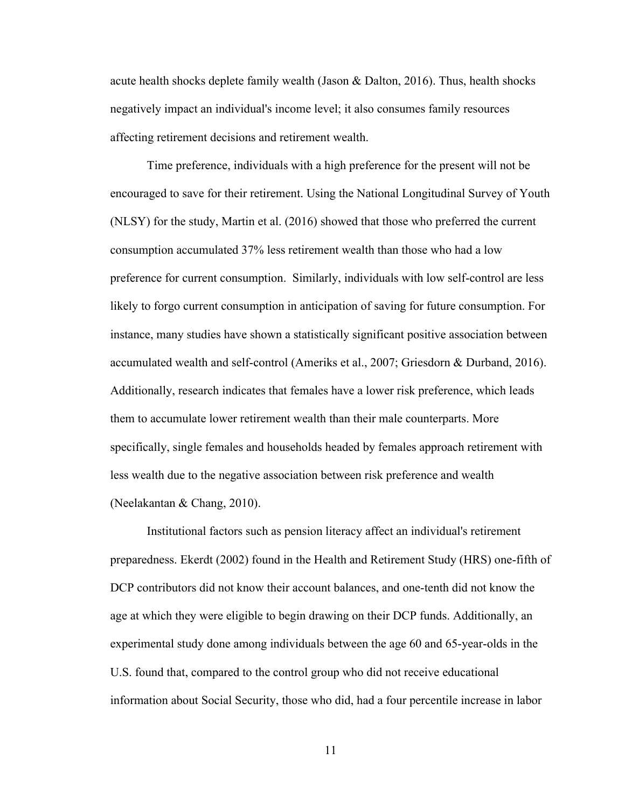acute health shocks deplete family wealth (Jason & Dalton, 2016). Thus, health shocks negatively impact an individual's income level; it also consumes family resources affecting retirement decisions and retirement wealth.

Time preference, individuals with a high preference for the present will not be encouraged to save for their retirement. Using the National Longitudinal Survey of Youth (NLSY) for the study, Martin et al. (2016) showed that those who preferred the current consumption accumulated 37% less retirement wealth than those who had a low preference for current consumption. Similarly, individuals with low self-control are less likely to forgo current consumption in anticipation of saving for future consumption. For instance, many studies have shown a statistically significant positive association between accumulated wealth and self-control (Ameriks et al., 2007; Griesdorn & Durband, 2016). Additionally, research indicates that females have a lower risk preference, which leads them to accumulate lower retirement wealth than their male counterparts. More specifically, single females and households headed by females approach retirement with less wealth due to the negative association between risk preference and wealth (Neelakantan & Chang, 2010).

Institutional factors such as pension literacy affect an individual's retirement preparedness. Ekerdt (2002) found in the Health and Retirement Study (HRS) one-fifth of DCP contributors did not know their account balances, and one-tenth did not know the age at which they were eligible to begin drawing on their DCP funds. Additionally, an experimental study done among individuals between the age 60 and 65-year-olds in the U.S. found that, compared to the control group who did not receive educational information about Social Security, those who did, had a four percentile increase in labor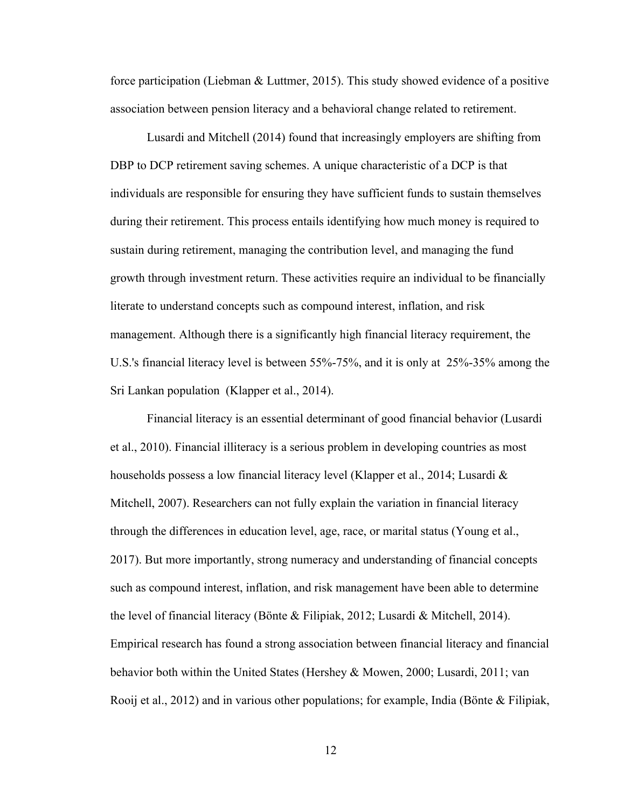force participation (Liebman & Luttmer, 2015). This study showed evidence of a positive association between pension literacy and a behavioral change related to retirement.

Lusardi and Mitchell (2014) found that increasingly employers are shifting from DBP to DCP retirement saving schemes. A unique characteristic of a DCP is that individuals are responsible for ensuring they have sufficient funds to sustain themselves during their retirement. This process entails identifying how much money is required to sustain during retirement, managing the contribution level, and managing the fund growth through investment return. These activities require an individual to be financially literate to understand concepts such as compound interest, inflation, and risk management. Although there is a significantly high financial literacy requirement, the U.S.'s financial literacy level is between 55%-75%, and it is only at 25%-35% among the Sri Lankan population (Klapper et al., 2014).

Financial literacy is an essential determinant of good financial behavior (Lusardi et al., 2010). Financial illiteracy is a serious problem in developing countries as most households possess a low financial literacy level (Klapper et al., 2014; Lusardi & Mitchell, 2007). Researchers can not fully explain the variation in financial literacy through the differences in education level, age, race, or marital status (Young et al., 2017). But more importantly, strong numeracy and understanding of financial concepts such as compound interest, inflation, and risk management have been able to determine the level of financial literacy (Bönte & Filipiak, 2012; Lusardi & Mitchell, 2014). Empirical research has found a strong association between financial literacy and financial behavior both within the United States (Hershey & Mowen, 2000; Lusardi, 2011; van Rooij et al., 2012) and in various other populations; for example, India (Bönte & Filipiak,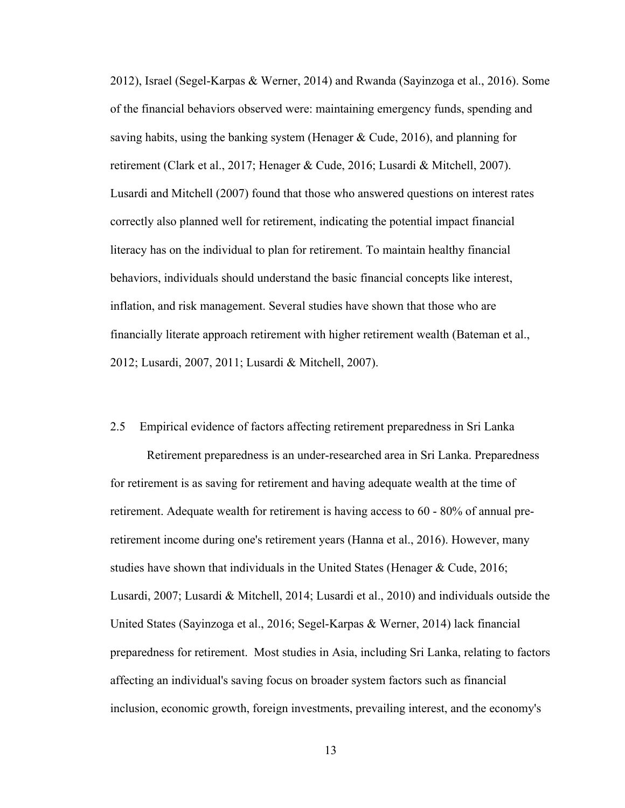2012), Israel (Segel-Karpas & Werner, 2014) and Rwanda (Sayinzoga et al., 2016). Some of the financial behaviors observed were: maintaining emergency funds, spending and saving habits, using the banking system (Henager  $\&$  Cude, 2016), and planning for retirement (Clark et al., 2017; Henager & Cude, 2016; Lusardi & Mitchell, 2007). Lusardi and Mitchell (2007) found that those who answered questions on interest rates correctly also planned well for retirement, indicating the potential impact financial literacy has on the individual to plan for retirement. To maintain healthy financial behaviors, individuals should understand the basic financial concepts like interest, inflation, and risk management. Several studies have shown that those who are financially literate approach retirement with higher retirement wealth (Bateman et al., 2012; Lusardi, 2007, 2011; Lusardi & Mitchell, 2007).

## <span id="page-22-0"></span>2.5 Empirical evidence of factors affecting retirement preparedness in Sri Lanka

Retirement preparedness is an under-researched area in Sri Lanka. Preparedness for retirement is as saving for retirement and having adequate wealth at the time of retirement. Adequate wealth for retirement is having access to 60 - 80% of annual preretirement income during one's retirement years (Hanna et al., 2016). However, many studies have shown that individuals in the United States (Henager & Cude, 2016; Lusardi, 2007; Lusardi & Mitchell, 2014; Lusardi et al., 2010) and individuals outside the United States (Sayinzoga et al., 2016; Segel-Karpas & Werner, 2014) lack financial preparedness for retirement. Most studies in Asia, including Sri Lanka, relating to factors affecting an individual's saving focus on broader system factors such as financial inclusion, economic growth, foreign investments, prevailing interest, and the economy's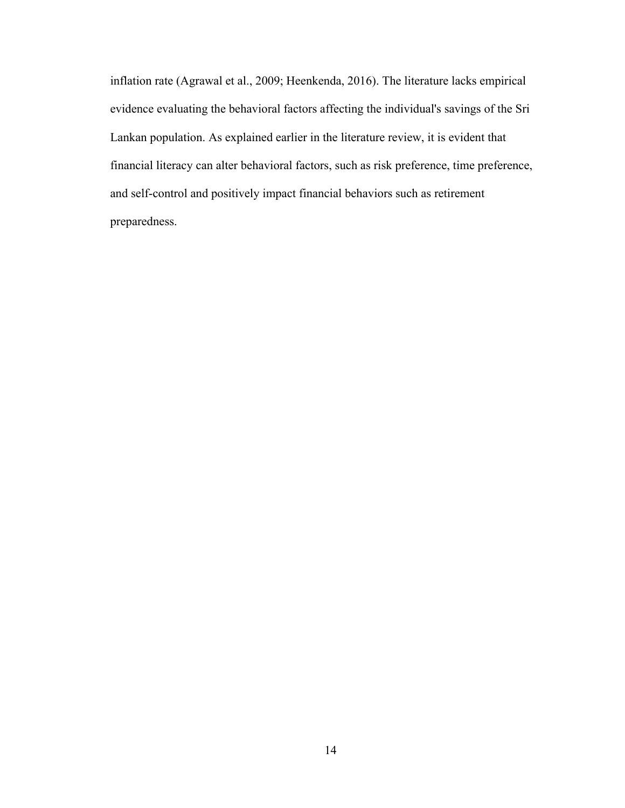inflation rate (Agrawal et al., 2009; Heenkenda, 2016). The literature lacks empirical evidence evaluating the behavioral factors affecting the individual's savings of the Sri Lankan population. As explained earlier in the literature review, it is evident that financial literacy can alter behavioral factors, such as risk preference, time preference, and self-control and positively impact financial behaviors such as retirement preparedness.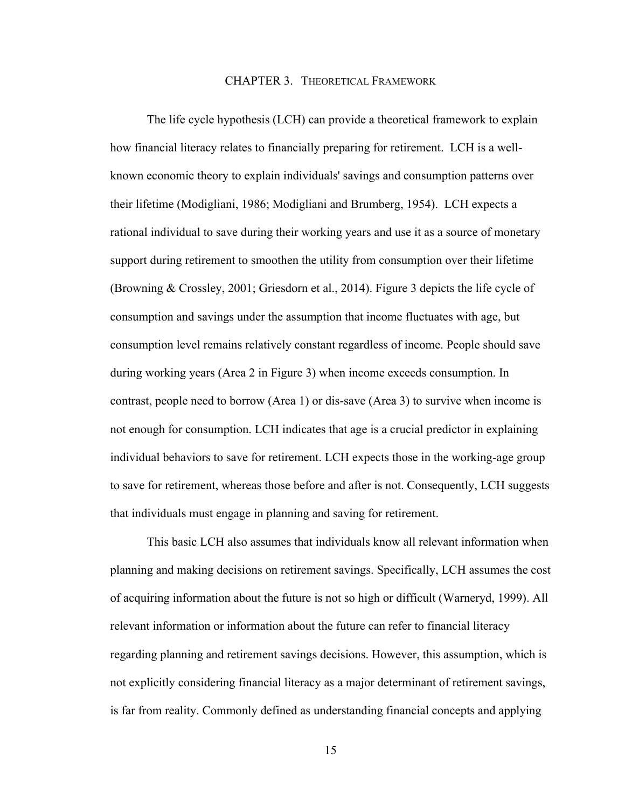### <span id="page-24-0"></span>CHAPTER 3. THEORETICAL FRAMEWORK

The life cycle hypothesis (LCH) can provide a theoretical framework to explain how financial literacy relates to financially preparing for retirement. LCH is a wellknown economic theory to explain individuals' savings and consumption patterns over their lifetime (Modigliani, 1986; Modigliani and Brumberg, 1954). LCH expects a rational individual to save during their working years and use it as a source of monetary support during retirement to smoothen the utility from consumption over their lifetime (Browning & Crossley, 2001; Griesdorn et al., 2014). Figure 3 depicts the life cycle of consumption and savings under the assumption that income fluctuates with age, but consumption level remains relatively constant regardless of income. People should save during working years (Area 2 in Figure 3) when income exceeds consumption. In contrast, people need to borrow (Area 1) or dis-save (Area 3) to survive when income is not enough for consumption. LCH indicates that age is a crucial predictor in explaining individual behaviors to save for retirement. LCH expects those in the working-age group to save for retirement, whereas those before and after is not. Consequently, LCH suggests that individuals must engage in planning and saving for retirement.

This basic LCH also assumes that individuals know all relevant information when planning and making decisions on retirement savings. Specifically, LCH assumes the cost of acquiring information about the future is not so high or difficult (Warneryd, 1999). All relevant information or information about the future can refer to financial literacy regarding planning and retirement savings decisions. However, this assumption, which is not explicitly considering financial literacy as a major determinant of retirement savings, is far from reality. Commonly defined as understanding financial concepts and applying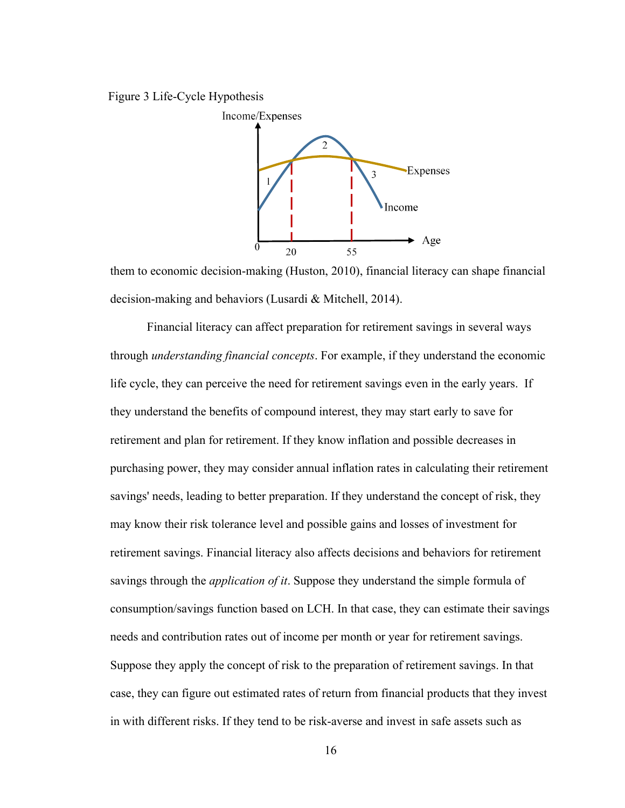Figure 3 Life-Cycle Hypothesis



them to economic decision-making (Huston, 2010), financial literacy can shape financial decision-making and behaviors (Lusardi & Mitchell, 2014).

Financial literacy can affect preparation for retirement savings in several ways through *understanding financial concepts*. For example, if they understand the economic life cycle, they can perceive the need for retirement savings even in the early years. If they understand the benefits of compound interest, they may start early to save for retirement and plan for retirement. If they know inflation and possible decreases in purchasing power, they may consider annual inflation rates in calculating their retirement savings' needs, leading to better preparation. If they understand the concept of risk, they may know their risk tolerance level and possible gains and losses of investment for retirement savings. Financial literacy also affects decisions and behaviors for retirement savings through the *application of it*. Suppose they understand the simple formula of consumption/savings function based on LCH. In that case, they can estimate their savings needs and contribution rates out of income per month or year for retirement savings. Suppose they apply the concept of risk to the preparation of retirement savings. In that case, they can figure out estimated rates of return from financial products that they invest in with different risks. If they tend to be risk-averse and invest in safe assets such as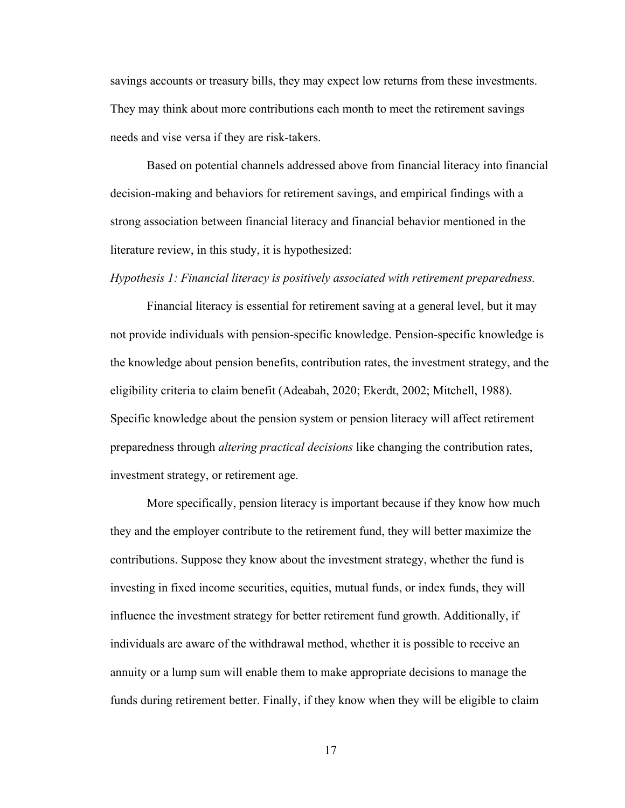savings accounts or treasury bills, they may expect low returns from these investments. They may think about more contributions each month to meet the retirement savings needs and vise versa if they are risk-takers.

Based on potential channels addressed above from financial literacy into financial decision-making and behaviors for retirement savings, and empirical findings with a strong association between financial literacy and financial behavior mentioned in the literature review, in this study, it is hypothesized:

#### *Hypothesis 1: Financial literacy is positively associated with retirement preparedness.*

Financial literacy is essential for retirement saving at a general level, but it may not provide individuals with pension-specific knowledge. Pension-specific knowledge is the knowledge about pension benefits, contribution rates, the investment strategy, and the eligibility criteria to claim benefit (Adeabah, 2020; Ekerdt, 2002; Mitchell, 1988). Specific knowledge about the pension system or pension literacy will affect retirement preparedness through *altering practical decisions* like changing the contribution rates, investment strategy, or retirement age.

More specifically, pension literacy is important because if they know how much they and the employer contribute to the retirement fund, they will better maximize the contributions. Suppose they know about the investment strategy, whether the fund is investing in fixed income securities, equities, mutual funds, or index funds, they will influence the investment strategy for better retirement fund growth. Additionally, if individuals are aware of the withdrawal method, whether it is possible to receive an annuity or a lump sum will enable them to make appropriate decisions to manage the funds during retirement better. Finally, if they know when they will be eligible to claim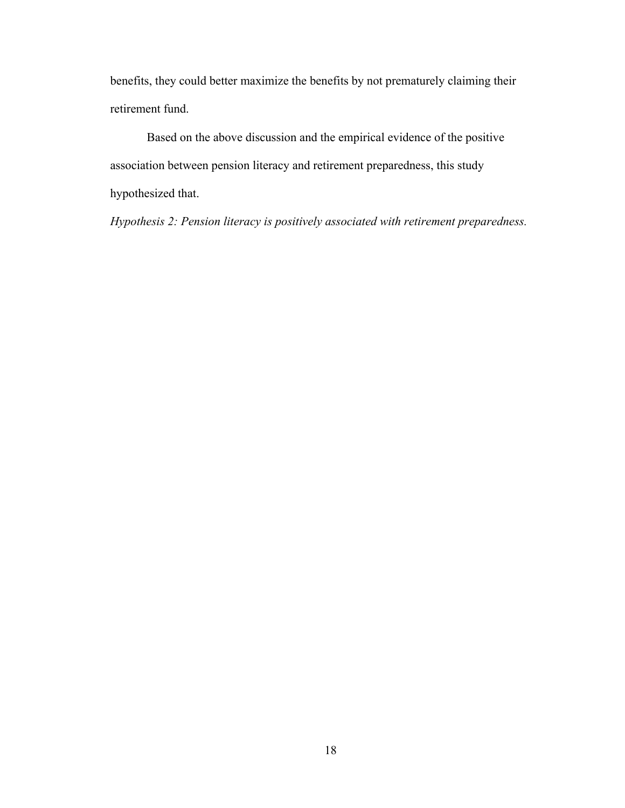benefits, they could better maximize the benefits by not prematurely claiming their retirement fund.

Based on the above discussion and the empirical evidence of the positive association between pension literacy and retirement preparedness, this study hypothesized that.

*Hypothesis 2: Pension literacy is positively associated with retirement preparedness.*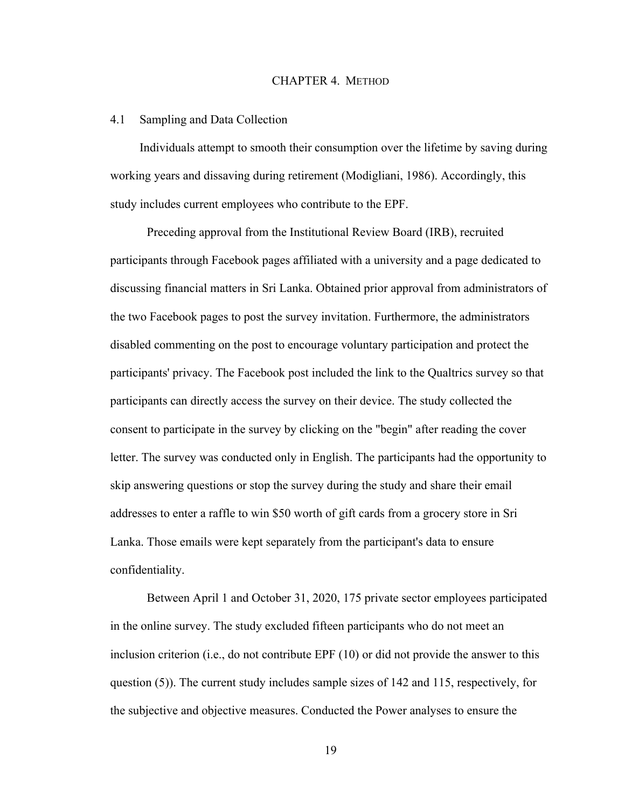#### CHAPTER 4. METHOD

#### <span id="page-28-1"></span><span id="page-28-0"></span>4.1 Sampling and Data Collection

Individuals attempt to smooth their consumption over the lifetime by saving during working years and dissaving during retirement (Modigliani, 1986). Accordingly, this study includes current employees who contribute to the EPF.

Preceding approval from the Institutional Review Board (IRB), recruited participants through Facebook pages affiliated with a university and a page dedicated to discussing financial matters in Sri Lanka. Obtained prior approval from administrators of the two Facebook pages to post the survey invitation. Furthermore, the administrators disabled commenting on the post to encourage voluntary participation and protect the participants' privacy. The Facebook post included the link to the Qualtrics survey so that participants can directly access the survey on their device. The study collected the consent to participate in the survey by clicking on the "begin" after reading the cover letter. The survey was conducted only in English. The participants had the opportunity to skip answering questions or stop the survey during the study and share their email addresses to enter a raffle to win \$50 worth of gift cards from a grocery store in Sri Lanka. Those emails were kept separately from the participant's data to ensure confidentiality.

Between April 1 and October 31, 2020, 175 private sector employees participated in the online survey. The study excluded fifteen participants who do not meet an inclusion criterion (i.e., do not contribute EPF (10) or did not provide the answer to this question (5)). The current study includes sample sizes of 142 and 115, respectively, for the subjective and objective measures. Conducted the Power analyses to ensure the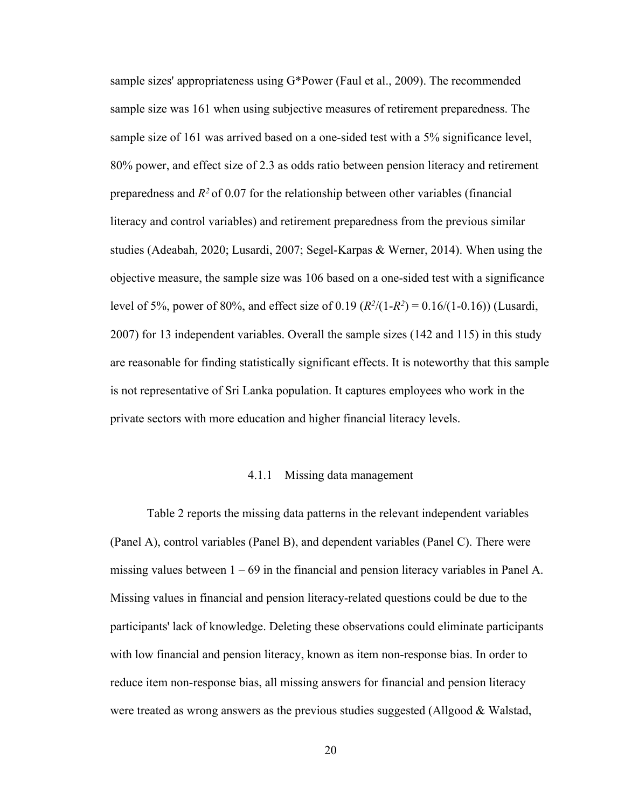sample sizes' appropriateness using G\*Power (Faul et al., 2009). The recommended sample size was 161 when using subjective measures of retirement preparedness. The sample size of 161 was arrived based on a one-sided test with a 5% significance level, 80% power, and effect size of 2.3 as odds ratio between pension literacy and retirement preparedness and  $R<sup>2</sup>$  of 0.07 for the relationship between other variables (financial literacy and control variables) and retirement preparedness from the previous similar studies (Adeabah, 2020; Lusardi, 2007; Segel-Karpas & Werner, 2014). When using the objective measure, the sample size was 106 based on a one-sided test with a significance level of 5%, power of 80%, and effect size of 0.19  $(R^2/(1-R^2) = 0.16/(1-0.16))$  (Lusardi, 2007) for 13 independent variables. Overall the sample sizes (142 and 115) in this study are reasonable for finding statistically significant effects. It is noteworthy that this sample is not representative of Sri Lanka population. It captures employees who work in the private sectors with more education and higher financial literacy levels.

#### 4.1.1 Missing data management

<span id="page-29-0"></span>Table 2 reports the missing data patterns in the relevant independent variables (Panel A), control variables (Panel B), and dependent variables (Panel C). There were missing values between  $1 - 69$  in the financial and pension literacy variables in Panel A. Missing values in financial and pension literacy-related questions could be due to the participants' lack of knowledge. Deleting these observations could eliminate participants with low financial and pension literacy, known as item non-response bias. In order to reduce item non-response bias, all missing answers for financial and pension literacy were treated as wrong answers as the previous studies suggested (Allgood & Walstad,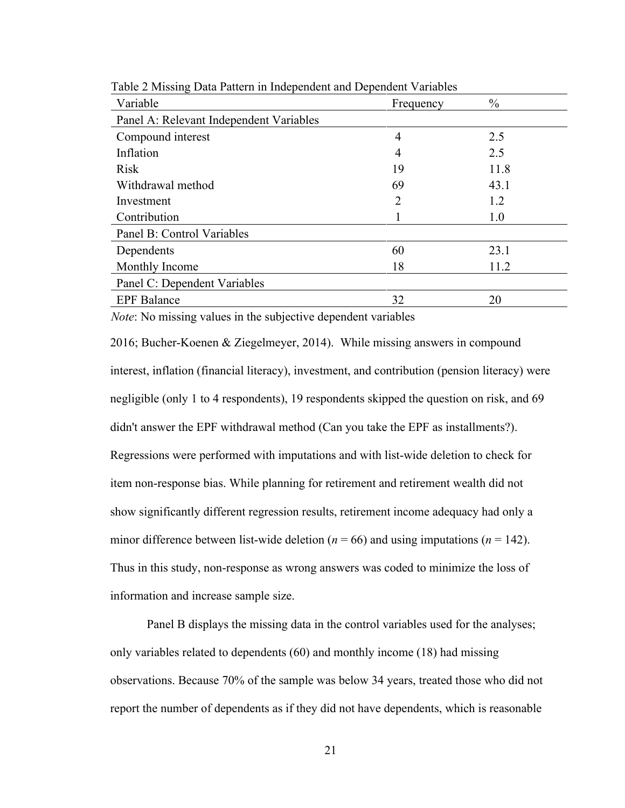| Variable                                | Frequency | $\frac{0}{0}$ |
|-----------------------------------------|-----------|---------------|
| Panel A: Relevant Independent Variables |           |               |
| Compound interest                       | 4         | 2.5           |
| Inflation                               | 4         | 2.5           |
| <b>Risk</b>                             | 19        | 11.8          |
| Withdrawal method                       | 69        | 43.1          |
| Investment                              | 2         | 1.2           |
| Contribution                            |           | 1.0           |
| Panel B: Control Variables              |           |               |
| Dependents                              | 60        | 23.1          |
| Monthly Income                          | 18        | 11.2          |
| Panel C: Dependent Variables            |           |               |
| <b>EPF</b> Balance                      | 32        | 20            |

Table 2 Missing Data Pattern in Independent and Dependent Variables

*Note*: No missing values in the subjective dependent variables

2016; Bucher-Koenen & Ziegelmeyer, 2014). While missing answers in compound interest, inflation (financial literacy), investment, and contribution (pension literacy) were negligible (only 1 to 4 respondents), 19 respondents skipped the question on risk, and 69 didn't answer the EPF withdrawal method (Can you take the EPF as installments?). Regressions were performed with imputations and with list-wide deletion to check for item non-response bias. While planning for retirement and retirement wealth did not show significantly different regression results, retirement income adequacy had only a minor difference between list-wide deletion ( $n = 66$ ) and using imputations ( $n = 142$ ). Thus in this study, non-response as wrong answers was coded to minimize the loss of information and increase sample size.

Panel B displays the missing data in the control variables used for the analyses; only variables related to dependents (60) and monthly income (18) had missing observations. Because 70% of the sample was below 34 years, treated those who did not report the number of dependents as if they did not have dependents, which is reasonable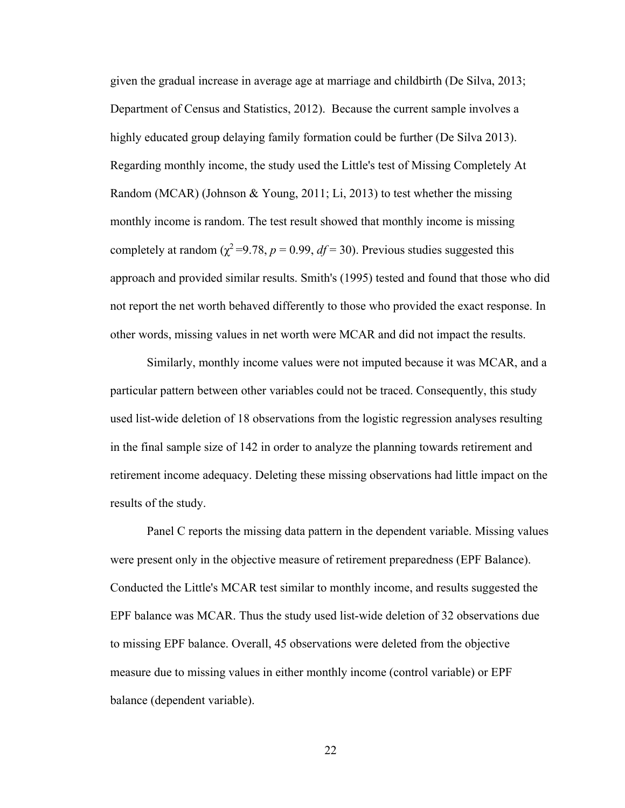given the gradual increase in average age at marriage and childbirth (De Silva, 2013; Department of Census and Statistics, 2012). Because the current sample involves a highly educated group delaying family formation could be further (De Silva 2013). Regarding monthly income, the study used the Little's test of Missing Completely At Random (MCAR) (Johnson & Young, 2011; Li, 2013) to test whether the missing monthly income is random. The test result showed that monthly income is missing completely at random ( $\chi^2$ =9.78, *p* = 0.99, *df* = 30). Previous studies suggested this approach and provided similar results. Smith's (1995) tested and found that those who did not report the net worth behaved differently to those who provided the exact response. In other words, missing values in net worth were MCAR and did not impact the results.

Similarly, monthly income values were not imputed because it was MCAR, and a particular pattern between other variables could not be traced. Consequently, this study used list-wide deletion of 18 observations from the logistic regression analyses resulting in the final sample size of 142 in order to analyze the planning towards retirement and retirement income adequacy. Deleting these missing observations had little impact on the results of the study.

Panel C reports the missing data pattern in the dependent variable. Missing values were present only in the objective measure of retirement preparedness (EPF Balance). Conducted the Little's MCAR test similar to monthly income, and results suggested the EPF balance was MCAR. Thus the study used list-wide deletion of 32 observations due to missing EPF balance. Overall, 45 observations were deleted from the objective measure due to missing values in either monthly income (control variable) or EPF balance (dependent variable).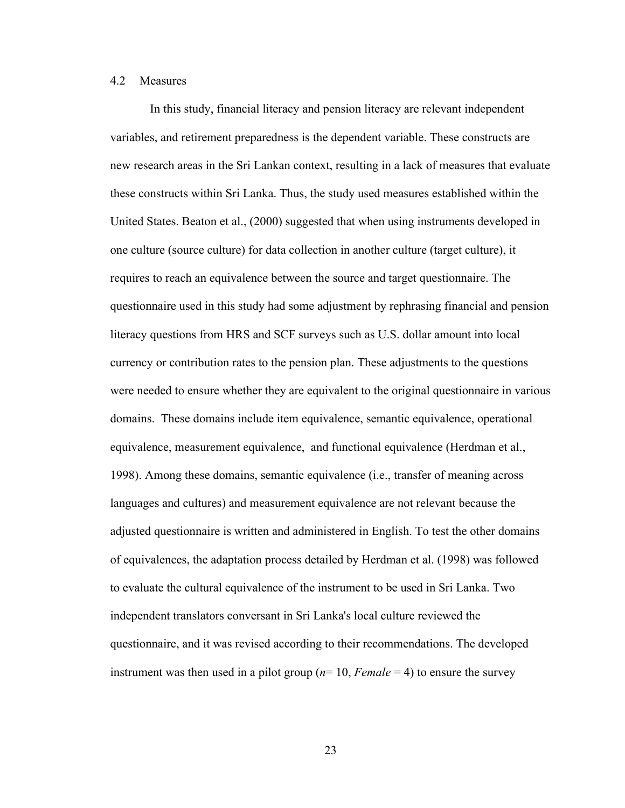## <span id="page-32-0"></span>4.2 Measures

In this study, financial literacy and pension literacy are relevant independent variables, and retirement preparedness is the dependent variable. These constructs are new research areas in the Sri Lankan context, resulting in a lack of measures that evaluate these constructs within Sri Lanka. Thus, the study used measures established within the United States. Beaton et al., (2000) suggested that when using instruments developed in one culture (source culture) for data collection in another culture (target culture), it requires to reach an equivalence between the source and target questionnaire. The questionnaire used in this study had some adjustment by rephrasing financial and pension literacy questions from HRS and SCF surveys such as U.S. dollar amount into local currency or contribution rates to the pension plan. These adjustments to the questions were needed to ensure whether they are equivalent to the original questionnaire in various domains. These domains include item equivalence, semantic equivalence, operational equivalence, measurement equivalence, and functional equivalence (Herdman et al., 1998). Among these domains, semantic equivalence (i.e., transfer of meaning across languages and cultures) and measurement equivalence are not relevant because the adjusted questionnaire is written and administered in English. To test the other domains of equivalences, the adaptation process detailed by Herdman et al. (1998) was followed to evaluate the cultural equivalence of the instrument to be used in Sri Lanka. Two independent translators conversant in Sri Lanka's local culture reviewed the questionnaire, and it was revised according to their recommendations. The developed instrument was then used in a pilot group (*n*= 10, *Female* = 4) to ensure the survey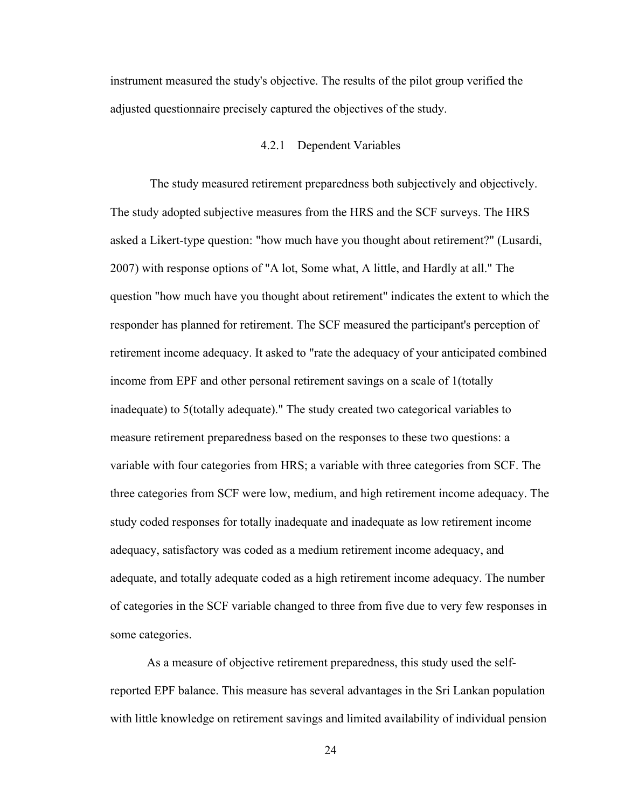instrument measured the study's objective. The results of the pilot group verified the adjusted questionnaire precisely captured the objectives of the study.

# 4.2.1 Dependent Variables

<span id="page-33-0"></span>The study measured retirement preparedness both subjectively and objectively. The study adopted subjective measures from the HRS and the SCF surveys. The HRS asked a Likert-type question: "how much have you thought about retirement?" (Lusardi, 2007) with response options of "A lot, Some what, A little, and Hardly at all." The question "how much have you thought about retirement" indicates the extent to which the responder has planned for retirement. The SCF measured the participant's perception of retirement income adequacy. It asked to "rate the adequacy of your anticipated combined income from EPF and other personal retirement savings on a scale of 1(totally inadequate) to 5(totally adequate)." The study created two categorical variables to measure retirement preparedness based on the responses to these two questions: a variable with four categories from HRS; a variable with three categories from SCF. The three categories from SCF were low, medium, and high retirement income adequacy. The study coded responses for totally inadequate and inadequate as low retirement income adequacy, satisfactory was coded as a medium retirement income adequacy, and adequate, and totally adequate coded as a high retirement income adequacy. The number of categories in the SCF variable changed to three from five due to very few responses in some categories.

As a measure of objective retirement preparedness, this study used the selfreported EPF balance. This measure has several advantages in the Sri Lankan population with little knowledge on retirement savings and limited availability of individual pension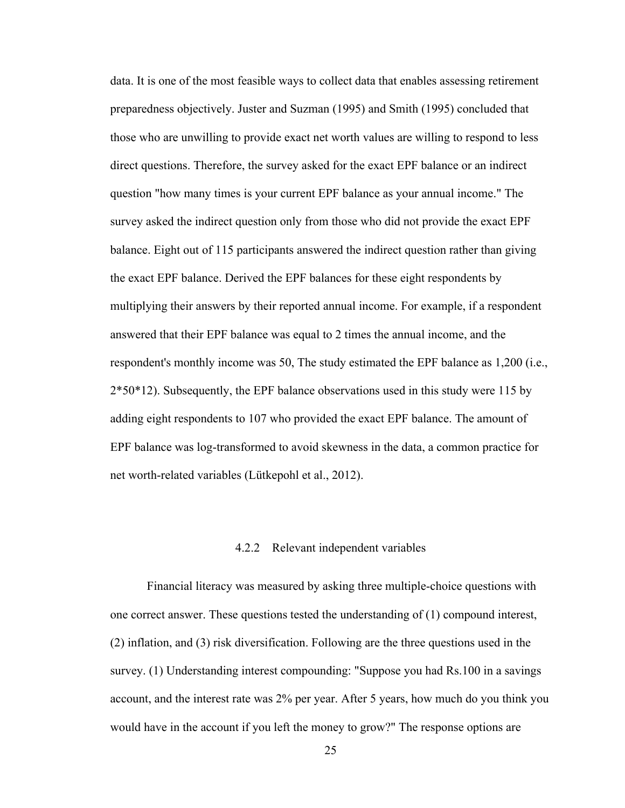data. It is one of the most feasible ways to collect data that enables assessing retirement preparedness objectively. Juster and Suzman (1995) and Smith (1995) concluded that those who are unwilling to provide exact net worth values are willing to respond to less direct questions. Therefore, the survey asked for the exact EPF balance or an indirect question "how many times is your current EPF balance as your annual income." The survey asked the indirect question only from those who did not provide the exact EPF balance. Eight out of 115 participants answered the indirect question rather than giving the exact EPF balance. Derived the EPF balances for these eight respondents by multiplying their answers by their reported annual income. For example, if a respondent answered that their EPF balance was equal to 2 times the annual income, and the respondent's monthly income was 50, The study estimated the EPF balance as 1,200 (i.e., 2\*50\*12). Subsequently, the EPF balance observations used in this study were 115 by adding eight respondents to 107 who provided the exact EPF balance. The amount of EPF balance was log-transformed to avoid skewness in the data, a common practice for net worth-related variables (Lütkepohl et al., 2012).

# 4.2.2 Relevant independent variables

<span id="page-34-0"></span>Financial literacy was measured by asking three multiple-choice questions with one correct answer. These questions tested the understanding of (1) compound interest, (2) inflation, and (3) risk diversification. Following are the three questions used in the survey. (1) Understanding interest compounding: "Suppose you had Rs.100 in a savings account, and the interest rate was 2% per year. After 5 years, how much do you think you would have in the account if you left the money to grow?" The response options are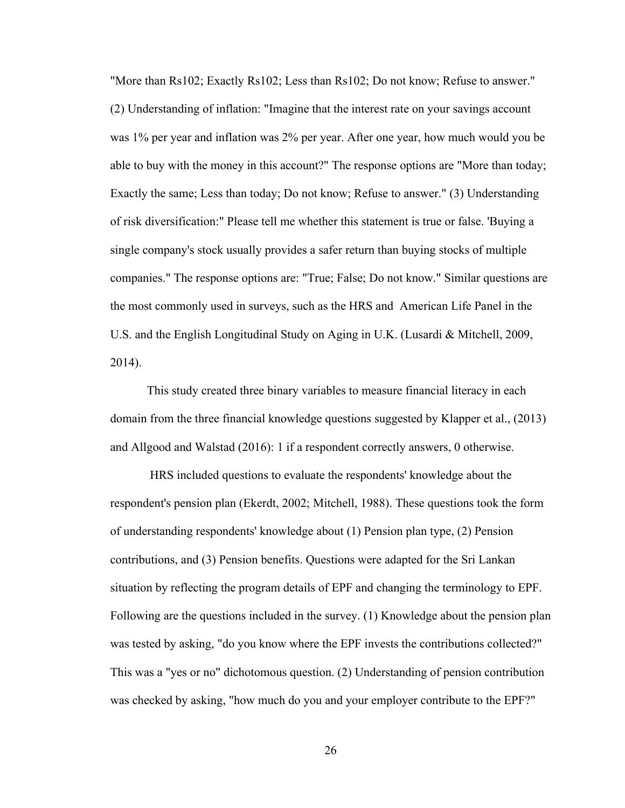"More than Rs102; Exactly Rs102; Less than Rs102; Do not know; Refuse to answer." (2) Understanding of inflation: "Imagine that the interest rate on your savings account was 1% per year and inflation was 2% per year. After one year, how much would you be able to buy with the money in this account?" The response options are "More than today; Exactly the same; Less than today; Do not know; Refuse to answer." (3) Understanding of risk diversification:" Please tell me whether this statement is true or false. 'Buying a single company's stock usually provides a safer return than buying stocks of multiple companies." The response options are: "True; False; Do not know." Similar questions are the most commonly used in surveys, such as the HRS and American Life Panel in the U.S. and the English Longitudinal Study on Aging in U.K. (Lusardi & Mitchell, 2009, 2014).

This study created three binary variables to measure financial literacy in each domain from the three financial knowledge questions suggested by Klapper et al., (2013) and Allgood and Walstad (2016): 1 if a respondent correctly answers, 0 otherwise.

HRS included questions to evaluate the respondents' knowledge about the respondent's pension plan (Ekerdt, 2002; Mitchell, 1988). These questions took the form of understanding respondents' knowledge about (1) Pension plan type, (2) Pension contributions, and (3) Pension benefits. Questions were adapted for the Sri Lankan situation by reflecting the program details of EPF and changing the terminology to EPF. Following are the questions included in the survey. (1) Knowledge about the pension plan was tested by asking, "do you know where the EPF invests the contributions collected?" This was a "yes or no" dichotomous question. (2) Understanding of pension contribution was checked by asking, "how much do you and your employer contribute to the EPF?"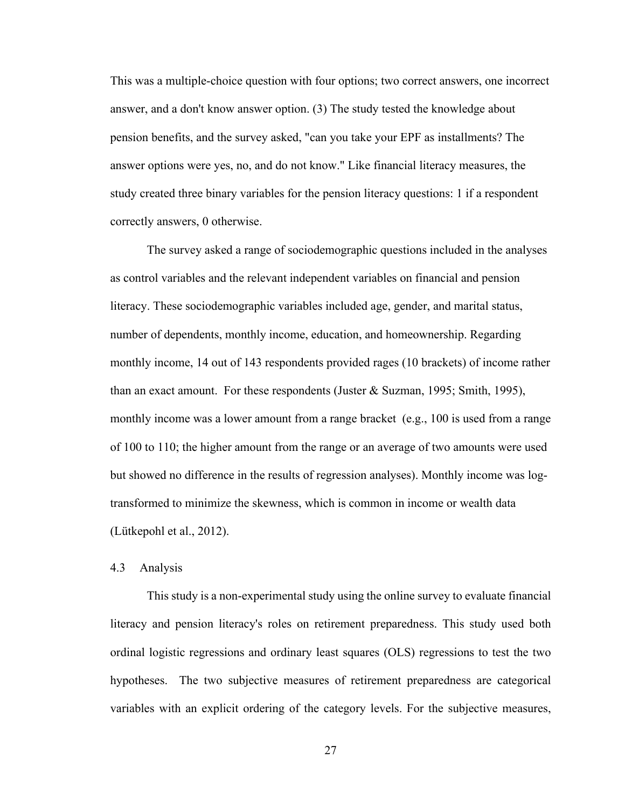This was a multiple-choice question with four options; two correct answers, one incorrect answer, and a don't know answer option. (3) The study tested the knowledge about pension benefits, and the survey asked, "can you take your EPF as installments? The answer options were yes, no, and do not know." Like financial literacy measures, the study created three binary variables for the pension literacy questions: 1 if a respondent correctly answers, 0 otherwise.

The survey asked a range of sociodemographic questions included in the analyses as control variables and the relevant independent variables on financial and pension literacy. These sociodemographic variables included age, gender, and marital status, number of dependents, monthly income, education, and homeownership. Regarding monthly income, 14 out of 143 respondents provided rages (10 brackets) of income rather than an exact amount. For these respondents (Juster & Suzman, 1995; Smith, 1995), monthly income was a lower amount from a range bracket (e.g., 100 is used from a range of 100 to 110; the higher amount from the range or an average of two amounts were used but showed no difference in the results of regression analyses). Monthly income was logtransformed to minimize the skewness, which is common in income or wealth data (Lütkepohl et al., 2012).

#### <span id="page-36-0"></span>4.3 Analysis

This study is a non-experimental study using the online survey to evaluate financial literacy and pension literacy's roles on retirement preparedness. This study used both ordinal logistic regressions and ordinary least squares (OLS) regressions to test the two hypotheses. The two subjective measures of retirement preparedness are categorical variables with an explicit ordering of the category levels. For the subjective measures,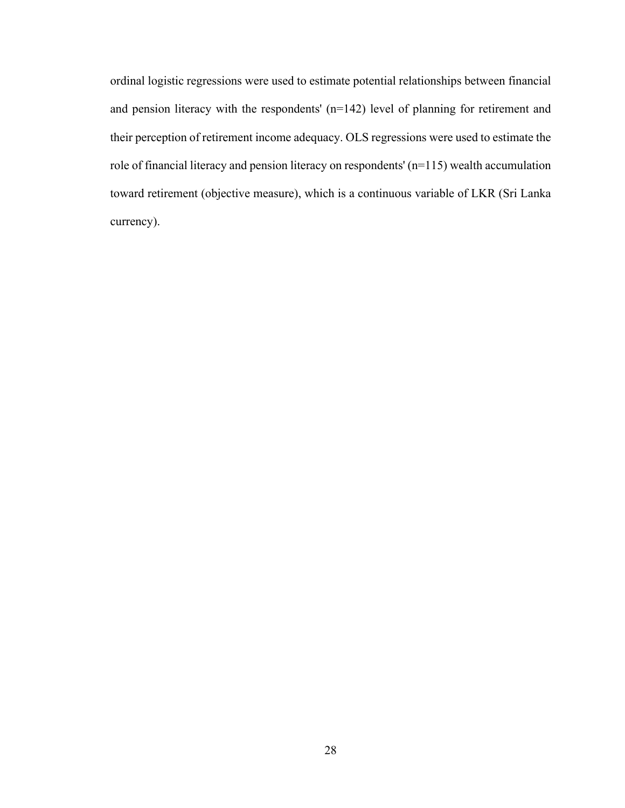ordinal logistic regressions were used to estimate potential relationships between financial and pension literacy with the respondents' (n=142) level of planning for retirement and their perception of retirement income adequacy. OLS regressions were used to estimate the role of financial literacy and pension literacy on respondents' (n=115) wealth accumulation toward retirement (objective measure), which is a continuous variable of LKR (Sri Lanka currency).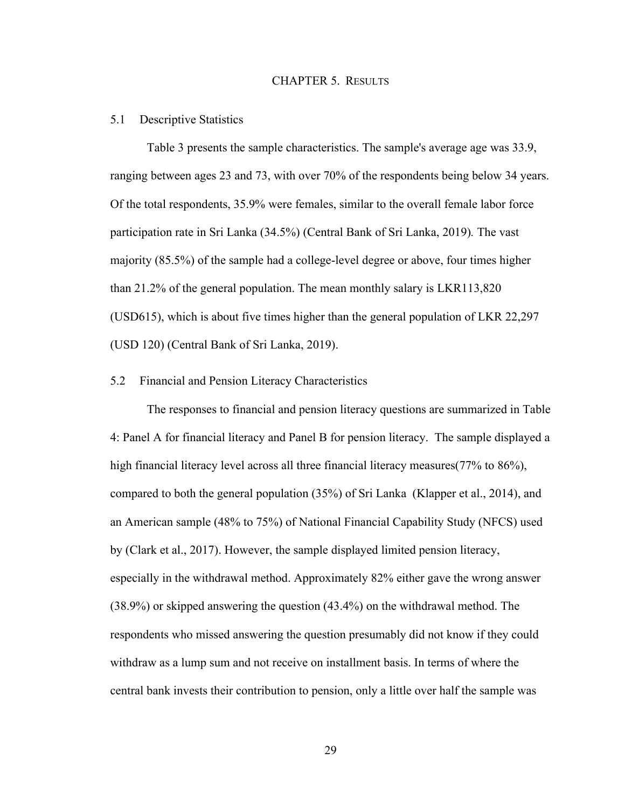### CHAPTER 5. RESULTS

#### <span id="page-38-1"></span><span id="page-38-0"></span>5.1 Descriptive Statistics

Table 3 presents the sample characteristics. The sample's average age was 33.9, ranging between ages 23 and 73, with over 70% of the respondents being below 34 years. Of the total respondents, 35.9% were females, similar to the overall female labor force participation rate in Sri Lanka (34.5%) (Central Bank of Sri Lanka, 2019)*.* The vast majority (85.5%) of the sample had a college-level degree or above, four times higher than 21.2% of the general population. The mean monthly salary is LKR113,820 (USD615), which is about five times higher than the general population of LKR 22,297 (USD 120) (Central Bank of Sri Lanka, 2019).

## <span id="page-38-2"></span>5.2 Financial and Pension Literacy Characteristics

The responses to financial and pension literacy questions are summarized in Table 4: Panel A for financial literacy and Panel B for pension literacy. The sample displayed a high financial literacy level across all three financial literacy measures(77% to 86%), compared to both the general population (35%) of Sri Lanka (Klapper et al., 2014), and an American sample (48% to 75%) of National Financial Capability Study (NFCS) used by (Clark et al., 2017). However, the sample displayed limited pension literacy, especially in the withdrawal method. Approximately 82% either gave the wrong answer (38.9%) or skipped answering the question (43.4%) on the withdrawal method. The respondents who missed answering the question presumably did not know if they could withdraw as a lump sum and not receive on installment basis. In terms of where the central bank invests their contribution to pension, only a little over half the sample was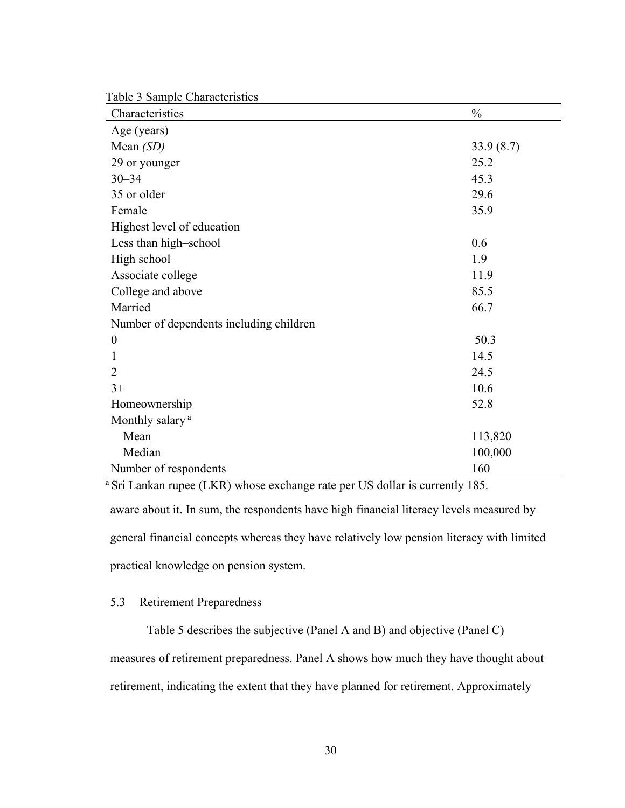Table 3 Sample Characteristics

| Characteristics                         | $\frac{0}{0}$ |
|-----------------------------------------|---------------|
| Age (years)                             |               |
| Mean $(SD)$                             | 33.9(8.7)     |
| 29 or younger                           | 25.2          |
| $30 - 34$                               | 45.3          |
| 35 or older                             | 29.6          |
| Female                                  | 35.9          |
| Highest level of education              |               |
| Less than high-school                   | 0.6           |
| High school                             | 1.9           |
| Associate college                       | 11.9          |
| College and above                       | 85.5          |
| Married                                 | 66.7          |
| Number of dependents including children |               |
| $\boldsymbol{0}$                        | 50.3          |
| 1                                       | 14.5          |
| $\overline{2}$                          | 24.5          |
| $3+$                                    | 10.6          |
| Homeownership                           | 52.8          |
| Monthly salary <sup>a</sup>             |               |
| Mean                                    | 113,820       |
| Median                                  | 100,000       |
| Number of respondents                   | 160           |

aware about it. In sum, the respondents have high financial literacy levels measured by general financial concepts whereas they have relatively low pension literacy with limited practical knowledge on pension system. <sup>a</sup> Sri Lankan rupee (LKR) whose exchange rate per US dollar is currently 185.

# <span id="page-39-0"></span>5.3 Retirement Preparedness

Table 5 describes the subjective (Panel A and B) and objective (Panel C) measures of retirement preparedness. Panel A shows how much they have thought about retirement, indicating the extent that they have planned for retirement. Approximately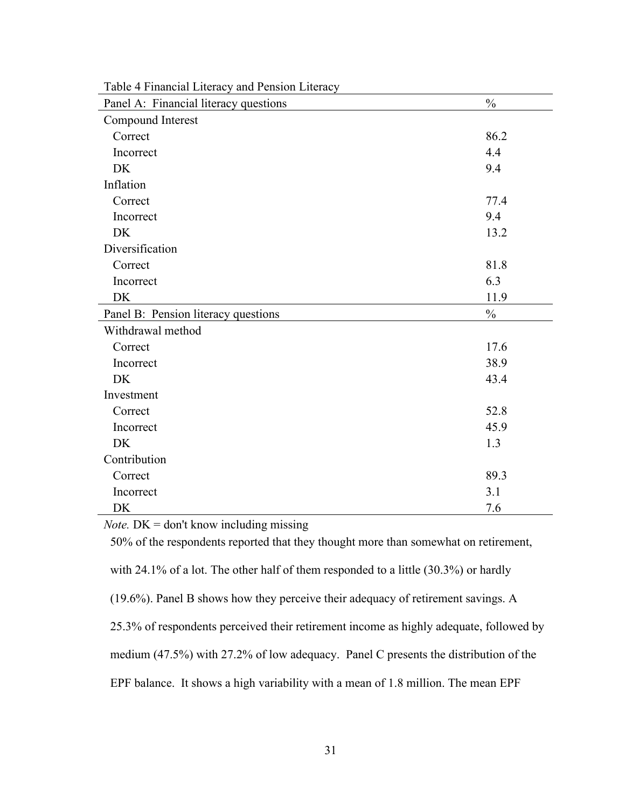| Panel A: Financial literacy questions | $\frac{0}{0}$ |
|---------------------------------------|---------------|
| Compound Interest                     |               |
| Correct                               | 86.2          |
| Incorrect                             | 4.4           |
| <b>DK</b>                             | 9.4           |
| Inflation                             |               |
| Correct                               | 77.4          |
| Incorrect                             | 9.4           |
| <b>DK</b>                             | 13.2          |
| Diversification                       |               |
| Correct                               | 81.8          |
| Incorrect                             | 6.3           |
| DK                                    | 11.9          |
|                                       |               |
| Panel B: Pension literacy questions   | $\frac{0}{0}$ |
| Withdrawal method                     |               |
| Correct                               | 17.6          |
| Incorrect                             | 38.9          |
| <b>DK</b>                             | 43.4          |
| Investment                            |               |
| Correct                               | 52.8          |
| Incorrect                             | 45.9          |
| <b>DK</b>                             | 1.3           |
| Contribution                          |               |
| Correct                               | 89.3          |
| Incorrect                             | 3.1           |

Table 4 Financial Literacy and Pension Literacy

*Note.* DK = don't know including missing

50% of the respondents reported that they thought more than somewhat on retirement,

with 24.1% of a lot. The other half of them responded to a little (30.3%) or hardly

(19.6%). Panel B shows how they perceive their adequacy of retirement savings. A

25.3% of respondents perceived their retirement income as highly adequate, followed by

medium (47.5%) with 27.2% of low adequacy. Panel C presents the distribution of the

EPF balance. It shows a high variability with a mean of 1.8 million. The mean EPF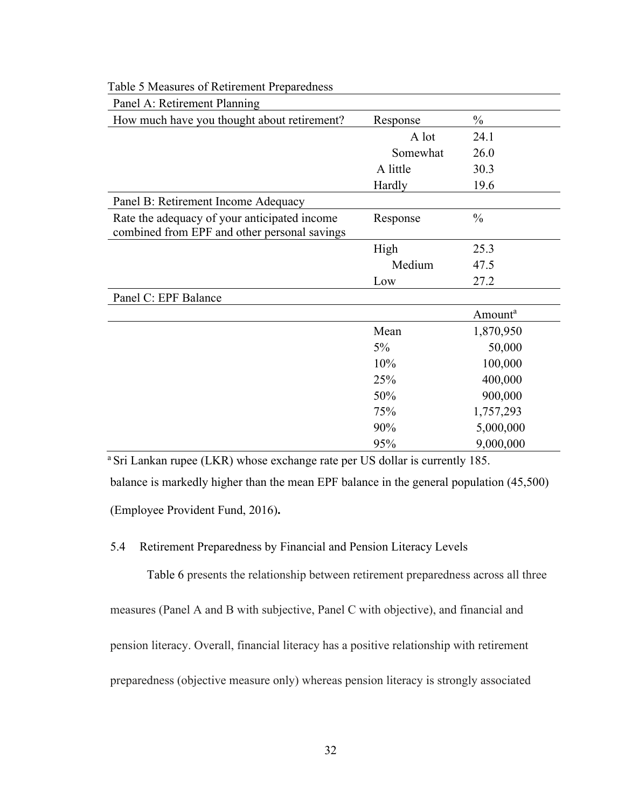| Panel A: Retirement Planning                                                                 |          |                     |  |  |
|----------------------------------------------------------------------------------------------|----------|---------------------|--|--|
| How much have you thought about retirement?                                                  | Response | $\frac{0}{0}$       |  |  |
|                                                                                              | A lot    | 24.1                |  |  |
|                                                                                              | Somewhat | 26.0                |  |  |
|                                                                                              | A little | 30.3                |  |  |
|                                                                                              | Hardly   | 19.6                |  |  |
| Panel B: Retirement Income Adequacy                                                          |          |                     |  |  |
| Rate the adequacy of your anticipated income<br>combined from EPF and other personal savings | Response | $\frac{0}{0}$       |  |  |
|                                                                                              | High     | 25.3                |  |  |
|                                                                                              | Medium   | 47.5                |  |  |
|                                                                                              | Low      | 27.2                |  |  |
| Panel C: EPF Balance                                                                         |          |                     |  |  |
|                                                                                              |          | Amount <sup>a</sup> |  |  |
|                                                                                              | Mean     | 1,870,950           |  |  |
|                                                                                              | $5\%$    | 50,000              |  |  |
|                                                                                              | 10%      | 100,000             |  |  |
|                                                                                              | 25%      | 400,000             |  |  |
|                                                                                              | 50%      | 900,000             |  |  |
|                                                                                              | 75%      | 1,757,293           |  |  |
|                                                                                              | 90%      | 5,000,000           |  |  |
|                                                                                              | 95%      | 9,000,000           |  |  |

Table 5 Measures of Retirement Preparedness

balance is markedly higher than the mean EPF balance in the general population (45,500) (Employee Provident Fund, 2016)**.** <sup>a</sup> Sri Lankan rupee (LKR) whose exchange rate per US dollar is currently 185.

# <span id="page-41-0"></span>5.4 Retirement Preparedness by Financial and Pension Literacy Levels

Table 6 presents the relationship between retirement preparedness across all three measures (Panel A and B with subjective, Panel C with objective), and financial and pension literacy. Overall, financial literacy has a positive relationship with retirement preparedness (objective measure only) whereas pension literacy is strongly associated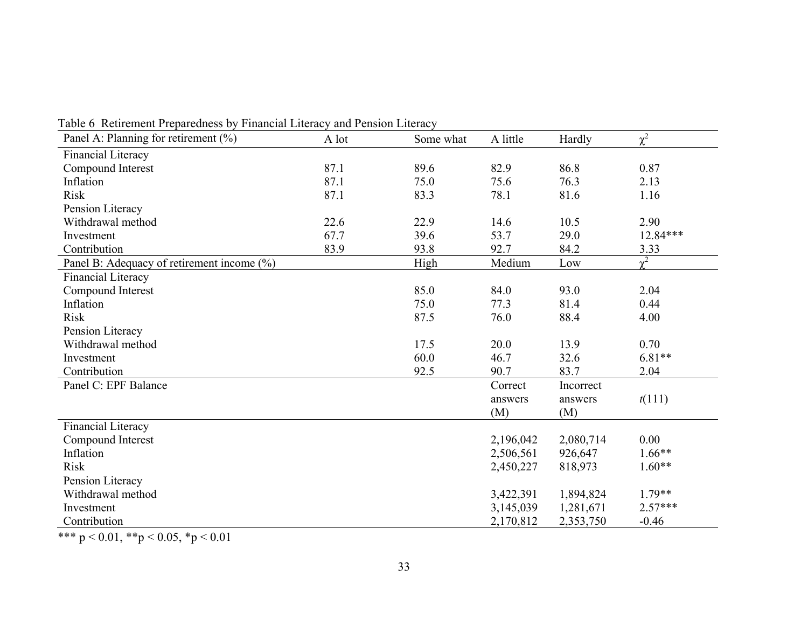| raoic o Ticthement i réparcances of i maneial Enclacy and i chefton Enclac<br>Panel A: Planning for retirement (%) | A lot | Some what | A little  | Hardly    | $\chi^2$   |
|--------------------------------------------------------------------------------------------------------------------|-------|-----------|-----------|-----------|------------|
| Financial Literacy                                                                                                 |       |           |           |           |            |
| Compound Interest                                                                                                  | 87.1  | 89.6      | 82.9      | 86.8      | 0.87       |
| Inflation                                                                                                          | 87.1  | 75.0      | 75.6      | 76.3      | 2.13       |
| <b>Risk</b>                                                                                                        | 87.1  | 83.3      | 78.1      | 81.6      | 1.16       |
| Pension Literacy                                                                                                   |       |           |           |           |            |
| Withdrawal method                                                                                                  | 22.6  | 22.9      | 14.6      | 10.5      | 2.90       |
| Investment                                                                                                         | 67.7  | 39.6      | 53.7      | 29.0      | $12.84***$ |
| Contribution                                                                                                       | 83.9  | 93.8      | 92.7      | 84.2      | 3.33       |
| Panel B: Adequacy of retirement income (%)                                                                         |       | High      | Medium    | Low       | $\gamma^2$ |
| Financial Literacy                                                                                                 |       |           |           |           |            |
| Compound Interest                                                                                                  |       | 85.0      | 84.0      | 93.0      | 2.04       |
| Inflation                                                                                                          |       | 75.0      | 77.3      | 81.4      | 0.44       |
| Risk                                                                                                               |       | 87.5      | 76.0      | 88.4      | 4.00       |
| Pension Literacy                                                                                                   |       |           |           |           |            |
| Withdrawal method                                                                                                  |       | 17.5      | 20.0      | 13.9      | 0.70       |
| Investment                                                                                                         |       | 60.0      | 46.7      | 32.6      | $6.81**$   |
| Contribution                                                                                                       |       | 92.5      | 90.7      | 83.7      | 2.04       |
| Panel C: EPF Balance                                                                                               |       |           | Correct   | Incorrect |            |
|                                                                                                                    |       |           | answers   | answers   | t(111)     |
|                                                                                                                    |       |           | (M)       | (M)       |            |
| Financial Literacy                                                                                                 |       |           |           |           |            |
| Compound Interest                                                                                                  |       |           | 2,196,042 | 2,080,714 | 0.00       |
| Inflation                                                                                                          |       |           | 2,506,561 | 926,647   | $1.66**$   |
| <b>Risk</b>                                                                                                        |       |           | 2,450,227 | 818,973   | $1.60**$   |
| Pension Literacy                                                                                                   |       |           |           |           |            |
| Withdrawal method                                                                                                  |       |           | 3,422,391 | 1,894,824 | $1.79**$   |
| Investment                                                                                                         |       |           | 3,145,039 | 1,281,671 | $2.57***$  |
| Contribution                                                                                                       |       |           | 2,170,812 | 2,353,750 | $-0.46$    |

Table 6 Retirement Preparedness by Financial Literacy and Pension Literacy

\*\*\* p < 0.01, \*\*p < 0.05, \*p < 0.01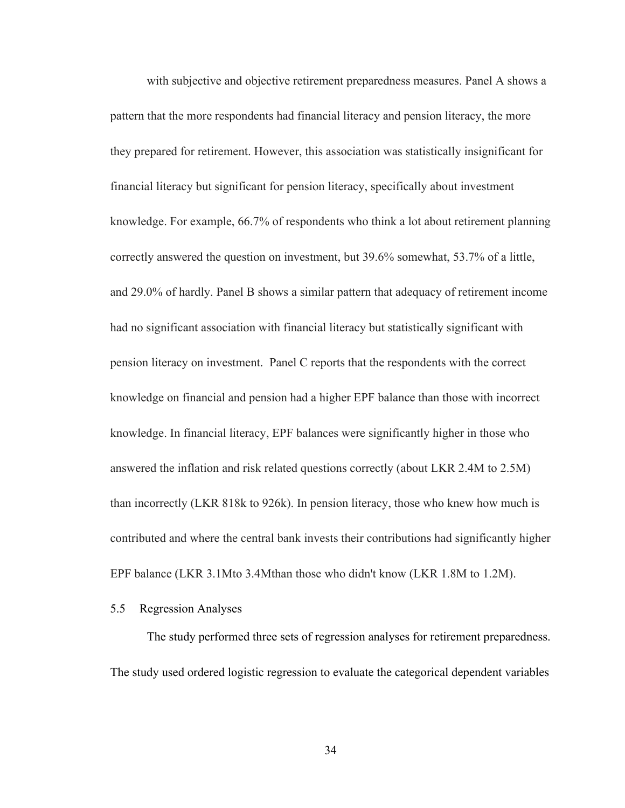with subjective and objective retirement preparedness measures. Panel A shows a pattern that the more respondents had financial literacy and pension literacy, the more they prepared for retirement. However, this association was statistically insignificant for financial literacy but significant for pension literacy, specifically about investment knowledge. For example, 66.7% of respondents who think a lot about retirement planning correctly answered the question on investment, but 39.6% somewhat, 53.7% of a little, and 29.0% of hardly. Panel B shows a similar pattern that adequacy of retirement income had no significant association with financial literacy but statistically significant with pension literacy on investment. Panel C reports that the respondents with the correct knowledge on financial and pension had a higher EPF balance than those with incorrect knowledge. In financial literacy, EPF balances were significantly higher in those who answered the inflation and risk related questions correctly (about LKR 2.4M to 2.5M) than incorrectly (LKR 818k to 926k). In pension literacy, those who knew how much is contributed and where the central bank invests their contributions had significantly higher EPF balance (LKR 3.1Mto 3.4Mthan those who didn't know (LKR 1.8M to 1.2M).

# <span id="page-43-0"></span>5.5 Regression Analyses

The study performed three sets of regression analyses for retirement preparedness. The study used ordered logistic regression to evaluate the categorical dependent variables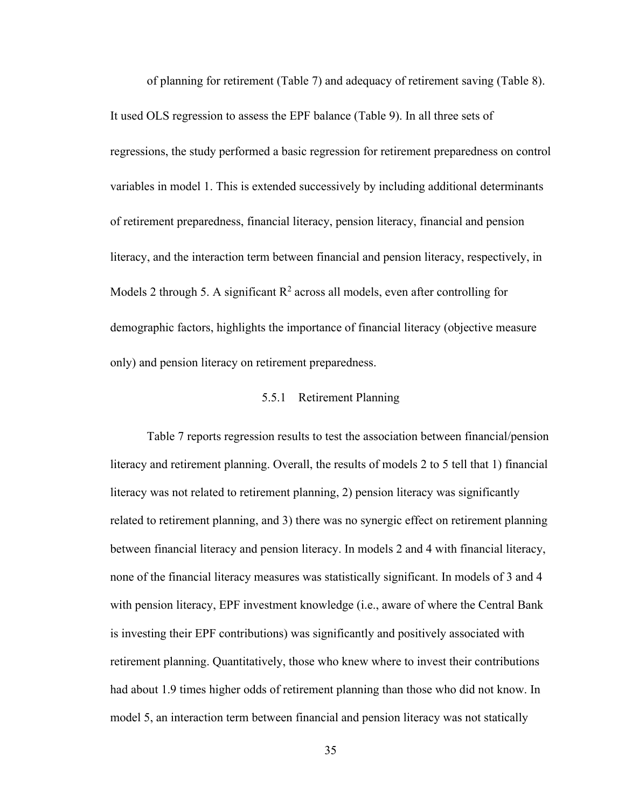of planning for retirement (Table 7) and adequacy of retirement saving (Table 8). It used OLS regression to assess the EPF balance (Table 9). In all three sets of regressions, the study performed a basic regression for retirement preparedness on control variables in model 1. This is extended successively by including additional determinants of retirement preparedness, financial literacy, pension literacy, financial and pension literacy, and the interaction term between financial and pension literacy, respectively, in Models 2 through 5. A significant  $R^2$  across all models, even after controlling for demographic factors, highlights the importance of financial literacy (objective measure only) and pension literacy on retirement preparedness.

# 5.5.1 Retirement Planning

<span id="page-44-0"></span>Table 7 reports regression results to test the association between financial/pension literacy and retirement planning. Overall, the results of models 2 to 5 tell that 1) financial literacy was not related to retirement planning, 2) pension literacy was significantly related to retirement planning, and 3) there was no synergic effect on retirement planning between financial literacy and pension literacy. In models 2 and 4 with financial literacy, none of the financial literacy measures was statistically significant. In models of 3 and 4 with pension literacy, EPF investment knowledge (i.e., aware of where the Central Bank is investing their EPF contributions) was significantly and positively associated with retirement planning. Quantitatively, those who knew where to invest their contributions had about 1.9 times higher odds of retirement planning than those who did not know. In model 5, an interaction term between financial and pension literacy was not statically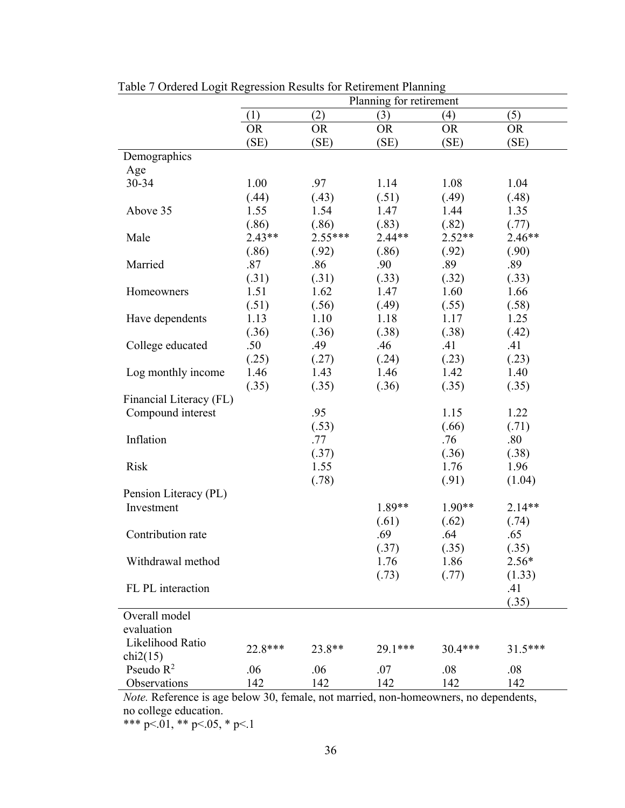|                         | Planning for retirement |           |           |           |           |  |  |
|-------------------------|-------------------------|-----------|-----------|-----------|-----------|--|--|
|                         | (1)                     | (2)       | (3)       | (4)       | (5)       |  |  |
|                         | <b>OR</b>               | <b>OR</b> | <b>OR</b> | <b>OR</b> | <b>OR</b> |  |  |
|                         | (SE)                    | (SE)      | (SE)      | (SE)      | (SE)      |  |  |
| Demographics            |                         |           |           |           |           |  |  |
| Age                     |                         |           |           |           |           |  |  |
| 30-34                   | 1.00                    | .97       | 1.14      | 1.08      | 1.04      |  |  |
|                         | (.44)                   | (.43)     | (.51)     | (.49)     | (.48)     |  |  |
| Above 35                | 1.55                    | 1.54      | 1.47      | 1.44      | 1.35      |  |  |
|                         | (.86)                   | (.86)     | (.83)     | (.82)     | (.77)     |  |  |
| Male                    | $2.43**$                | $2.55***$ | $2.44**$  | $2.52**$  | $2.46**$  |  |  |
|                         | (.86)                   | (.92)     | (.86)     | (.92)     | (.90)     |  |  |
| Married                 | .87                     | .86       | .90       | .89       | .89       |  |  |
|                         | (.31)                   | (.31)     | (.33)     | (.32)     | (.33)     |  |  |
| Homeowners              | 1.51                    | 1.62      | 1.47      | 1.60      | 1.66      |  |  |
|                         | (.51)                   | (.56)     | (.49)     | (.55)     | (.58)     |  |  |
| Have dependents         | 1.13                    | 1.10      | 1.18      | 1.17      | 1.25      |  |  |
|                         | (.36)                   | (.36)     | (.38)     | (.38)     | (.42)     |  |  |
| College educated        | .50                     | .49       | .46       | .41       | .41       |  |  |
|                         | (.25)                   | (.27)     | (.24)     | (.23)     | (.23)     |  |  |
| Log monthly income      | 1.46                    | 1.43      | 1.46      | 1.42      | 1.40      |  |  |
|                         | (.35)                   | (.35)     | (.36)     | (.35)     | (.35)     |  |  |
| Financial Literacy (FL) |                         |           |           |           |           |  |  |
| Compound interest       |                         | .95       |           | 1.15      | 1.22      |  |  |
|                         |                         | (.53)     |           | (.66)     | (.71)     |  |  |
| Inflation               |                         | .77       |           | .76       | .80       |  |  |
|                         |                         | (.37)     |           | (.36)     | (.38)     |  |  |
| <b>Risk</b>             |                         | 1.55      |           | 1.76      | 1.96      |  |  |
|                         |                         | (.78)     |           | (.91)     | (1.04)    |  |  |
| Pension Literacy (PL)   |                         |           |           |           |           |  |  |
| Investment              |                         |           | 1.89**    | $1.90**$  | $2.14**$  |  |  |
|                         |                         |           | (.61)     | (.62)     | (.74)     |  |  |
| Contribution rate       |                         |           | .69       | .64       | .65       |  |  |
|                         |                         |           | (.37)     | (.35)     | (.35)     |  |  |
| Withdrawal method       |                         |           | 1.76      | 1.86      | $2.56*$   |  |  |
|                         |                         |           | (.73)     | (.77)     | (1.33)    |  |  |
| FL PL interaction       |                         |           |           |           | .41       |  |  |
|                         |                         |           |           |           | (.35)     |  |  |
| Overall model           |                         |           |           |           |           |  |  |
| evaluation              |                         |           |           |           |           |  |  |
| Likelihood Ratio        | 22.8***                 | 23.8**    | 29.1***   | 30.4***   | $31.5***$ |  |  |
| chi2(15)                |                         |           |           |           |           |  |  |
| Pseudo $R^2$            | .06                     | .06       | .07       | .08       | .08       |  |  |
| Observations            | 142                     | 142       | 142       | 142       | 142       |  |  |

Table 7 Ordered Logit Regression Results for Retirement Planning

*Note.* Reference is age below 30, female, not married, non-homeowners, no dependents, no college education.

\*\*\* p<.01, \*\* p<.05, \* p<.1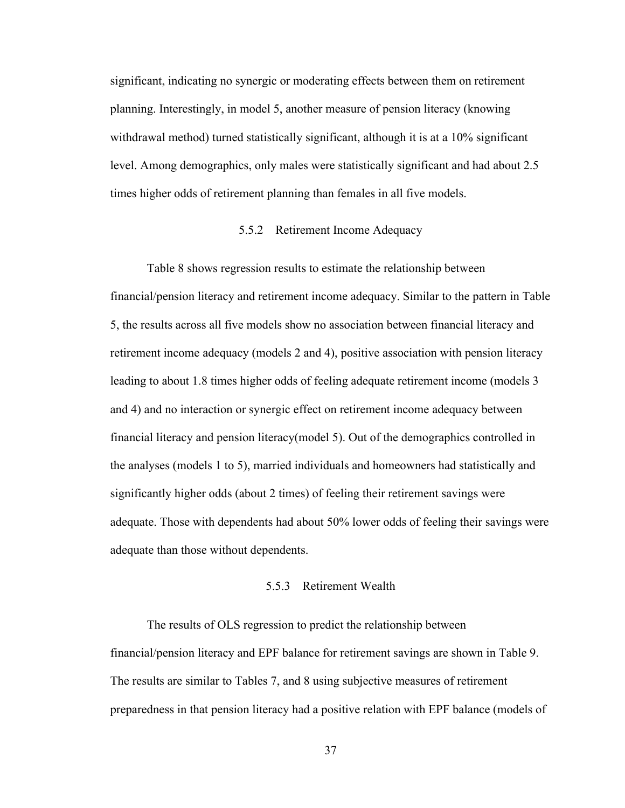significant, indicating no synergic or moderating effects between them on retirement planning. Interestingly, in model 5, another measure of pension literacy (knowing withdrawal method) turned statistically significant, although it is at a 10% significant level. Among demographics, only males were statistically significant and had about 2.5 times higher odds of retirement planning than females in all five models.

# 5.5.2 Retirement Income Adequacy

<span id="page-46-0"></span>Table 8 shows regression results to estimate the relationship between financial/pension literacy and retirement income adequacy. Similar to the pattern in Table 5, the results across all five models show no association between financial literacy and retirement income adequacy (models 2 and 4), positive association with pension literacy leading to about 1.8 times higher odds of feeling adequate retirement income (models 3 and 4) and no interaction or synergic effect on retirement income adequacy between financial literacy and pension literacy(model 5). Out of the demographics controlled in the analyses (models 1 to 5), married individuals and homeowners had statistically and significantly higher odds (about 2 times) of feeling their retirement savings were adequate. Those with dependents had about 50% lower odds of feeling their savings were adequate than those without dependents.

# 5.5.3 Retirement Wealth

<span id="page-46-1"></span>The results of OLS regression to predict the relationship between financial/pension literacy and EPF balance for retirement savings are shown in Table 9. The results are similar to Tables 7, and 8 using subjective measures of retirement preparedness in that pension literacy had a positive relation with EPF balance (models of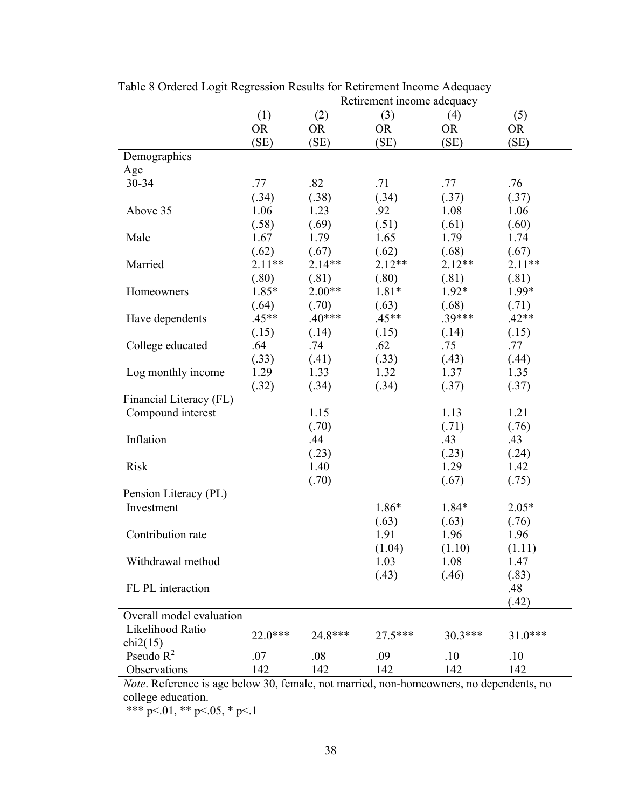|                          | Tuble of Ordered Eogle Regionsform Results for Retirement medine / Reequally<br>Retirement income adequacy |           |           |           |           |
|--------------------------|------------------------------------------------------------------------------------------------------------|-----------|-----------|-----------|-----------|
|                          | (3)<br>(5)<br>(1)<br>(2)<br>(4)                                                                            |           |           |           |           |
|                          | <b>OR</b>                                                                                                  | <b>OR</b> | <b>OR</b> | <b>OR</b> | <b>OR</b> |
|                          | (SE)                                                                                                       | (SE)      | (SE)      | (SE)      | (SE)      |
| Demographics             |                                                                                                            |           |           |           |           |
| Age                      |                                                                                                            |           |           |           |           |
| $30 - 34$                | .77                                                                                                        | .82       | .71       | .77       | .76       |
|                          | (.34)                                                                                                      | (.38)     | (.34)     | (.37)     | (.37)     |
| Above 35                 | 1.06                                                                                                       | 1.23      | .92       | 1.08      | 1.06      |
|                          | (.58)                                                                                                      | (.69)     | (.51)     | (.61)     | (.60)     |
| Male                     | 1.67                                                                                                       | 1.79      | 1.65      | 1.79      | 1.74      |
|                          | (.62)                                                                                                      | (.67)     | (.62)     | (.68)     | (.67)     |
| Married                  | $2.11**$                                                                                                   | $2.14**$  | $2.12**$  | $2.12**$  | $2.11**$  |
|                          | (.80)                                                                                                      | (.81)     | (.80)     | (.81)     | (.81)     |
| Homeowners               | $1.85*$                                                                                                    | $2.00**$  | $1.81*$   | $1.92*$   | 1.99*     |
|                          | (.64)                                                                                                      | (.70)     | (.63)     | (.68)     | (.71)     |
| Have dependents          | $.45**$                                                                                                    | $.40***$  | $.45**$   | $.39***$  | $.42**$   |
|                          | (.15)                                                                                                      | (.14)     | (.15)     | (.14)     | (.15)     |
| College educated         | .64                                                                                                        | .74       | .62       | .75       | .77       |
|                          | (.33)                                                                                                      | (.41)     | (.33)     | (.43)     | (.44)     |
| Log monthly income       | 1.29                                                                                                       | 1.33      | 1.32      | 1.37      | 1.35      |
|                          | (.32)                                                                                                      | (.34)     | (.34)     | (.37)     | (.37)     |
| Financial Literacy (FL)  |                                                                                                            |           |           |           |           |
| Compound interest        |                                                                                                            | 1.15      |           | 1.13      | 1.21      |
|                          |                                                                                                            | (.70)     |           | (.71)     | (.76)     |
| Inflation                |                                                                                                            | .44       |           | .43       | .43       |
|                          |                                                                                                            | (.23)     |           | (.23)     | (.24)     |
| <b>Risk</b>              |                                                                                                            | 1.40      |           | 1.29      | 1.42      |
|                          |                                                                                                            | (.70)     |           | (.67)     | (.75)     |
| Pension Literacy (PL)    |                                                                                                            |           |           |           |           |
| Investment               |                                                                                                            |           | $1.86*$   | $1.84*$   | $2.05*$   |
|                          |                                                                                                            |           | (.63)     | (.63)     | (.76)     |
| Contribution rate        |                                                                                                            |           | 1.91      | 1.96      | 1.96      |
|                          |                                                                                                            |           | (1.04)    | (1.10)    | (1.11)    |
| Withdrawal method        |                                                                                                            |           | 1.03      | 1.08      | 1.47      |
|                          |                                                                                                            |           | (.43)     | (.46)     | (.83)     |
| FL PL interaction        |                                                                                                            |           |           |           | .48       |
|                          |                                                                                                            |           |           |           | (.42)     |
| Overall model evaluation |                                                                                                            |           |           |           |           |
| Likelihood Ratio         | 22.0***                                                                                                    | 24.8***   | 27.5***   | $30.3***$ | $31.0***$ |
| chi2(15)                 |                                                                                                            |           |           |           |           |
| Pseudo $R^2$             | .07                                                                                                        | .08       | .09       | $.10\,$   | .10       |
| Observations             | 142                                                                                                        | 142       | 142       | 142       | 142       |

Table 8 Ordered Logit Regression Results for Retirement Income Adequacy

*Note*. Reference is age below 30, female, not married, non-homeowners, no dependents, no college education.

\*\*\*  $p<.01$ , \*\*  $p<.05$ , \*  $p<.1$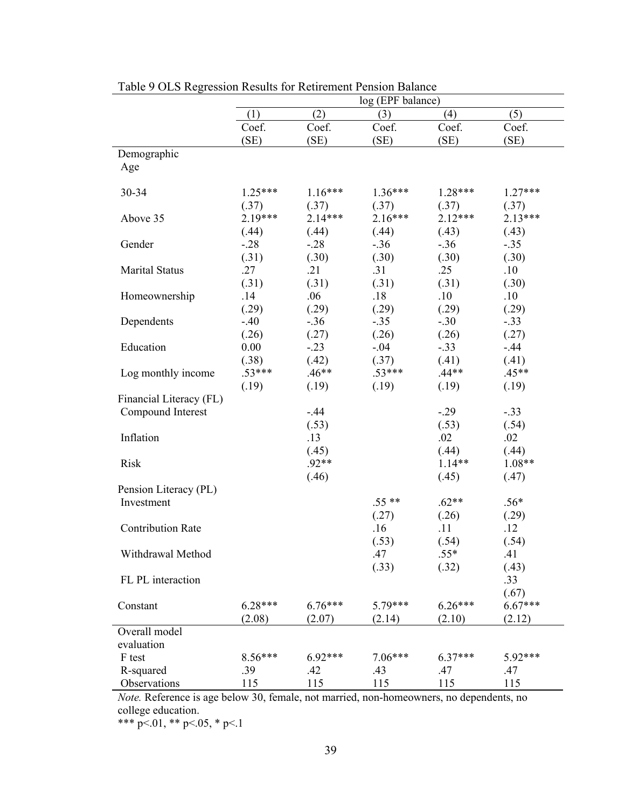|                          | log (EPF balance) |                 |                 |              |                    |  |  |  |
|--------------------------|-------------------|-----------------|-----------------|--------------|--------------------|--|--|--|
|                          | (1)               | (2)             | (3)             | (4)          | (5)                |  |  |  |
|                          | Coef.             | Coef.           | Coef.           | Coef.        | Coef.              |  |  |  |
|                          | (SE)              | (SE)            | (SE)            | (SE)         | (SE)               |  |  |  |
| Demographic              |                   |                 |                 |              |                    |  |  |  |
| Age                      |                   |                 |                 |              |                    |  |  |  |
|                          |                   |                 |                 |              |                    |  |  |  |
| 30-34                    | $1.25***$         | $1.16***$       | $1.36***$       | $1.28***$    | $1.27***$          |  |  |  |
|                          | (.37)             | (.37)           | (.37)           | (.37)        | (.37)<br>$2.13***$ |  |  |  |
| Above 35                 | $2.19***$         | $2.14***$       | $2.16***$       | $2.12***$    |                    |  |  |  |
|                          | (.44)             | (.44)           | (.44)           | (.43)        | (.43)              |  |  |  |
| Gender                   | $-0.28$           | $-.28$          | $-.36$          | $-.36$       | $-.35$             |  |  |  |
|                          | (.31)             | (.30)           | (.30)           | (.30)        | (.30)              |  |  |  |
| <b>Marital Status</b>    | .27               | .21             | .31             | .25          | .10                |  |  |  |
|                          | (.31)<br>.14      | (.31)<br>.06    | (.31)<br>.18    | (.31)<br>.10 | (.30)<br>.10       |  |  |  |
| Homeownership            |                   |                 |                 | (.29)        |                    |  |  |  |
| Dependents               | (.29)<br>$-.40$   | (.29)<br>$-.36$ | (.29)<br>$-.35$ | $-.30$       | (.29)<br>$-.33$    |  |  |  |
|                          | (.26)             | (.27)           | (.26)           | (.26)        | (.27)              |  |  |  |
| Education                | 0.00              | $-.23$          | $-.04$          | $-.33$       | $-.44$             |  |  |  |
|                          | (.38)             | (.42)           | (.37)           | (.41)        | (.41)              |  |  |  |
| Log monthly income       | $.53***$          | $.46**$         | $.53***$        | $.44**$      | $.45**$            |  |  |  |
|                          | (.19)             | (.19)           | (.19)           | (.19)        | (.19)              |  |  |  |
| Financial Literacy (FL)  |                   |                 |                 |              |                    |  |  |  |
| Compound Interest        |                   | $-.44$          |                 | $-.29$       | $-.33$             |  |  |  |
|                          |                   | (.53)           |                 | (.53)        | (.54)              |  |  |  |
| Inflation                |                   | .13             |                 | .02          | .02                |  |  |  |
|                          |                   | (.45)           |                 | (.44)        | (.44)              |  |  |  |
| <b>Risk</b>              |                   | $.92**$         |                 | $1.14**$     | $1.08**$           |  |  |  |
|                          |                   | (.46)           |                 | (.45)        | (.47)              |  |  |  |
| Pension Literacy (PL)    |                   |                 |                 |              |                    |  |  |  |
| Investment               |                   |                 | $.55**$         | $.62**$      | $.56*$             |  |  |  |
|                          |                   |                 | (.27)           | (.26)        | (.29)              |  |  |  |
| <b>Contribution Rate</b> |                   |                 | .16             | .11          | .12                |  |  |  |
|                          |                   |                 | (.53)           | (.54)        | (.54)              |  |  |  |
| Withdrawal Method        |                   |                 | .47             | $.55*$       | .41                |  |  |  |
|                          |                   |                 | (.33)           | (.32)        | (.43)              |  |  |  |
| FL PL interaction        |                   |                 |                 |              | .33                |  |  |  |
|                          |                   |                 |                 |              | (.67)              |  |  |  |
| Constant                 | 6.28***           | $6.76***$       | 5.79***         | $6.26***$    | $6.67***$          |  |  |  |
|                          | (2.08)            | (2.07)          | (2.14)          | (2.10)       | (2.12)             |  |  |  |
| Overall model            |                   |                 |                 |              |                    |  |  |  |
| evaluation               |                   |                 |                 |              |                    |  |  |  |
| F test                   | 8.56***           | $6.92***$       | 7.06***         | 6.37***      | 5.92***            |  |  |  |
| R-squared                | .39               | .42             | .43             | .47          | .47                |  |  |  |
| Observations             | 115               | 115             | 115             | 115          | 115                |  |  |  |

Table 9 OLS Regression Results for Retirement Pension Balance

*Note.* Reference is age below 30, female, not married, non-homeowners, no dependents, no college education.

\*\*\* p<.01, \*\* p<.05, \* p<.1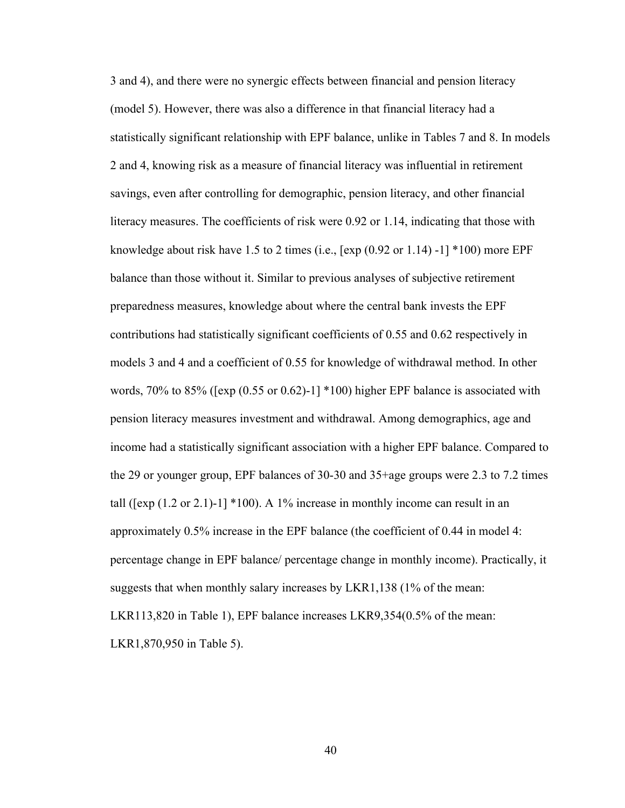3 and 4), and there were no synergic effects between financial and pension literacy (model 5). However, there was also a difference in that financial literacy had a statistically significant relationship with EPF balance, unlike in Tables 7 and 8. In models 2 and 4, knowing risk as a measure of financial literacy was influential in retirement savings, even after controlling for demographic, pension literacy, and other financial literacy measures. The coefficients of risk were 0.92 or 1.14, indicating that those with knowledge about risk have 1.5 to 2 times (i.e.,  $[\exp(0.92 \text{ or } 1.14) -1]$  \*100) more EPF balance than those without it. Similar to previous analyses of subjective retirement preparedness measures, knowledge about where the central bank invests the EPF contributions had statistically significant coefficients of 0.55 and 0.62 respectively in models 3 and 4 and a coefficient of 0.55 for knowledge of withdrawal method. In other words, 70% to 85% ([exp (0.55 or 0.62)-1] \*100) higher EPF balance is associated with pension literacy measures investment and withdrawal. Among demographics, age and income had a statistically significant association with a higher EPF balance. Compared to the 29 or younger group, EPF balances of 30-30 and 35+age groups were 2.3 to 7.2 times tall ( $[\exp(1.2 \text{ or } 2.1)-1]$  \*100). A 1% increase in monthly income can result in an approximately 0.5% increase in the EPF balance (the coefficient of 0.44 in model 4: percentage change in EPF balance/ percentage change in monthly income). Practically, it suggests that when monthly salary increases by LKR1,138 (1% of the mean: LKR113,820 in Table 1), EPF balance increases LKR9,354(0.5% of the mean: LKR1,870,950 in Table 5).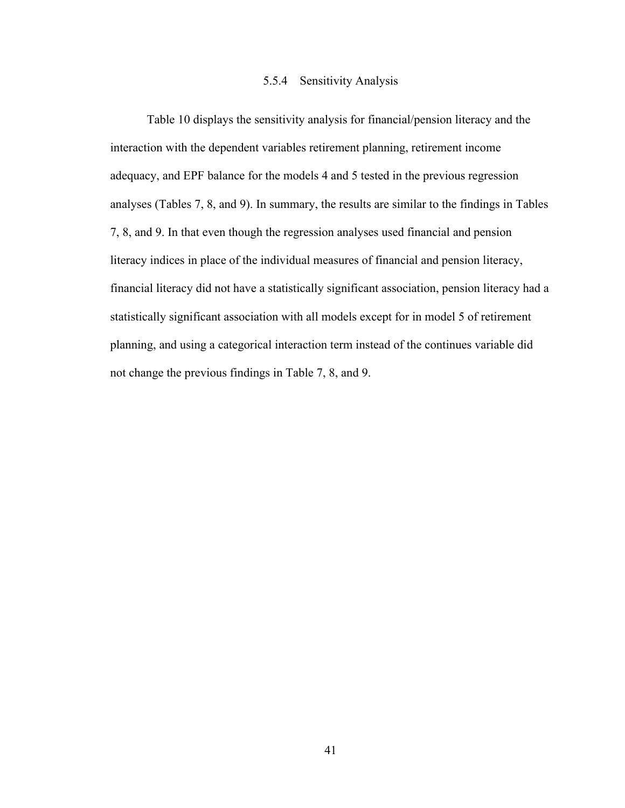## 5.5.4 Sensitivity Analysis

<span id="page-50-0"></span>Table 10 displays the sensitivity analysis for financial/pension literacy and the interaction with the dependent variables retirement planning, retirement income adequacy, and EPF balance for the models 4 and 5 tested in the previous regression analyses (Tables 7, 8, and 9). In summary, the results are similar to the findings in Tables 7, 8, and 9. In that even though the regression analyses used financial and pension literacy indices in place of the individual measures of financial and pension literacy, financial literacy did not have a statistically significant association, pension literacy had a statistically significant association with all models except for in model 5 of retirement planning, and using a categorical interaction term instead of the continues variable did not change the previous findings in Table 7, 8, and 9.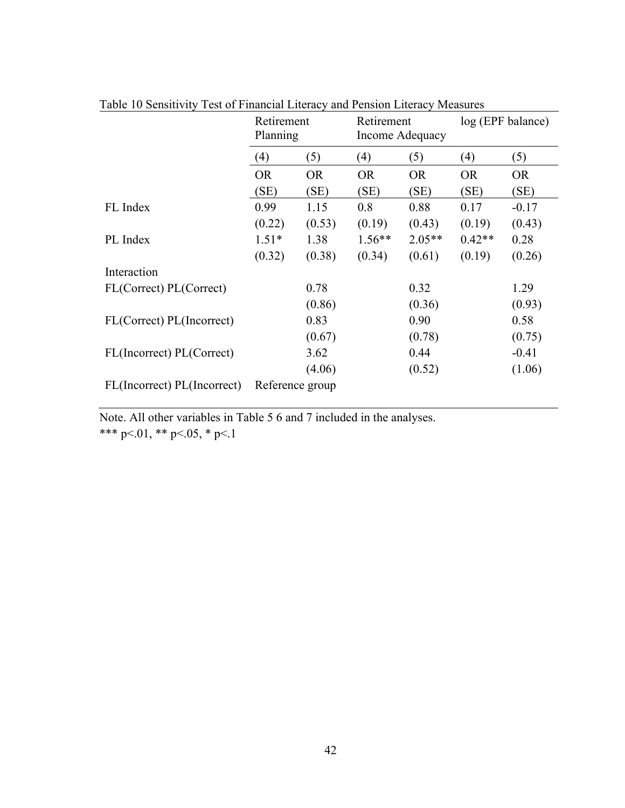|                             | Retirement<br>Planning |                 | Retirement<br>Income Adequacy |           | log (EPF balance) |           |
|-----------------------------|------------------------|-----------------|-------------------------------|-----------|-------------------|-----------|
|                             | (4)                    | (5)             | (4)                           | (5)       | (4)               | (5)       |
|                             | <b>OR</b>              | <b>OR</b>       | <b>OR</b>                     | <b>OR</b> | <b>OR</b>         | <b>OR</b> |
|                             | (SE)                   | (SE)            | (SE)                          | (SE)      | (SE)              | (SE)      |
| FL Index                    | 0.99                   | 1.15            | 0.8                           | 0.88      | 0.17              | $-0.17$   |
|                             | (0.22)                 | (0.53)          | (0.19)                        | (0.43)    | (0.19)            | (0.43)    |
| PL Index                    | $1.51*$                | 1.38            | $1.56**$                      | $2.05**$  | $0.42**$          | 0.28      |
|                             | (0.32)                 | (0.38)          | (0.34)                        | (0.61)    | (0.19)            | (0.26)    |
| Interaction                 |                        |                 |                               |           |                   |           |
| FL(Correct) PL(Correct)     |                        | 0.78            |                               | 0.32      |                   | 1.29      |
|                             |                        | (0.86)          |                               | (0.36)    |                   | (0.93)    |
| FL(Correct) PL(Incorrect)   |                        | 0.83            |                               | 0.90      |                   | 0.58      |
|                             |                        | (0.67)          |                               | (0.78)    |                   | (0.75)    |
| FL(Incorrect) PL(Correct)   |                        | 3.62            |                               | 0.44      |                   | $-0.41$   |
|                             |                        | (4.06)          |                               | (0.52)    |                   | (1.06)    |
| FL(Incorrect) PL(Incorrect) |                        | Reference group |                               |           |                   |           |

Table 10 Sensitivity Test of Financial Literacy and Pension Literacy Measures

Note. All other variables in Table 5 6 and 7 included in the analyses. \*\*\* p<.01, \*\* p<.05, \* p<.1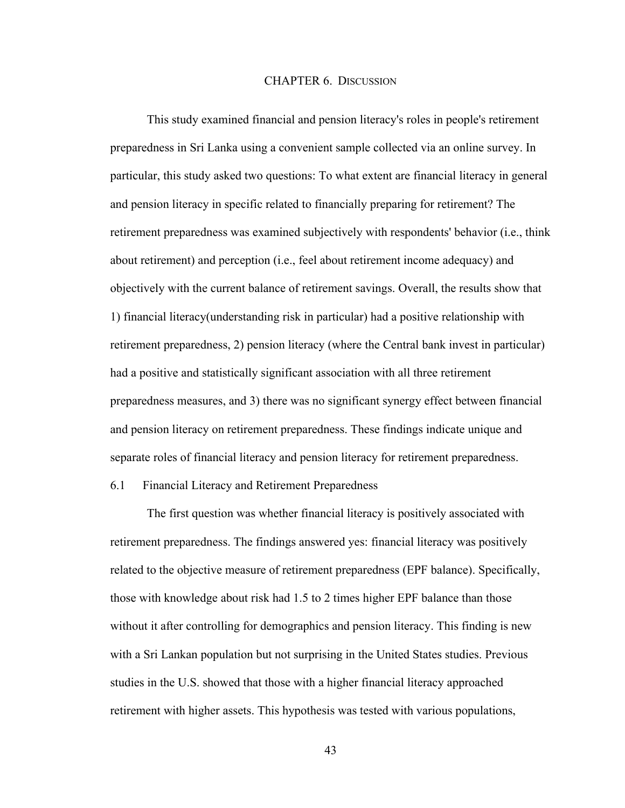## CHAPTER 6. DISCUSSION

<span id="page-52-0"></span>This study examined financial and pension literacy's roles in people's retirement preparedness in Sri Lanka using a convenient sample collected via an online survey. In particular, this study asked two questions: To what extent are financial literacy in general and pension literacy in specific related to financially preparing for retirement? The retirement preparedness was examined subjectively with respondents' behavior (i.e., think about retirement) and perception (i.e., feel about retirement income adequacy) and objectively with the current balance of retirement savings. Overall, the results show that 1) financial literacy(understanding risk in particular) had a positive relationship with retirement preparedness, 2) pension literacy (where the Central bank invest in particular) had a positive and statistically significant association with all three retirement preparedness measures, and 3) there was no significant synergy effect between financial and pension literacy on retirement preparedness. These findings indicate unique and separate roles of financial literacy and pension literacy for retirement preparedness.

# <span id="page-52-1"></span>6.1 Financial Literacy and Retirement Preparedness

The first question was whether financial literacy is positively associated with retirement preparedness. The findings answered yes: financial literacy was positively related to the objective measure of retirement preparedness (EPF balance). Specifically, those with knowledge about risk had 1.5 to 2 times higher EPF balance than those without it after controlling for demographics and pension literacy. This finding is new with a Sri Lankan population but not surprising in the United States studies. Previous studies in the U.S. showed that those with a higher financial literacy approached retirement with higher assets. This hypothesis was tested with various populations,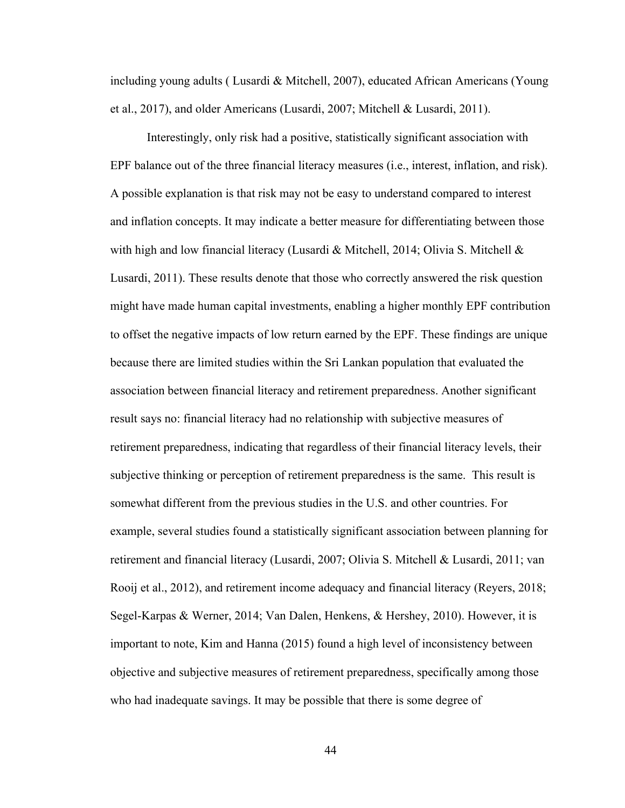including young adults ( Lusardi & Mitchell, 2007), educated African Americans (Young et al., 2017), and older Americans (Lusardi, 2007; Mitchell & Lusardi, 2011).

Interestingly, only risk had a positive, statistically significant association with EPF balance out of the three financial literacy measures (i.e., interest, inflation, and risk). A possible explanation is that risk may not be easy to understand compared to interest and inflation concepts. It may indicate a better measure for differentiating between those with high and low financial literacy (Lusardi & Mitchell, 2014; Olivia S. Mitchell & Lusardi, 2011). These results denote that those who correctly answered the risk question might have made human capital investments, enabling a higher monthly EPF contribution to offset the negative impacts of low return earned by the EPF. These findings are unique because there are limited studies within the Sri Lankan population that evaluated the association between financial literacy and retirement preparedness. Another significant result says no: financial literacy had no relationship with subjective measures of retirement preparedness, indicating that regardless of their financial literacy levels, their subjective thinking or perception of retirement preparedness is the same. This result is somewhat different from the previous studies in the U.S. and other countries. For example, several studies found a statistically significant association between planning for retirement and financial literacy (Lusardi, 2007; Olivia S. Mitchell & Lusardi, 2011; van Rooij et al., 2012), and retirement income adequacy and financial literacy (Reyers, 2018; Segel-Karpas & Werner, 2014; Van Dalen, Henkens, & Hershey, 2010). However, it is important to note, Kim and Hanna (2015) found a high level of inconsistency between objective and subjective measures of retirement preparedness, specifically among those who had inadequate savings. It may be possible that there is some degree of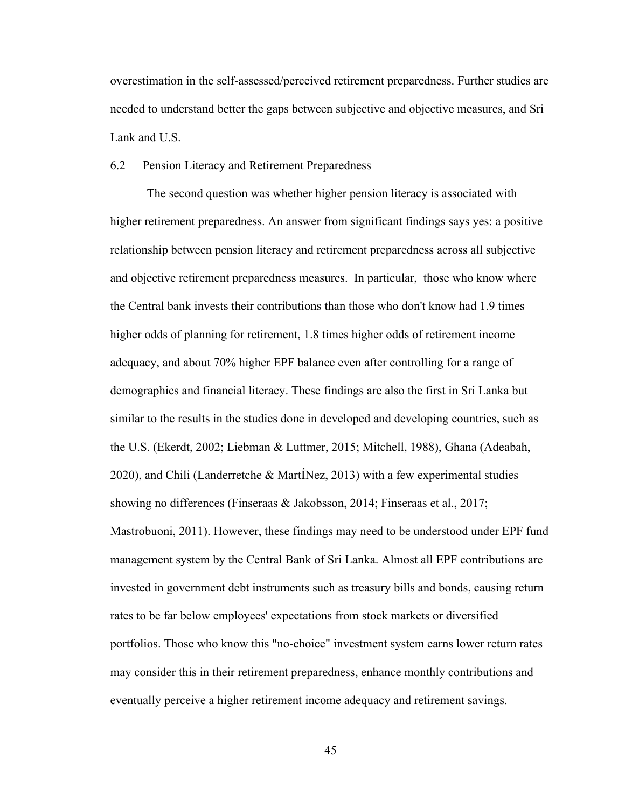overestimation in the self-assessed/perceived retirement preparedness. Further studies are needed to understand better the gaps between subjective and objective measures, and Sri Lank and U.S.

#### <span id="page-54-0"></span>6.2 Pension Literacy and Retirement Preparedness

The second question was whether higher pension literacy is associated with higher retirement preparedness. An answer from significant findings says yes: a positive relationship between pension literacy and retirement preparedness across all subjective and objective retirement preparedness measures. In particular, those who know where the Central bank invests their contributions than those who don't know had 1.9 times higher odds of planning for retirement, 1.8 times higher odds of retirement income adequacy, and about 70% higher EPF balance even after controlling for a range of demographics and financial literacy. These findings are also the first in Sri Lanka but similar to the results in the studies done in developed and developing countries, such as the U.S. (Ekerdt, 2002; Liebman & Luttmer, 2015; Mitchell, 1988), Ghana (Adeabah, 2020), and Chili (Landerretche & MartÍNez, 2013) with a few experimental studies showing no differences (Finseraas & Jakobsson, 2014; Finseraas et al., 2017; Mastrobuoni, 2011). However, these findings may need to be understood under EPF fund management system by the Central Bank of Sri Lanka. Almost all EPF contributions are invested in government debt instruments such as treasury bills and bonds, causing return rates to be far below employees' expectations from stock markets or diversified portfolios. Those who know this "no-choice" investment system earns lower return rates may consider this in their retirement preparedness, enhance monthly contributions and eventually perceive a higher retirement income adequacy and retirement savings.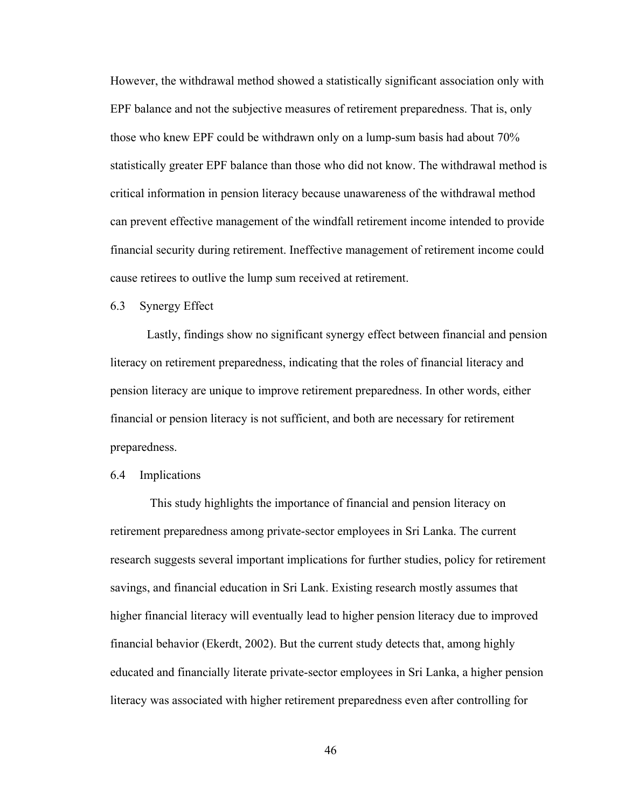However, the withdrawal method showed a statistically significant association only with EPF balance and not the subjective measures of retirement preparedness. That is, only those who knew EPF could be withdrawn only on a lump-sum basis had about 70% statistically greater EPF balance than those who did not know. The withdrawal method is critical information in pension literacy because unawareness of the withdrawal method can prevent effective management of the windfall retirement income intended to provide financial security during retirement. Ineffective management of retirement income could cause retirees to outlive the lump sum received at retirement.

#### <span id="page-55-0"></span>6.3 Synergy Effect

Lastly, findings show no significant synergy effect between financial and pension literacy on retirement preparedness, indicating that the roles of financial literacy and pension literacy are unique to improve retirement preparedness. In other words, either financial or pension literacy is not sufficient, and both are necessary for retirement preparedness.

## <span id="page-55-1"></span>6.4 Implications

This study highlights the importance of financial and pension literacy on retirement preparedness among private-sector employees in Sri Lanka. The current research suggests several important implications for further studies, policy for retirement savings, and financial education in Sri Lank. Existing research mostly assumes that higher financial literacy will eventually lead to higher pension literacy due to improved financial behavior (Ekerdt, 2002). But the current study detects that, among highly educated and financially literate private-sector employees in Sri Lanka, a higher pension literacy was associated with higher retirement preparedness even after controlling for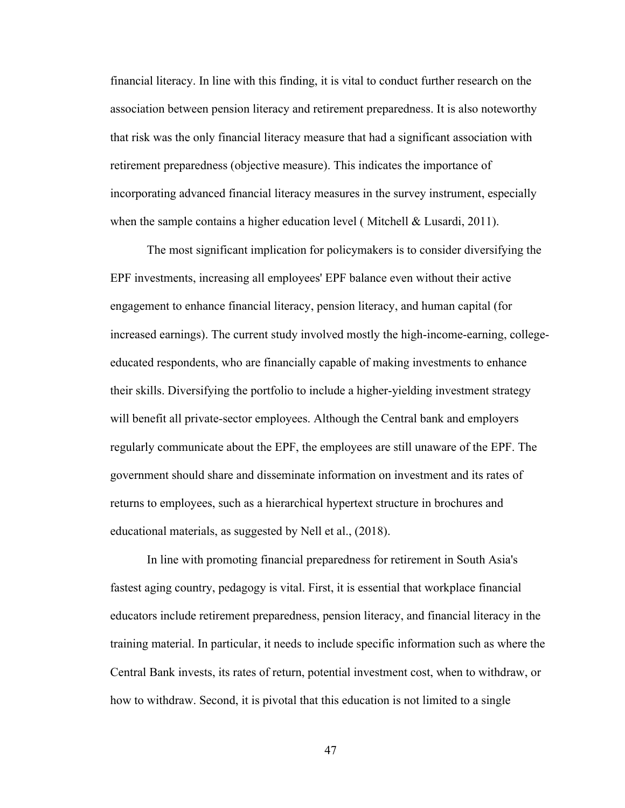financial literacy. In line with this finding, it is vital to conduct further research on the association between pension literacy and retirement preparedness. It is also noteworthy that risk was the only financial literacy measure that had a significant association with retirement preparedness (objective measure). This indicates the importance of incorporating advanced financial literacy measures in the survey instrument, especially when the sample contains a higher education level (Mitchell & Lusardi, 2011).

The most significant implication for policymakers is to consider diversifying the EPF investments, increasing all employees' EPF balance even without their active engagement to enhance financial literacy, pension literacy, and human capital (for increased earnings). The current study involved mostly the high-income-earning, collegeeducated respondents, who are financially capable of making investments to enhance their skills. Diversifying the portfolio to include a higher-yielding investment strategy will benefit all private-sector employees. Although the Central bank and employers regularly communicate about the EPF, the employees are still unaware of the EPF. The government should share and disseminate information on investment and its rates of returns to employees, such as a hierarchical hypertext structure in brochures and educational materials, as suggested by Nell et al., (2018).

In line with promoting financial preparedness for retirement in South Asia's fastest aging country, pedagogy is vital. First, it is essential that workplace financial educators include retirement preparedness, pension literacy, and financial literacy in the training material. In particular, it needs to include specific information such as where the Central Bank invests, its rates of return, potential investment cost, when to withdraw, or how to withdraw. Second, it is pivotal that this education is not limited to a single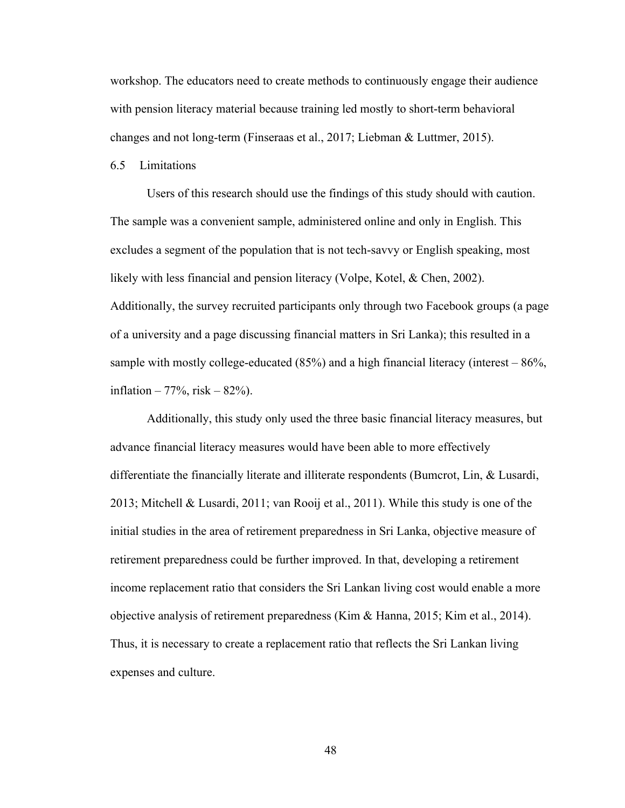workshop. The educators need to create methods to continuously engage their audience with pension literacy material because training led mostly to short-term behavioral changes and not long-term (Finseraas et al., 2017; Liebman & Luttmer, 2015).

#### <span id="page-57-0"></span>6.5 Limitations

Users of this research should use the findings of this study should with caution. The sample was a convenient sample, administered online and only in English. This excludes a segment of the population that is not tech-savvy or English speaking, most likely with less financial and pension literacy (Volpe, Kotel, & Chen, 2002). Additionally, the survey recruited participants only through two Facebook groups (a page of a university and a page discussing financial matters in Sri Lanka); this resulted in a sample with mostly college-educated  $(85%)$  and a high financial literacy (interest  $-86%$ , inflation – 77%, risk – 82%).

Additionally, this study only used the three basic financial literacy measures, but advance financial literacy measures would have been able to more effectively differentiate the financially literate and illiterate respondents (Bumcrot, Lin, & Lusardi, 2013; Mitchell & Lusardi, 2011; van Rooij et al., 2011). While this study is one of the initial studies in the area of retirement preparedness in Sri Lanka, objective measure of retirement preparedness could be further improved. In that, developing a retirement income replacement ratio that considers the Sri Lankan living cost would enable a more objective analysis of retirement preparedness (Kim & Hanna, 2015; Kim et al., 2014). Thus, it is necessary to create a replacement ratio that reflects the Sri Lankan living expenses and culture.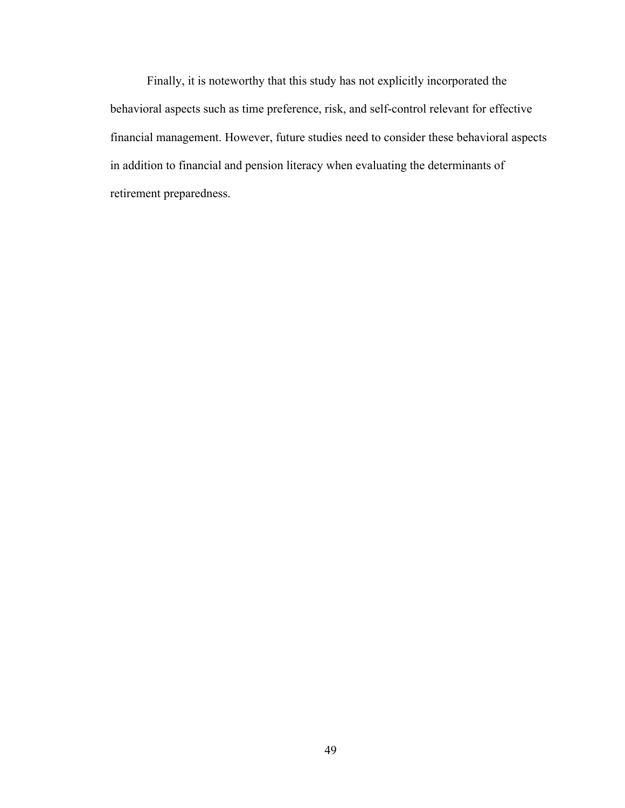Finally, it is noteworthy that this study has not explicitly incorporated the behavioral aspects such as time preference, risk, and self-control relevant for effective financial management. However, future studies need to consider these behavioral aspects in addition to financial and pension literacy when evaluating the determinants of retirement preparedness.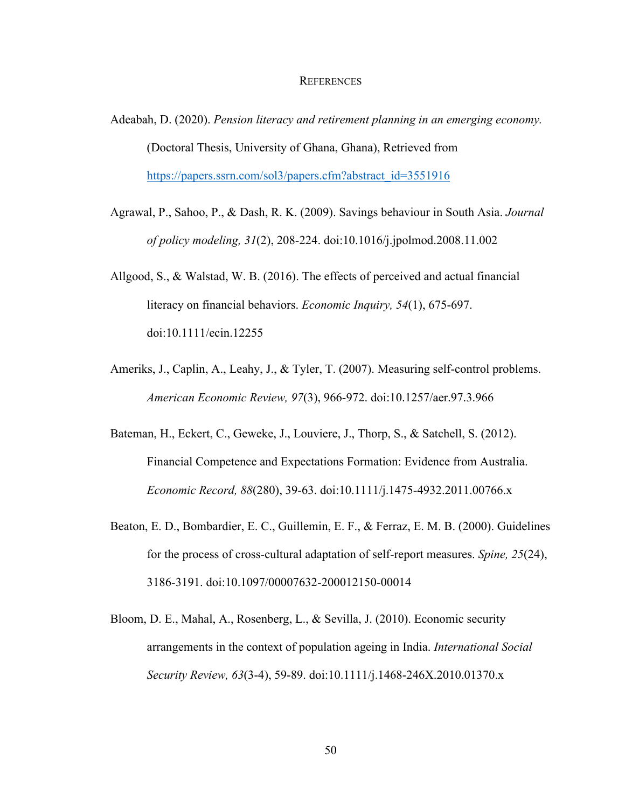#### **REFERENCES**

- <span id="page-59-0"></span>Adeabah, D. (2020). *Pension literacy and retirement planning in an emerging economy.* (Doctoral Thesis, University of Ghana, Ghana), Retrieved from [https://papers.ssrn.com/sol3/papers.cfm?abstract\\_id=3551916](https://papers.ssrn.com/sol3/papers.cfm?abstract_id=3551916)
- Agrawal, P., Sahoo, P., & Dash, R. K. (2009). Savings behaviour in South Asia. *Journal of policy modeling, 31*(2), 208-224. doi:10.1016/j.jpolmod.2008.11.002
- Allgood, S., & Walstad, W. B. (2016). The effects of perceived and actual financial literacy on financial behaviors. *Economic Inquiry, 54*(1), 675-697. doi:10.1111/ecin.12255
- Ameriks, J., Caplin, A., Leahy, J., & Tyler, T. (2007). Measuring self-control problems. *American Economic Review, 97*(3), 966-972. doi:10.1257/aer.97.3.966
- Bateman, H., Eckert, C., Geweke, J., Louviere, J., Thorp, S., & Satchell, S. (2012). Financial Competence and Expectations Formation: Evidence from Australia. *Economic Record, 88*(280), 39-63. doi:10.1111/j.1475-4932.2011.00766.x
- Beaton, E. D., Bombardier, E. C., Guillemin, E. F., & Ferraz, E. M. B. (2000). Guidelines for the process of cross-cultural adaptation of self-report measures. *Spine, 25*(24), 3186-3191. doi:10.1097/00007632-200012150-00014
- Bloom, D. E., Mahal, A., Rosenberg, L., & Sevilla, J. (2010). Economic security arrangements in the context of population ageing in India. *International Social Security Review, 63*(3-4), 59-89. doi:10.1111/j.1468-246X.2010.01370.x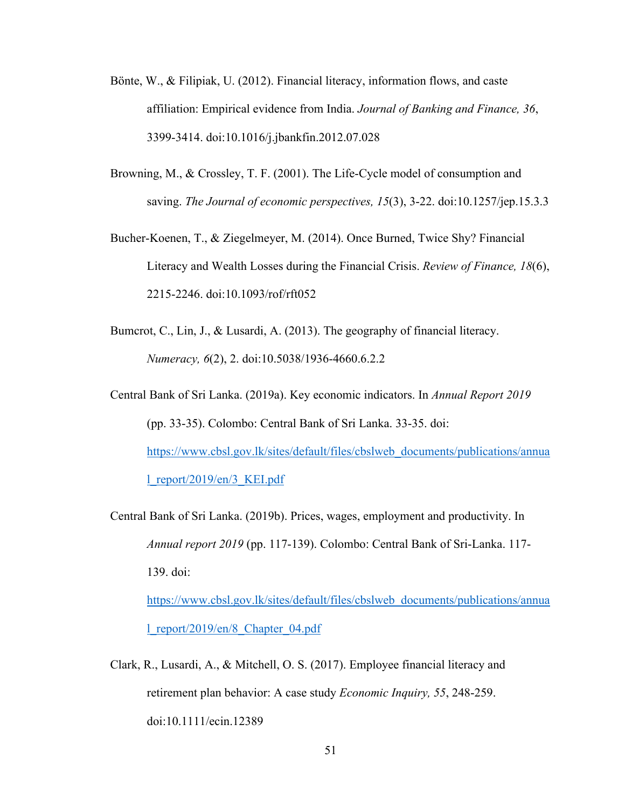- Bönte, W., & Filipiak, U. (2012). Financial literacy, information flows, and caste affiliation: Empirical evidence from India. *Journal of Banking and Finance, 36*, 3399-3414. doi:10.1016/j.jbankfin.2012.07.028
- Browning, M., & Crossley, T. F. (2001). The Life-Cycle model of consumption and saving. *The Journal of economic perspectives, 15*(3), 3-22. doi:10.1257/jep.15.3.3
- Bucher-Koenen, T., & Ziegelmeyer, M. (2014). Once Burned, Twice Shy? Financial Literacy and Wealth Losses during the Financial Crisis. *Review of Finance, 18*(6), 2215-2246. doi:10.1093/rof/rft052
- Bumcrot, C., Lin, J., & Lusardi, A. (2013). The geography of financial literacy. *Numeracy, 6*(2), 2. doi:10.5038/1936-4660.6.2.2
- Central Bank of Sri Lanka. (2019a). Key economic indicators. In *Annual Report 2019* (pp. 33-35). Colombo: Central Bank of Sri Lanka. 33-35. doi: [https://www.cbsl.gov.lk/sites/default/files/cbslweb\\_documents/publications/annua](https://www.cbsl.gov.lk/sites/default/files/cbslweb_documents/publications/annual_report/2019/en/3_KEI.pdf) [l\\_report/2019/en/3\\_KEI.pdf](https://www.cbsl.gov.lk/sites/default/files/cbslweb_documents/publications/annual_report/2019/en/3_KEI.pdf)
- Central Bank of Sri Lanka. (2019b). Prices, wages, employment and productivity. In *Annual report 2019* (pp. 117-139). Colombo: Central Bank of Sri-Lanka. 117- 139. doi:

[https://www.cbsl.gov.lk/sites/default/files/cbslweb\\_documents/publications/annua](https://www.cbsl.gov.lk/sites/default/files/cbslweb_documents/publications/annual_report/2019/en/8_Chapter_04.pdf) [l\\_report/2019/en/8\\_Chapter\\_04.pdf](https://www.cbsl.gov.lk/sites/default/files/cbslweb_documents/publications/annual_report/2019/en/8_Chapter_04.pdf)

Clark, R., Lusardi, A., & Mitchell, O. S. (2017). Employee financial literacy and retirement plan behavior: A case study *Economic Inquiry, 55*, 248-259. doi:10.1111/ecin.12389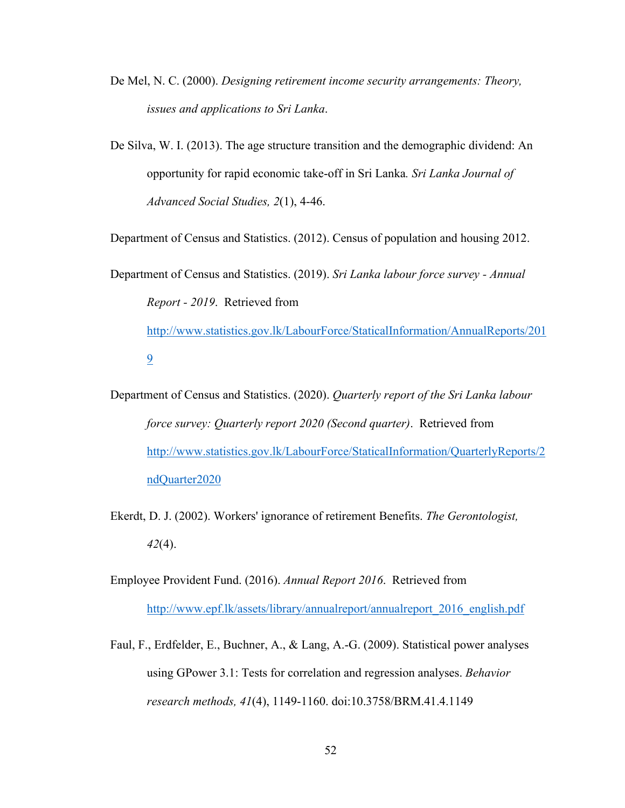- De Mel, N. C. (2000). *Designing retirement income security arrangements: Theory, issues and applications to Sri Lanka*.
- De Silva, W. I. (2013). The age structure transition and the demographic dividend: An opportunity for rapid economic take-off in Sri Lanka*. Sri Lanka Journal of Advanced Social Studies, 2*(1), 4-46.

Department of Census and Statistics. (2012). Census of population and housing 2012.

Department of Census and Statistics. (2019). *Sri Lanka labour force survey - Annual Report - 2019*. Retrieved from [http://www.statistics.gov.lk/LabourForce/StaticalInformation/AnnualReports/201](http://www.statistics.gov.lk/LabourForce/StaticalInformation/AnnualReports/2019) [9](http://www.statistics.gov.lk/LabourForce/StaticalInformation/AnnualReports/2019)

- Department of Census and Statistics. (2020). *Quarterly report of the Sri Lanka labour force survey: Quarterly report 2020 (Second quarter)*. Retrieved from [http://www.statistics.gov.lk/LabourForce/StaticalInformation/QuarterlyReports/2](http://www.statistics.gov.lk/LabourForce/StaticalInformation/QuarterlyReports/2ndQuarter2020) [ndQuarter2020](http://www.statistics.gov.lk/LabourForce/StaticalInformation/QuarterlyReports/2ndQuarter2020)
- Ekerdt, D. J. (2002). Workers' ignorance of retirement Benefits. *The Gerontologist, 42*(4).
- Employee Provident Fund. (2016). *Annual Report 2016*. Retrieved from http://www.epf.lk/assets/library/annualreport/annualreport 2016 english.pdf
- Faul, F., Erdfelder, E., Buchner, A., & Lang, A.-G. (2009). Statistical power analyses using GPower 3.1: Tests for correlation and regression analyses. *Behavior research methods, 41*(4), 1149-1160. doi:10.3758/BRM.41.4.1149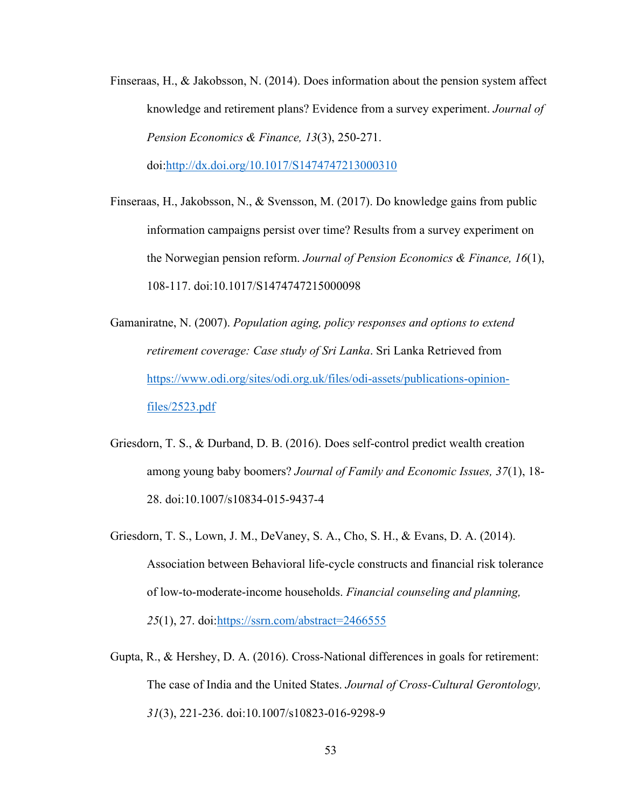- Finseraas, H., & Jakobsson, N. (2014). Does information about the pension system affect knowledge and retirement plans? Evidence from a survey experiment. *Journal of Pension Economics & Finance, 13*(3), 250-271. doi[:http://dx.doi.org/10.1017/S1474747213000310](http://dx.doi.org/10.1017/S1474747213000310)
- Finseraas, H., Jakobsson, N., & Svensson, M. (2017). Do knowledge gains from public information campaigns persist over time? Results from a survey experiment on the Norwegian pension reform. *Journal of Pension Economics & Finance, 16*(1), 108-117. doi:10.1017/S1474747215000098
- Gamaniratne, N. (2007). *Population aging, policy responses and options to extend retirement coverage: Case study of Sri Lanka*. Sri Lanka Retrieved from [https://www.odi.org/sites/odi.org.uk/files/odi-assets/publications-opinion](https://www.odi.org/sites/odi.org.uk/files/odi-assets/publications-opinion-files/2523.pdf)[files/2523.pdf](https://www.odi.org/sites/odi.org.uk/files/odi-assets/publications-opinion-files/2523.pdf)
- Griesdorn, T. S., & Durband, D. B. (2016). Does self-control predict wealth creation among young baby boomers? *Journal of Family and Economic Issues, 37*(1), 18- 28. doi:10.1007/s10834-015-9437-4
- Griesdorn, T. S., Lown, J. M., DeVaney, S. A., Cho, S. H., & Evans, D. A. (2014). Association between Behavioral life-cycle constructs and financial risk tolerance of low-to-moderate-income households. *Financial counseling and planning, 25*(1), 27. doi[:https://ssrn.com/abstract=2466555](https://ssrn.com/abstract=2466555)
- Gupta, R., & Hershey, D. A. (2016). Cross-National differences in goals for retirement: The case of India and the United States. *Journal of Cross-Cultural Gerontology, 31*(3), 221-236. doi:10.1007/s10823-016-9298-9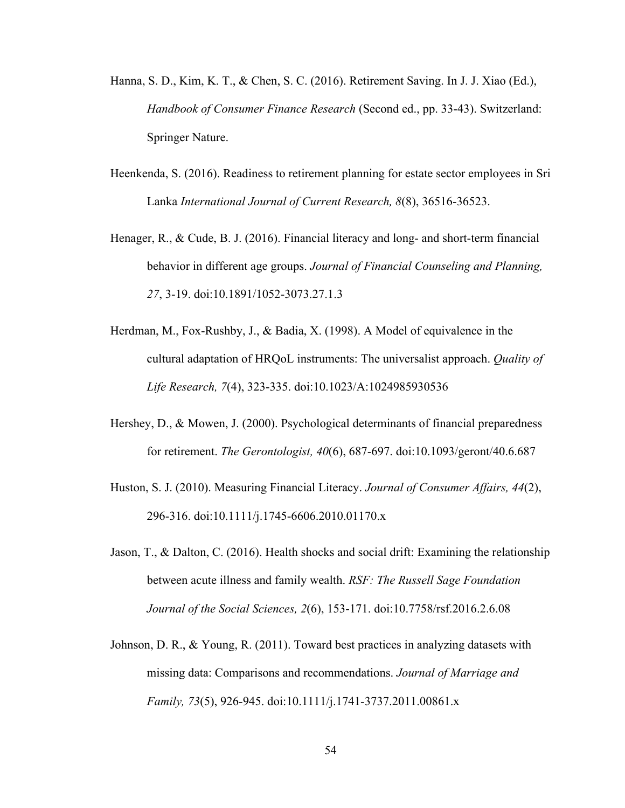- Hanna, S. D., Kim, K. T., & Chen, S. C. (2016). Retirement Saving. In J. J. Xiao (Ed.), *Handbook of Consumer Finance Research* (Second ed., pp. 33-43). Switzerland: Springer Nature.
- Heenkenda, S. (2016). Readiness to retirement planning for estate sector employees in Sri Lanka *International Journal of Current Research, 8*(8), 36516-36523.
- Henager, R., & Cude, B. J. (2016). Financial literacy and long- and short-term financial behavior in different age groups. *Journal of Financial Counseling and Planning, 27*, 3-19. doi:10.1891/1052-3073.27.1.3
- Herdman, M., Fox-Rushby, J., & Badia, X. (1998). A Model of equivalence in the cultural adaptation of HRQoL instruments: The universalist approach. *Quality of Life Research, 7*(4), 323-335. doi:10.1023/A:1024985930536
- Hershey, D., & Mowen, J. (2000). Psychological determinants of financial preparedness for retirement. *The Gerontologist, 40*(6), 687-697. doi:10.1093/geront/40.6.687
- Huston, S. J. (2010). Measuring Financial Literacy. *Journal of Consumer Affairs, 44*(2), 296-316. doi:10.1111/j.1745-6606.2010.01170.x
- Jason, T., & Dalton, C. (2016). Health shocks and social drift: Examining the relationship between acute illness and family wealth. *RSF: The Russell Sage Foundation Journal of the Social Sciences, 2*(6), 153-171. doi:10.7758/rsf.2016.2.6.08
- Johnson, D. R., & Young, R. (2011). Toward best practices in analyzing datasets with missing data: Comparisons and recommendations. *Journal of Marriage and Family, 73*(5), 926-945. doi:10.1111/j.1741-3737.2011.00861.x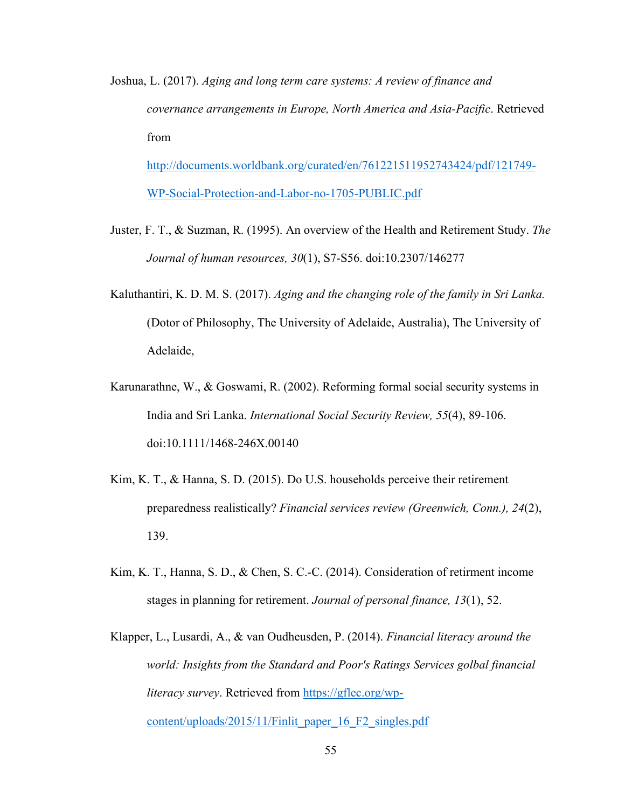Joshua, L. (2017). *Aging and long term care systems: A review of finance and covernance arrangements in Europe, North America and Asia-Pacific*. Retrieved from [http://documents.worldbank.org/curated/en/761221511952743424/pdf/121749-](http://documents.worldbank.org/curated/en/761221511952743424/pdf/121749-WP-Social-Protection-and-Labor-no-1705-PUBLIC.pdf)

[WP-Social-Protection-and-Labor-no-1705-PUBLIC.pdf](http://documents.worldbank.org/curated/en/761221511952743424/pdf/121749-WP-Social-Protection-and-Labor-no-1705-PUBLIC.pdf)

- Juster, F. T., & Suzman, R. (1995). An overview of the Health and Retirement Study. *The Journal of human resources, 30*(1), S7-S56. doi:10.2307/146277
- Kaluthantiri, K. D. M. S. (2017). *Aging and the changing role of the family in Sri Lanka.* (Dotor of Philosophy, The University of Adelaide, Australia), The University of Adelaide,
- Karunarathne, W., & Goswami, R. (2002). Reforming formal social security systems in India and Sri Lanka. *International Social Security Review, 55*(4), 89-106. doi:10.1111/1468-246X.00140
- Kim, K. T., & Hanna, S. D. (2015). Do U.S. households perceive their retirement preparedness realistically? *Financial services review (Greenwich, Conn.), 24*(2), 139.
- Kim, K. T., Hanna, S. D., & Chen, S. C.-C. (2014). Consideration of retirment income stages in planning for retirement. *Journal of personal finance, 13*(1), 52.
- Klapper, L., Lusardi, A., & van Oudheusden, P. (2014). *Financial literacy around the world: Insights from the Standard and Poor's Ratings Services golbal financial literacy survey*. Retrieved from [https://gflec.org/wp](https://gflec.org/wp-content/uploads/2015/11/Finlit_paper_16_F2_singles.pdf)[content/uploads/2015/11/Finlit\\_paper\\_16\\_F2\\_singles.pdf](https://gflec.org/wp-content/uploads/2015/11/Finlit_paper_16_F2_singles.pdf)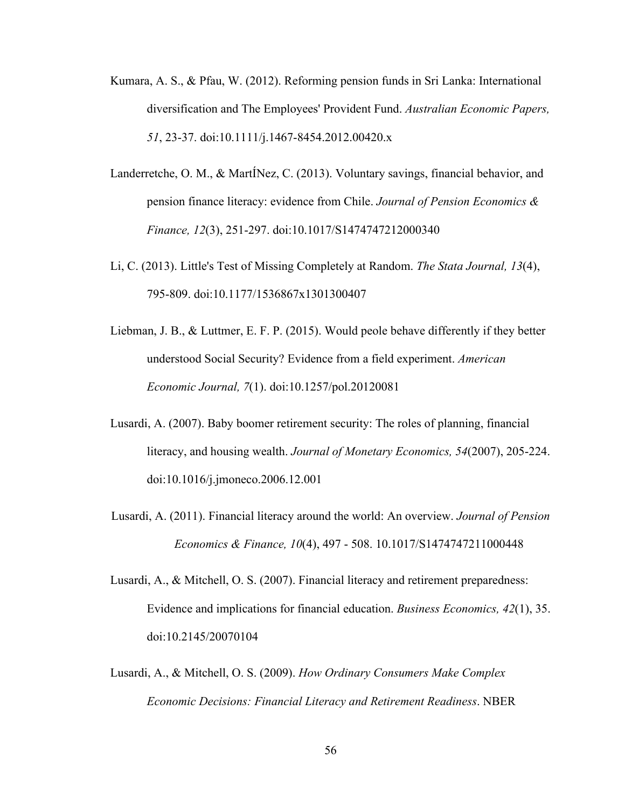- Kumara, A. S., & Pfau, W. (2012). Reforming pension funds in Sri Lanka: International diversification and The Employees' Provident Fund. *Australian Economic Papers, 51*, 23-37. doi:10.1111/j.1467-8454.2012.00420.x
- Landerretche, O. M., & MartÍNez, C. (2013). Voluntary savings, financial behavior, and pension finance literacy: evidence from Chile. *Journal of Pension Economics & Finance, 12*(3), 251-297. doi:10.1017/S1474747212000340
- Li, C. (2013). Little's Test of Missing Completely at Random. *The Stata Journal, 13*(4), 795-809. doi:10.1177/1536867x1301300407
- Liebman, J. B., & Luttmer, E. F. P. (2015). Would peole behave differently if they better understood Social Security? Evidence from a field experiment. *American Economic Journal, 7*(1). doi:10.1257/pol.20120081
- Lusardi, A. (2007). Baby boomer retirement security: The roles of planning, financial literacy, and housing wealth. *Journal of Monetary Economics, 54*(2007), 205-224. doi:10.1016/j.jmoneco.2006.12.001
- Lusardi, A. (2011). Financial literacy around the world: An overview. *Journal of Pension Economics & Finance, 10*(4), 497 - 508. 10.1017/S1474747211000448
- Lusardi, A., & Mitchell, O. S. (2007). Financial literacy and retirement preparedness: Evidence and implications for financial education. *Business Economics, 42*(1), 35. doi:10.2145/20070104
- Lusardi, A., & Mitchell, O. S. (2009). *How Ordinary Consumers Make Complex Economic Decisions: Financial Literacy and Retirement Readiness*. NBER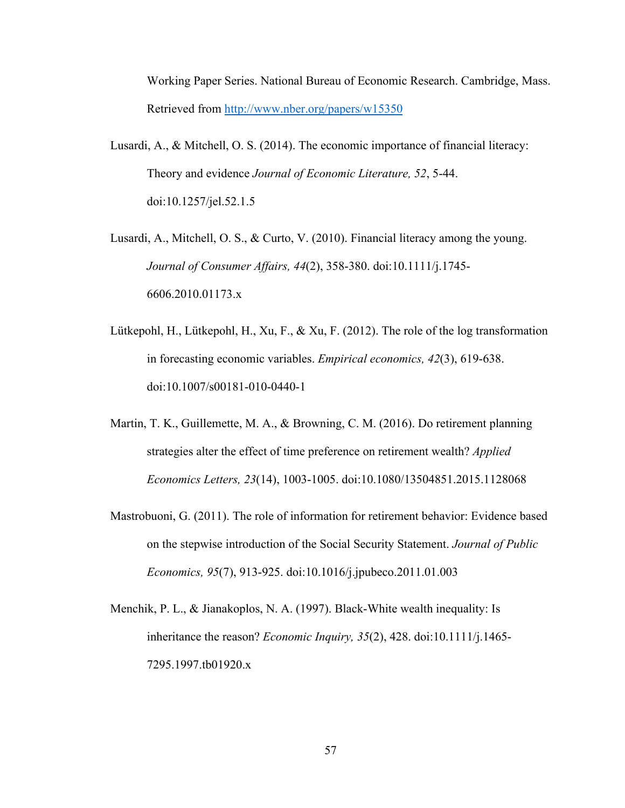Working Paper Series. National Bureau of Economic Research. Cambridge, Mass. Retrieved from<http://www.nber.org/papers/w15350>

- Lusardi, A., & Mitchell, O. S. (2014). The economic importance of financial literacy: Theory and evidence *Journal of Economic Literature, 52*, 5-44. doi:10.1257/jel.52.1.5
- Lusardi, A., Mitchell, O. S., & Curto, V. (2010). Financial literacy among the young. *Journal of Consumer Affairs, 44*(2), 358-380. doi:10.1111/j.1745- 6606.2010.01173.x
- Lütkepohl, H., Lütkepohl, H., Xu, F., & Xu, F. (2012). The role of the log transformation in forecasting economic variables. *Empirical economics, 42*(3), 619-638. doi:10.1007/s00181-010-0440-1
- Martin, T. K., Guillemette, M. A., & Browning, C. M. (2016). Do retirement planning strategies alter the effect of time preference on retirement wealth? *Applied Economics Letters, 23*(14), 1003-1005. doi:10.1080/13504851.2015.1128068
- Mastrobuoni, G. (2011). The role of information for retirement behavior: Evidence based on the stepwise introduction of the Social Security Statement. *Journal of Public Economics, 95*(7), 913-925. doi:10.1016/j.jpubeco.2011.01.003
- Menchik, P. L., & Jianakoplos, N. A. (1997). Black-White wealth inequality: Is inheritance the reason? *Economic Inquiry, 35*(2), 428. doi:10.1111/j.1465- 7295.1997.tb01920.x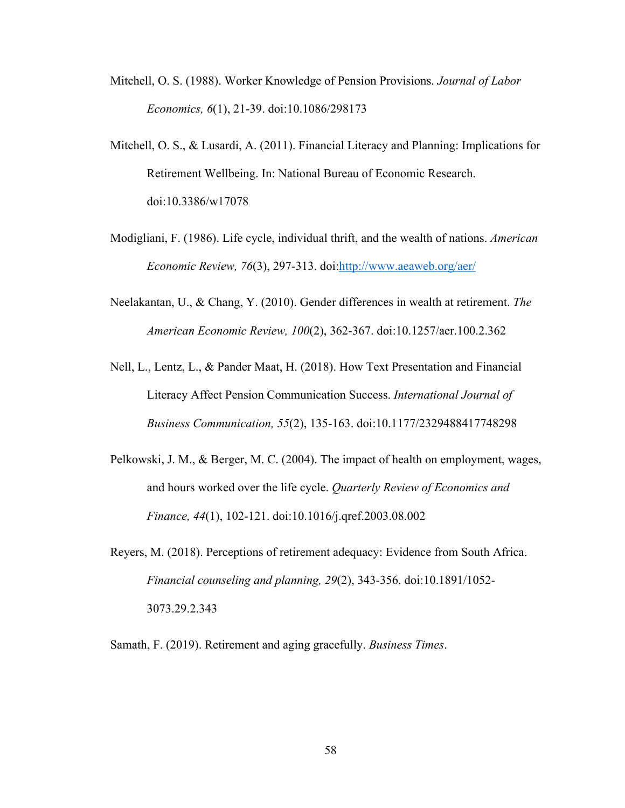- Mitchell, O. S. (1988). Worker Knowledge of Pension Provisions. *Journal of Labor Economics, 6*(1), 21-39. doi:10.1086/298173
- Mitchell, O. S., & Lusardi, A. (2011). Financial Literacy and Planning: Implications for Retirement Wellbeing. In: National Bureau of Economic Research. doi:10.3386/w17078
- Modigliani, F. (1986). Life cycle, individual thrift, and the wealth of nations. *American Economic Review, 76*(3), 297-313. doi[:http://www.aeaweb.org/aer/](http://www.aeaweb.org/aer/)
- Neelakantan, U., & Chang, Y. (2010). Gender differences in wealth at retirement. *The American Economic Review, 100*(2), 362-367. doi:10.1257/aer.100.2.362
- Nell, L., Lentz, L., & Pander Maat, H. (2018). How Text Presentation and Financial Literacy Affect Pension Communication Success. *International Journal of Business Communication, 55*(2), 135-163. doi:10.1177/2329488417748298
- Pelkowski, J. M., & Berger, M. C. (2004). The impact of health on employment, wages, and hours worked over the life cycle. *Quarterly Review of Economics and Finance, 44*(1), 102-121. doi:10.1016/j.qref.2003.08.002
- Reyers, M. (2018). Perceptions of retirement adequacy: Evidence from South Africa. *Financial counseling and planning, 29*(2), 343-356. doi:10.1891/1052- 3073.29.2.343

Samath, F. (2019). Retirement and aging gracefully. *Business Times*.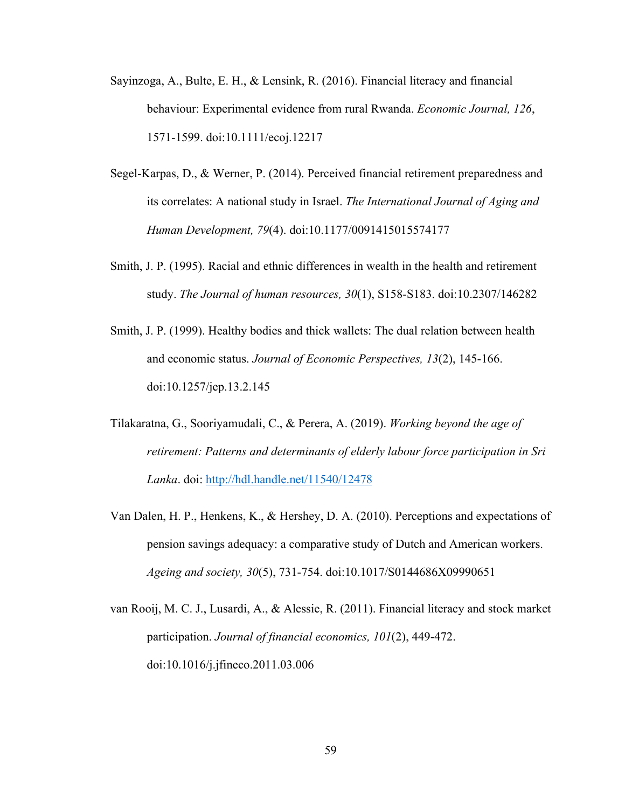- Sayinzoga, A., Bulte, E. H., & Lensink, R. (2016). Financial literacy and financial behaviour: Experimental evidence from rural Rwanda. *Economic Journal, 126*, 1571-1599. doi:10.1111/ecoj.12217
- Segel-Karpas, D., & Werner, P. (2014). Perceived financial retirement preparedness and its correlates: A national study in Israel. *The International Journal of Aging and Human Development, 79*(4). doi:10.1177/0091415015574177
- Smith, J. P. (1995). Racial and ethnic differences in wealth in the health and retirement study. *The Journal of human resources, 30*(1), S158-S183. doi:10.2307/146282
- Smith, J. P. (1999). Healthy bodies and thick wallets: The dual relation between health and economic status. *Journal of Economic Perspectives, 13*(2), 145-166. doi:10.1257/jep.13.2.145
- Tilakaratna, G., Sooriyamudali, C., & Perera, A. (2019). *Working beyond the age of retirement: Patterns and determinants of elderly labour force participation in Sri Lanka*. doi:<http://hdl.handle.net/11540/12478>
- Van Dalen, H. P., Henkens, K., & Hershey, D. A. (2010). Perceptions and expectations of pension savings adequacy: a comparative study of Dutch and American workers. *Ageing and society, 30*(5), 731-754. doi:10.1017/S0144686X09990651
- van Rooij, M. C. J., Lusardi, A., & Alessie, R. (2011). Financial literacy and stock market participation. *Journal of financial economics, 101*(2), 449-472. doi:10.1016/j.jfineco.2011.03.006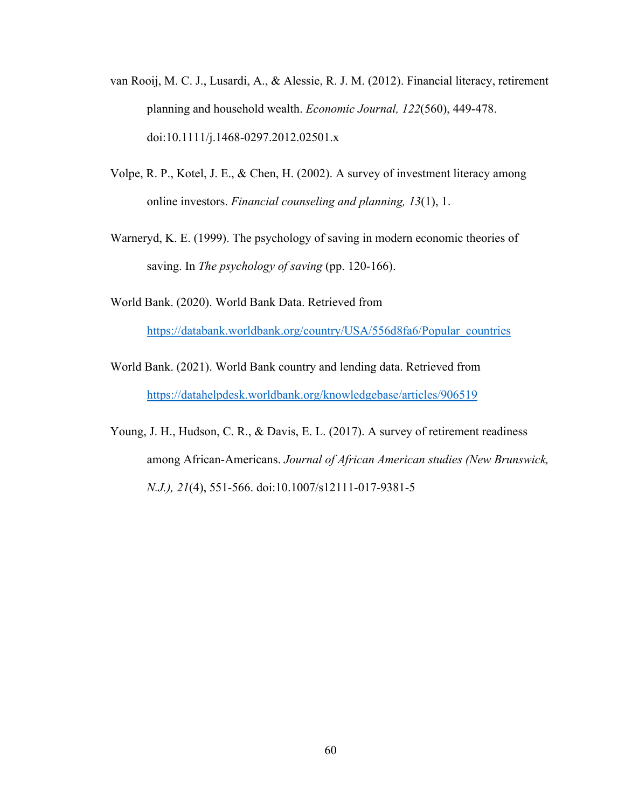- van Rooij, M. C. J., Lusardi, A., & Alessie, R. J. M. (2012). Financial literacy, retirement planning and household wealth. *Economic Journal, 122*(560), 449-478. doi:10.1111/j.1468-0297.2012.02501.x
- Volpe, R. P., Kotel, J. E., & Chen, H. (2002). A survey of investment literacy among online investors. *Financial counseling and planning, 13*(1), 1.
- Warneryd, K. E. (1999). The psychology of saving in modern economic theories of saving. In *The psychology of saving* (pp. 120-166).
- World Bank. (2020). World Bank Data. Retrieved from [https://databank.worldbank.org/country/USA/556d8fa6/Popular\\_countries](https://databank.worldbank.org/country/USA/556d8fa6/Popular_countries)
- World Bank. (2021). World Bank country and lending data. Retrieved from <https://datahelpdesk.worldbank.org/knowledgebase/articles/906519>
- Young, J. H., Hudson, C. R., & Davis, E. L. (2017). A survey of retirement readiness among African-Americans. *Journal of African American studies (New Brunswick, N.J.), 21*(4), 551-566. doi:10.1007/s12111-017-9381-5